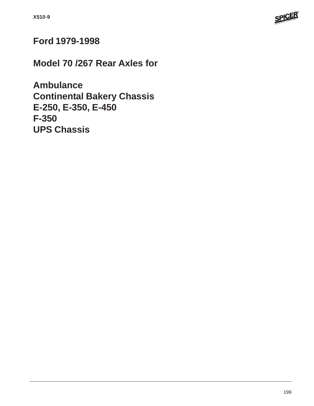

## **Ford 1979-1998**

**Model 70 /267 Rear Axles for**

**Ambulance Continental Bakery Chassis E-250, E-350, E-450 F-350 UPS Chassis**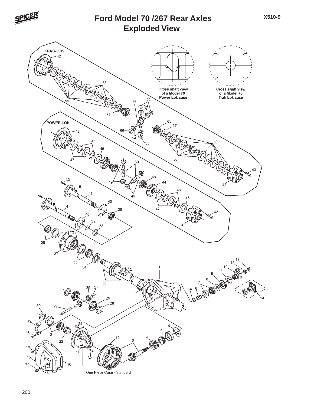

#### **Exploded View Ford Model 70 /267 Rear Axles**

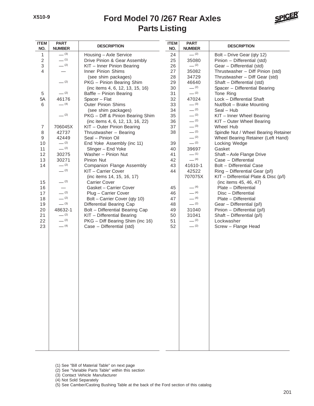

| <b>ITEM</b><br>NO. | <b>PART</b><br><b>NUMBER</b> | <b>DESCRIPTION</b>                             | <b>ITEM</b><br>NO. | <b>PART</b><br><b>NUMBER</b> | <b>DESCRIPTION</b>                             |
|--------------------|------------------------------|------------------------------------------------|--------------------|------------------------------|------------------------------------------------|
| 1                  | $- (3)$                      | Housing - Axle Service                         | 24                 | $- (2)$                      | Bolt - Drive Gear (qty 12)                     |
| $\overline{2}$     | $-$ (1)                      | Drive Pinion & Gear Assembly                   | 25                 | 35080                        | Pinion - Differential (std)                    |
| $\mathfrak{S}$     | $- (2)$                      | KIT - Inner Pinion Bearing                     | 26                 | $-$ (2)                      | Gear - Differential (std)                      |
| $\overline{4}$     |                              | Inner Pinion Shims                             | 27                 | 35082                        | Thrustwasher - Diff Pinion (std)               |
|                    |                              | (see shim packages)                            | 28                 | 34729                        | Thrustwasher - Diff Gear (std)                 |
|                    | $- (2)$                      | PKG - Pinion Bearing Shim                      | 29                 | 46640                        | Shaft - Differential (std)                     |
|                    |                              | (inc items 4, 6, 12, 13, 15, 16)               | 30                 | $- (2)$                      | Spacer - Differential Bearing                  |
| 5                  | $- (2)$                      | Baffle - Pinion Bearing                        | 31                 | $-$ (2)                      | Tone Ring                                      |
| 5A                 | 46176                        | Spacer - Flat                                  | 32                 | 47024                        | Lock - Differential Shaft                      |
| 6                  | $-$ (4)                      | <b>Outer Pinion Shims</b>                      | 33                 | $- (3)$                      | Nut/Bolt - Brake Mounting                      |
|                    |                              | (see shim packages)                            | 34                 | $- (2)$                      | Seal - Hub                                     |
|                    | $- (2)$                      | PKG - Diff & Pinion Bearing Shim               | 35                 | $- (2)$                      | KIT - Inner Wheel Bearing                      |
|                    |                              | (inc items 4, 6, 12, 13, 16, 22)               | 36                 | $- (2)$                      | KIT - Outer Wheel Bearing                      |
| $\overline{7}$     | 706045X                      | KIT - Outer Pinion Bearing                     | 37                 | $- (3)$                      | Wheel Hub                                      |
| 8                  | 42737                        | Thrustwasher - Bearing                         | 38                 | $- (2)$                      | Spindle Nut / Wheel Bearing Retainer           |
| 9                  | 42449                        | Seal - Pinion Oil                              |                    | $- (2)$                      | Wheel Bearing Retainer (Left Hand)             |
| 10                 | $- (2)$                      | End Yoke Assembly (inc 11)                     | 39                 | $- (2)$                      | Locking Wedge                                  |
| 11                 | $- (2)$                      | Slinger - End Yoke                             | 40                 | 39697                        | Gasket                                         |
| 12                 | 30275                        | Washer - Pinion Nut                            | 41                 | $-$ (1)                      | Shaft-Axle Flange Drive                        |
| 13                 | 30271                        | Pinion Nut                                     | 42                 | $- (4)$                      | Case - Differential                            |
| 14                 | $-$ (2)<br>$- (2)$           | <b>Companion Flange Assembly</b>               | 43                 | 41610-1                      | Bolt - Differential Case                       |
|                    |                              | KIT - Carrier Cover                            | 44                 | 42522                        | Ring - Differential Gear (p/l)                 |
|                    | $- (2)$                      | (inc items 14, 15, 16, 17)                     |                    | 707075X                      | KIT - Differential Plate & Disc (p/l)          |
| 15                 |                              | <b>Carrier Cover</b><br>Gasket - Carrier Cover | 45                 | $- (4)$                      | (inc items 45, 46, 47)<br>Plate - Differential |
| 16<br>17           | $- (2)$                      | Plug - Carrier Cover                           | 46                 | $- (4)$                      | Disc - Differential                            |
| 18                 | $- (2)$                      | Bolt - Carrier Cover (qty 10)                  | 47                 | $- (4)$                      | Plate - Differential                           |
| 19                 | $- (3)$                      | Differential Bearing Cap                       | 48                 | $- (2)$                      | Gear - Differential (p/l)                      |
| 20                 | 48632-1                      | Bolt - Differential Bearing Cap                | 49                 | 31040                        | Pinion - Differential (p/l)                    |
| 21                 | $- (2)$                      | KIT - Differential Bearing                     | 50                 | 31041                        | Shaft - Differential (p/l)                     |
| 22                 | $- (2)$                      | PKG - Diff Bearing Shim (inc 16)               | 51                 | $-$ (2)                      | Lockwasher                                     |
| 23                 | $- (4)$                      | Case - Differential (std)                      | 52                 | $- (2)$                      | Screw - Flange Head                            |
|                    |                              |                                                |                    |                              |                                                |
|                    |                              |                                                |                    |                              |                                                |
|                    |                              |                                                |                    |                              |                                                |
|                    |                              |                                                |                    |                              |                                                |
|                    |                              |                                                |                    |                              |                                                |
|                    |                              |                                                |                    |                              |                                                |
|                    |                              |                                                |                    |                              |                                                |
|                    |                              |                                                |                    |                              |                                                |
|                    |                              |                                                |                    |                              |                                                |
|                    |                              |                                                |                    |                              |                                                |
|                    |                              |                                                |                    |                              |                                                |
|                    |                              |                                                |                    |                              |                                                |
|                    |                              |                                                |                    |                              |                                                |
|                    |                              |                                                |                    |                              |                                                |
|                    |                              |                                                |                    |                              |                                                |
|                    |                              |                                                |                    |                              |                                                |
|                    |                              |                                                |                    |                              |                                                |
|                    |                              |                                                |                    |                              |                                                |
|                    |                              |                                                |                    |                              |                                                |
|                    |                              |                                                |                    |                              |                                                |
|                    |                              |                                                |                    |                              |                                                |
|                    |                              |                                                |                    |                              |                                                |

- (1) See "Bill of Material Table" on next page
- (2) See "Variable Parts Table" within this section
- (3) Contact Vehicle Manufacturer
- (4) Not Sold Separately
- (5) See Camber/Casting Bushing Table at the back of the Ford section of this catalog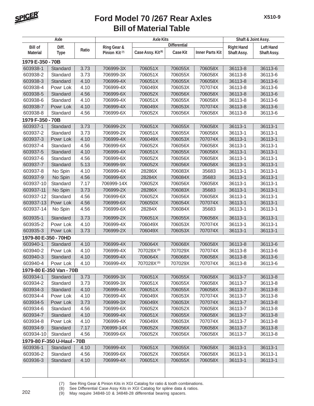

|                      | Axle                       |       |                           | <b>Axle Kits</b>              |                     | Shaft & Joint Assy.    |                   |                  |
|----------------------|----------------------------|-------|---------------------------|-------------------------------|---------------------|------------------------|-------------------|------------------|
| <b>Bill of</b>       | Diff.                      |       | Ring Gear &               |                               | <b>Differential</b> |                        | <b>Right Hand</b> | <b>Left Hand</b> |
| <b>Material</b>      | <b>Type</b>                | Ratio | Pinion Kit <sup>(7)</sup> | Case Assy. Kit <sup>(8)</sup> | <b>Case Kit</b>     | <b>Inner Parts Kit</b> | Shaft Assy.       | Shaft Assy.      |
| 1979 E-350 - 70B     |                            |       |                           |                               |                     |                        |                   |                  |
| 603938-1             | Standard                   | 3.73  | 706999-3X                 | 706051X                       | 706055X             | 706058X                | 36113-8           | 36113-6          |
| 603938-2             | Standard                   | 3.73  | 706999-3X                 | 706051X                       | 706055X             | 706058X                | 36113-8           | 36113-6          |
| 603938-3             | Standard                   | 4.10  | 706999-4X                 | 706051X                       | 706055X             | 706058X                | 36113-8           | 36113-6          |
| 603938-4             | Powr Lok                   | 4.10  | 706999-4X                 | 706049X                       | 706053X             | 707074X                | 36113-8           | 36113-6          |
| 603938-5             | Standard                   | 4.56  | 706999-6X                 | 706052X                       | 706056X             | 706058X                | 36113-8           | 36113-6          |
| 603938-6             | Standard                   | 4.10  | 706999-4X                 | 706051X                       | 706055X             | 706058X                | 36113-8           | 36113-6          |
| 603938-7             | Powr Lok                   | 4.10  | 706999-4X                 | 706049X                       | 706053X             | 707074X                | 36113-8           | 36113-6          |
| 603938-8             | Standard                   | 4.56  | 706999-6X                 | 706052X                       | 706056X             | 706058X                | 36113-8           | 36113-6          |
| 1979 F-350 - 70B     |                            |       |                           |                               |                     |                        |                   |                  |
| 603937-1             | Standard                   | 3.73  | 706999-2X                 | 706051X                       | 706055X             | 706058X                | 36113-1           | 36113-1          |
| 603937-2             | Standard                   | 3.73  | 706999-2X                 | 706051X                       | 706055X             | 706058X                | 36113-1           | 36113-1          |
| 603937-3             | Powr Lok                   | 4.10  | 706999-4X                 | 706049X                       | 706053X             | 707074X                | 36113-1           | 36113-1          |
| 603937-4             | Standard                   | 4.56  | 706999-6X                 | 706052X                       | 706056X             | 706058X                | 36113-1           | 36113-1          |
| 603937-5             | Standard                   | 4.10  | 706999-4X                 | 706051X                       | 706055X             | 706058X                | 36113-1           | 36113-1          |
| 603937-6             | Standard                   | 4.56  | 706999-6X                 | 706052X                       | 706056X             | 706058X                | 36113-1           | 36113-1          |
| 603937-7             | Standard                   | 5.13  | 706999-9X                 | 706052X                       | 706056X             | 706058X                | 36113-1           | 36113-1          |
| 603937-8             | No Spin                    | 4.10  | 706999-4X                 | 28286X                        | 706083X             | 35683                  | 36113-1           | 36113-1          |
| 603937-9             | No Spin                    | 4.56  | 706999-6X                 | 28284X                        | 706084X             | 35683                  | 36113-1           | 36113-1          |
| 603937-10            | Standard                   | 7.17  | 706999-14X                | 706052X                       | 706056X             | 706058X                | 36113-1           | 36113-1          |
| 603937-11            | No Spin                    | 3.73  | 706999-2X                 | 28286X                        | 706083X             | 35683                  | 36113-1           | 36113-1          |
| 603937-12            | Standard                   | 4.56  | 706999-6X                 | 706052X                       | 706056X             | 706058X                | 36113-1           | 36113-1          |
| 603937-13            | Powr Lok                   | 4.56  | 706999-6X                 | 706050X                       | 706054X             | 707074X                | 36113-1           | 36113-1          |
| 603937-14            | No Spin                    | 4.56  | 706999-6X                 | 28284X                        | 706084X             | 35683                  | 36113-1           | 36113-1          |
| 603935-1             | Standard                   | 3.73  | 706999-2X                 | 706051X                       | 706055X             | 706058X                | 36113-1           | 36113-1          |
| 603935-2             | Powr Lok                   | 4.10  | 706999-4X                 | 706049X                       | 706053X             | 707074X                | 36113-1           | 36113-1          |
| 603935-3             | Powr Lok                   | 3.73  | 706999-2X                 | 706049X                       | 706053X             | 707074X                | 36113-1           | 36113-1          |
| 1979-80 E-350 - 70HD |                            |       |                           |                               |                     |                        |                   |                  |
| 603940-1             | Standard                   | 4.10  | 706999-4X                 | 706064X                       | 706068X             | 706058X                | 36113-8           | 36113-6          |
| 603940-2             | Powr Lok                   | 4.10  | 706999-4X                 | 707028X <sup>(9)</sup>        | 707029X             | 707074X                | 36113-8           | 36113-6          |
| 603940-3             | Standard                   | 4.10  | 706999-4X                 | 706064X                       | 706068X             | 706058X                | 36113-8           | 36113-6          |
| 603940-4             | Powr Lok                   | 4.10  | 706999-4X                 | 707028X(9)                    | 707029X             | 707074X                | 36113-8           | 36113-6          |
|                      | 1979-80 E-350 Van - 70B    |       |                           |                               |                     |                        |                   |                  |
| 603934-1             | Standard                   | 3.73  | 706999-3X                 | 706051X                       | 706055X             | 706058X                | 36113-7           | 36113-8          |
| 603934-2             | Standard                   | 3.73  | 706999-3X                 | 706051X                       | 706055X             | 706058X                | 36113-7           | 36113-8          |
| 603934-3             | Standard                   | 4.10  | 706999-4X                 | 706051X                       | 706055X             | 706058X                | 36113-7           | 36113-8          |
| 603934-4             | Powr Lok                   | 4.10  | 706999-4X                 | 706049X                       | 706053X             | 707074X                | 36113-7           | 36113-8          |
| 603934-5             | Powr Lok                   | 3.73  | 706999-3X                 | 706049X                       | 706053X             | 707074X                | 36113-7           | 36113-8          |
| 603934-6             | Standard                   | 4.56  | 706999-6X                 | 706052X                       | 706052X             | 706058X                | 36113-7           | 36113-8          |
| 603934-7             | Standard                   | 4.10  | 706999-4X                 | 706051X                       | 706055X             | 706058X                | 36113-7           | 36113-8          |
| 603934-8             | Powr Lok                   | 4.10  | 706999-4X                 | 706049X                       | 706053X             | 707074X                | 36113-7           | 36113-8          |
| 603934-9             | Standard                   | 7.17  | 706999-14X                | 706052X                       | 706056X             | 706058X                | 36113-7           | 36113-8          |
| 603934-10            | Standard                   | 4.56  | 706999-6X                 | 706052X                       | 706056X             | 706058X                | 36113-7           | 36113-8          |
|                      | 1979-80 F-350 U-Haul - 70B |       |                           |                               |                     |                        |                   |                  |
| 603936-1             | Standard                   | 4.10  | 706999-4X                 | 706051X                       | 706055X             | 706058X                | 36113-1           | 36113-1          |
| 603936-2             | Standard                   | 4.56  | 706999-6X                 | 706052X                       | 706056X             | 706058X                | 36113-1           | 36113-1          |
| 603936-3             | Standard                   | 4.10  | 706999-4X                 | 706051X                       | 706055X             | 706058X                | 36113-1           | 36113-1          |
|                      |                            |       |                           |                               |                     |                        |                   |                  |
|                      |                            |       |                           |                               |                     |                        |                   |                  |

(7) See Ring Gear & Pinion Kits in XGI Catalog for ratio & tooth combinations.<br>(8) See Differential Case Assy Kits in XGI Catalog for spline data & ratios.

(8) See Differential Case Assy Kits in XGI Catalog for spline data & ratios. <sup>202</sup> (9) May require 34848-10 & 34848-28 differential bearing spacers.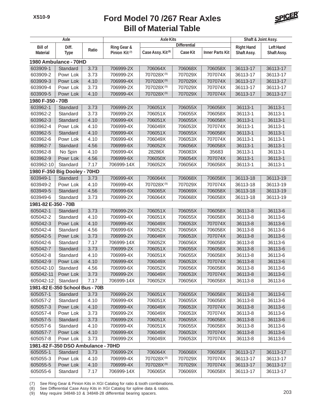

|                     | Axle                               |       |                           | <b>Axle Kits</b>              |                     | Shaft & Joint Assy.    |                   |                  |
|---------------------|------------------------------------|-------|---------------------------|-------------------------------|---------------------|------------------------|-------------------|------------------|
| <b>Bill of</b>      | Diff.                              |       | Ring Gear &               |                               | <b>Differential</b> |                        | <b>Right Hand</b> | <b>Left Hand</b> |
| <b>Material</b>     | <b>Type</b>                        | Ratio | Pinion Kit <sup>(7)</sup> | Case Assy. Kit <sup>(8)</sup> | <b>Case Kit</b>     | <b>Inner Parts Kit</b> | Shaft Assy.       | Shaft Assy.      |
|                     | 1980 Ambulance - 70HD              |       |                           |                               |                     |                        |                   |                  |
| 603909-1            | Standard                           | 3.73  | 706999-2X                 | 706064X                       | 706068X             | 706058X                | 36113-17          | 36113-17         |
| 603909-2            | Powr Lok                           | 3.73  | 706999-2X                 | 707028X(9)                    | 707029X             | 707074X                | 36113-17          | 36113-17         |
| 603909-3            | Powr Lok                           | 4.10  | 706999-4X                 | 707028X(9)                    | 707029X             | 707074X                | 36113-17          | 36113-17         |
| 603909-4            | Powr Lok                           | 3.73  | 706999-2X                 | 707028X(9)                    | 707029X             | 707074X                | 36113-17          | 36113-17         |
| 603909-5            | Powr Lok                           | 4.10  | 706999-4X                 | 707028X(9)                    | 707029X             | 707074X                | 36113-17          | 36113-17         |
| 1980 F-350 - 70B    |                                    |       |                           |                               |                     |                        |                   |                  |
| 603962-1            | Standard                           | 3.73  | 706999-2X                 | 706051X                       | 706055X             | 706058X                | 36113-1           | 36113-1          |
| 603962-2            | Standard                           | 3.73  | 706999-2X                 | 706051X                       | 706055X             | 706058X                | 36113-1           | 36113-1          |
| 603962-3            | Standard                           | 4.10  | 706999-4X                 | 706051X                       | 706055X             | 706058X                | 36113-1           | 36113-1          |
| 603962-4            | Powr Lok                           | 4.10  | 706999-4X                 | 706049X                       | 706053X             | 707074X                | 36113-1           | 36113-1          |
| 603962-5            | Standard                           | 4.10  | 706999-4X                 | 706051X                       | 706055X             | 706058X                | 36113-1           | 36113-1          |
| 603962-6            | Powr Lok                           | 4.10  | 706999-4X                 | 706049X                       | 706053X             | 707074X                | 36113-1           | 36113-1          |
| 603962-7            | Standard                           | 4.56  | 706999-6X                 | 706052X                       | 706056X             | 706058X                | 36113-1           | 36113-1          |
| 603962-8            | No Spin                            | 4.10  | 706999-4X                 | 28286X                        | 706083X             | 35683                  | 36113-1           | 36113-1          |
| 603962-9            | Powr Lok                           | 4.56  | 706999-6X                 | 706050X                       | 706054X             | 707074X                | 36113-1           | 36113-1          |
| 603962-10           | Standard                           | 7.17  | 706999-14X                | 706052X                       | 706056X             | 706058X                | 36113-1           | 36113-1          |
|                     | 1980 F-350 Big Dooley - 70HD       |       |                           |                               |                     |                        |                   |                  |
| 603949-1            | Standard                           | 3.73  | 706999-4X                 | 706064X                       | 706068X             | 706058X                | 36113-18          | 36113-19         |
| 603949-2            | Powr Lok                           | 4.10  | 706999-4X                 | 707028X <sup>(9)</sup>        | 707029X             | 707074X                | 36113-18          | 36113-19         |
| 603949-5            | Standard                           | 4.56  | 706999-6X                 | 706065X                       | 706069X             | 706058X                | 36113-18          | 36113-19         |
| 603949-6            | Standard                           | 3.73  | 706999-2X                 | 706064X                       | 706068X             | 706058X                | 36113-18          | 36113-19         |
| 1981-82 E-350 - 70B |                                    |       |                           |                               |                     |                        |                   |                  |
| 605042-1            | Standard                           | 3.73  | 706999-2X                 | 706051X                       | 706055X             | 706058X                | 36113-8           | 36113-6          |
| 605042-2            | Standard                           | 4.10  | 706999-4X                 | 706051X                       | 706055X             | 706058X                | 36113-8           | 36113-6          |
| 605042-3            | Powr Lok                           | 4.10  | 706999-4X                 | 706049X                       | 706053X             | 707074X                | 36113-8           | 36113-6          |
| 605042-4            | Standard                           | 4.56  | 706999-6X                 | 706052X                       | 706056X             | 706058X                | 36113-8           | 36113-6          |
| 605042-5            | Powr Lok                           | 3.73  | 706999-2X                 | 706049X                       | 706053X             | 707074X                | 36113-8           | 36113-6          |
| 605042-6            | Standard                           | 7.17  | 706999-14X                | 706052X                       | 706056X             | 706058X                | 36113-8           | 36113-6          |
| 605042-7            | Standard                           | 3.73  | 706999-2X                 | 706051X                       | 706055X             | 706058X                | 36113-8           | 36113-6          |
| 605042-8            | Standard                           | 4.10  | 706999-4X                 | 706051X                       | 706055X             | 706058X                | 36113-8           | 36113-6          |
| 605042-9            | Powr Lok                           | 4.10  | 706999-4X                 | 706049X                       | 706053X             | 707074X                | 36113-8           | 36113-6          |
| 605042-10           | Standard                           | 4.56  | 706999-6X                 | 706052X                       | 706056X             | 706058X                | 36113-8           | 36113-6          |
| 605042-11           | Powr Lok                           | 3.73  | 706999-2X                 | 706049X                       | 706053X             | 707074X                | 36113-8           | 36113-6          |
| 605042-12           | Standard                           | 7.17  | 706999-14X                | 706052X                       | 706056X             | 706058X                | 36113-8           | 36113-6          |
|                     | 1981-82 E-350 School Bus - 70B     |       |                           |                               |                     |                        |                   |                  |
| 605057-1            | Standard                           | 3.73  | 706999-2X                 | 706051X                       | 706055X             | 706058X                | 36113-8           | 36113-6          |
| 605057-2            | Standard                           | 4.10  | 706999-4X                 | 706051X                       | 706055X             | 706058X                | 36113-8           | 36113-6          |
| 605057-3            | Powr Lok                           | 4.10  | 706999-4X                 | 706049X                       | 706053X             | 707074X                | 36113-8           | 36113-6          |
| 605057-4            | Powr Lok                           | 3.73  | 706999-2X                 | 706049X                       | 706053X             | 707074X                | 36113-8           | 36113-6          |
| 605057-5            | Standard                           | 3.73  | 706999-2X                 | 706051X                       | 706055X             | 706058X                | 36113-8           | 36113-6          |
| 605057-6            | Standard                           | 4.10  | 706999-4X                 | 706051X                       | 706055X             | 706058X                | 36113-8           | 36113-6          |
| 605057-7            | Powr Lok                           | 4.10  | 706999-4X                 | 706049X                       | 706053X             | 707074X                | 36113-8           | 36113-6          |
| 605057-8            | Powr Lok                           | 3.73  | 706999-2X                 | 706049X                       | 706053X             | 707074X                | 36113-8           | 36113-6          |
|                     | 1981-82 F-350 DSO Ambulance - 70HD |       |                           |                               |                     |                        |                   |                  |
| 605055-1            | Standard                           | 3.73  | 706999-2X                 | 706064X                       | 706068X             | 706058X                | 36113-17          | 36113-17         |
| 605055-3            | Powr Lok                           | 4.10  | 706999-4X                 | 707028X <sup>(9)</sup>        | 707029X             | 707074X                | 36113-17          | 36113-17         |
| 605055-5            | Powr Lok                           | 4.10  | 706999-4X                 | 707028X <sup>(9)</sup>        | 707029X             | 707074X                | 36113-17          | 36113-17         |
| 605055-6            | Standard                           | 7.17  | 706999-14X                | 706065X                       | 706069X             | 706058X                | 36113-17          | 36113-17         |
|                     |                                    |       |                           |                               |                     |                        |                   |                  |

(7) See Ring Gear & Pinion Kits in XGI Catalog for ratio & tooth combinations.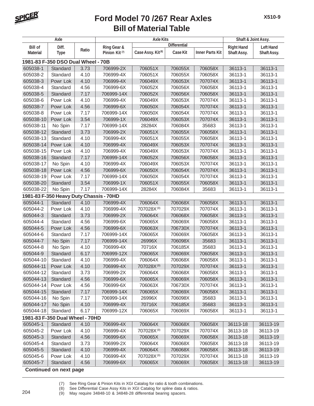

|                 | Axle                                    |       |                           | <b>Axle Kits</b>              |                     | Shaft & Joint Assy.    |                   |                  |
|-----------------|-----------------------------------------|-------|---------------------------|-------------------------------|---------------------|------------------------|-------------------|------------------|
| <b>Bill of</b>  | Diff.                                   |       | <b>Ring Gear &amp;</b>    |                               | <b>Differential</b> |                        | <b>Right Hand</b> | <b>Left Hand</b> |
| <b>Material</b> | <b>Type</b>                             | Ratio | Pinion Kit <sup>(7)</sup> | Case Assy. Kit <sup>(8)</sup> | Case Kit            | <b>Inner Parts Kit</b> | Shaft Assy.       | Shaft Assy.      |
|                 | 1981-83 F-350 DSO Dual Wheel - 70B      |       |                           |                               |                     |                        |                   |                  |
| 605038-1        | Standard                                | 3.73  | 706999-2X                 | 706051X                       | 706055X             | 706058X                | 36113-1           | 36113-1          |
| 605038-2        | Standard                                | 4.10  | 706999-4X                 | 706051X                       | 706055X             | 706058X                | 36113-1           | 36113-1          |
| 605038-3        | Powr Lok                                | 4.10  | 706999-4X                 | 706049X                       | 706053X             | 707074X                | 36113-1           | 36113-1          |
| 605038-4        | Standard                                | 4.56  | 706999-6X                 | 706052X                       | 706056X             | 706058X                | 36113-1           | 36113-1          |
| 605038-5        | Standard                                | 7.17  | 706999-14X                | 706052X                       | 706056X             | 706058X                | 36113-1           | 36113-1          |
| 605038-6        | Powr Lok                                | 4.10  | 706999-4X                 | 706049X                       | 706053X             | 707074X                | 36113-1           | 36113-1          |
| 605038-7        | Powr Lok                                | 4.56  | 706999-6X                 | 706050X                       | 706054X             | 707074X                | 36113-1           | 36113-1          |
| 605038-8        | Powr Lok                                | 7.17  | 706999-14X                | 706050X                       | 706054X             | 707074X                | 36113-1           | 36113-1          |
| 605038-10       | Powr Lok                                | 3.54  | 706999-1X                 | 706049X                       | 706053X             | 707074X                | 36113-1           | 36113-1          |
| 605038-11       | No Spin                                 | 7.17  | 706999-14X                | 28284X                        | 706084X             | 35683                  | 36113-1           | 36113-1          |
| 605038-12       | Standard                                | 3.73  | 706999-2X                 | 706051X                       | 706055X             | 706058X                | 36113-1           | 36113-1          |
| 605038-13       | Standard                                | 4.10  | 706999-4X                 | 706051X                       | 706055X             | 706058X                | 36113-1           | 36113-1          |
| 605038-14       | Powr Lok                                | 4.10  | 706999-4X                 | 706049X                       | 706053X             | 707074X                | 36113-1           | 36113-1          |
| 605038-15       | Powr Lok                                | 4.10  | 706999-4X                 | 706049X                       | 706053X             | 707074X                | 36113-1           | 36113-1          |
| 605038-16       | Standard                                | 7.17  | 706999-14X                | 706052X                       | 706056X             | 706058X                | 36113-1           | 36113-1          |
| 605038-17       | No Spin                                 | 4.10  | 706999-4X                 | 706049X                       | 706053X             | 707074X                | 36113-1           | 36113-1          |
| 605038-18       | Powr Lok                                | 4.56  | 706999-6X                 | 706050X                       | 706054X             | 707074X                | 36113-1           | 36113-1          |
| 605038-19       | Powr Lok                                | 7.17  | 706999-14X                | 706050X                       | 706054X             | 707074X                | 36113-1           | 36113-1          |
| 605038-20       | Standard                                | 3.54  | 706999-1X                 | 706051X                       | 706055X             | 706058X                | 36113-1           | 36113-1          |
| 605038-22       | No Spin                                 | 7.17  | 706999-14X                | 28284X                        | 706084X             | 35683                  | 36113-1           | 36113-1          |
|                 | 1981-83 F-350 Heavy Duty Chassis - 70HD |       |                           |                               |                     |                        |                   |                  |
| 605044-1        | Standard                                | 4.10  | 706999-4X                 | 706064X                       | 706068X             | 706058X                | 36113-1           | 36113-1          |
| 605044-2        | Powr Lok                                | 4.10  | 706999-4X                 | 707028X(9)                    | 707029X             | 707074X                | 36113-1           | 36113-1          |
| 605044-3        | Standard                                | 3.73  | 706999-2X                 | 706064X                       | 706068X             | 706058X                | 36113-1           | 36113-1          |
| 605044-4        | Standard                                | 4.56  | 706999-6X                 | 706065X                       | 706069X             | 706058X                | 36113-1           | 36113-1          |
| 605044-5        | Powr Lok                                | 4.56  | 706999-6X                 | 706063X                       | 706730X             | 707074X                | 36113-1           | 36113-1          |
| 605044-6        | Standard                                | 7.17  | 706999-14X                | 706065X                       | 706069X             | 706058X                | 36113-1           | 36113-1          |
| 605044-7        | No Spin                                 | 7.17  | 706999-14X                | 26996X                        | 706098X             | 35683                  | 36113-1           | 36113-1          |
| 605044-8        | No Spin                                 | 4.10  | 706999-4X                 | 70716X                        | 706185X             | 35683                  | 36113-1           | 36113-1          |
| 605044-9        | Standard                                | 6.17  | 706999-12X                | 706065X                       | 706069X             | 706058X                | 36113-1           | 36113-1          |
| 605044-10       | Standard                                | 4.10  | 706999-4X                 | 706064X                       | 706068X             | 706058X                | 36113-1           | 36113-1          |
| 605044-11       | Powr Lok                                | 4.10  | 706999-4X                 | 707028X(9)                    | 707029X             | 707074X                | 36113-1           | 36113-1          |
| 605044-12       | Standard                                | 3.73  | 706999-2X                 | 706064X                       | 706068X             | 706058X                | 36113-1           | 36113-1          |
| 605044-13       | Standard                                | 4.56  | 706999-6X                 | 706065X                       | 706069X             | 706058X                | 36113-1           | 36113-1          |
| 605044-14       | Powr Lok                                | 4.56  | 706999-6X                 | 706063X                       | 706730X             | 707074X                | 36113-1           | 36113-1          |
| 605044-15       | Standard                                | 7.17  | 706999-14X                | 706065X                       | 706069X             | 706058X                | 36113-1           | 36113-1          |
| 605044-16       | No Spin                                 | 7.17  | 706999-14X                | 26996X                        | 706098X             | 35683                  | 36113-1           | 36113-1          |
| 605044-17       | No Spin                                 | 4.10  | 706999-4X                 | 70716X                        | 706185X             | 35683                  | 36113-1           | 36113-1          |
| 605044-18       | Standard                                | 6.17  | 706999-12X                | 706065X                       | 706069X             | 706058X                | 36113-1           | 36113-1          |
|                 | 1981-83 F-350 Dual Wheel - 70HD         |       |                           |                               |                     |                        |                   |                  |
| 605045-1        | Standard                                | 4.10  | 706999-4X                 | 706064X                       | 706068X             | 706058X                | 36113-18          | 36113-19         |
| 605045-2        | Powr Lok                                | 4.10  | 706999-4X                 | 707028X(9)                    | 707029X             | 707074X                | 36113-18          | 36113-19         |
| 605045-3        | Standard                                | 4.56  | 706999-6X                 | 706065X                       | 706069X             | 706058X                | 36113-18          | 36113-19         |
| 605045-4        | Standard                                | 3.73  | 706999-2X                 | 706064X                       | 706068X             | 706058X                | 36113-18          | 36113-19         |
| 605045-5        | Standard                                | 4.10  | 706999-4X                 | 706064X                       | 706068X             | 706058X                | 36113-18          | 36113-19         |
| 605045-6        | Powr Lok                                | 4.10  | 706999-4X                 | 707028X <sup>(9)</sup>        | 707029X             | 707074X                | 36113-18          | 36113-19         |
| 605045-7        | Standard                                | 4.56  | 706999-6X                 | 706065X                       | 706069X             | 706058X                | 36113-18          | 36113-19         |
|                 |                                         |       |                           |                               |                     |                        |                   |                  |

 **Continued on next page**

(7) See Ring Gear & Pinion Kits in XGI Catalog for ratio & tooth combinations.<br>(8) See Differential Case Assy Kits in XGI Catalog for spline data & ratios.

(8) See Differential Case Assy Kits in XGI Catalog for spline data & ratios. <sup>204</sup> (9) May require 34848-10 & 34848-28 differential bearing spacers.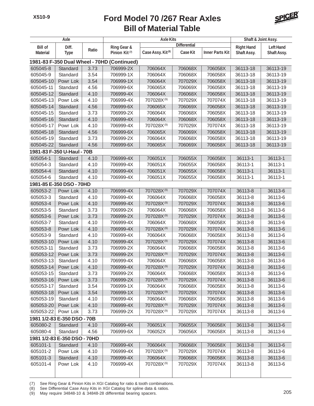

|                 | Axle                         |       |                                             | <b>Axle Kits</b>              |                     |                        | Shaft & Joint Assy. |                  |
|-----------------|------------------------------|-------|---------------------------------------------|-------------------------------|---------------------|------------------------|---------------------|------------------|
| <b>Bill of</b>  | Diff.                        |       | Ring Gear &                                 |                               | <b>Differential</b> |                        | <b>Right Hand</b>   | <b>Left Hand</b> |
| <b>Material</b> | <b>Type</b>                  | Ratio | Pinion Kit <sup>(7)</sup>                   | Case Assy. Kit <sup>(8)</sup> | <b>Case Kit</b>     | <b>Inner Parts Kit</b> | Shaft Assy.         | Shaft Assy.      |
|                 |                              |       | 1981-83 F-350 Dual Wheel - 70HD (Continued) |                               |                     |                        |                     |                  |
| 605045-8        | Standard                     | 3.73  | 706999-2X                                   | 706064X                       | 706068X             | 706058X                | 36113-18            | 36113-19         |
| 605045-9        | Standard                     | 3.54  | 706999-1X                                   | 706064X                       | 706068X             | 706058X                | 36113-18            | 36113-19         |
| 605045-10       | Powr Lok                     | 3.54  | 706999-1X                                   | 706064X                       | 707029X             | 706058X                | 36113-18            | 36113-19         |
| 605045-11       | Standard                     | 4.56  | 706999-6X                                   | 706065X                       | 706069X             | 706058X                | 36113-18            | 36113-19         |
| 605045-12       | Standard                     | 4.10  | 706999-4X                                   | 706064X                       | 706068X             | 706058X                | 36113-18            | 36113-19         |
| 605045-13       | Powr Lok                     | 4.10  | 706999-4X                                   | 707028X(9)                    | 707029X             | 707074X                | 36113-18            | 36113-19         |
| 605045-14       | Standard                     | 4.56  | 706999-6X                                   | 706065X                       | 706069X             | 706058X                | 36113-18            | 36113-19         |
| 605045-15       | Standard                     | 3.73  | 706999-2X                                   | 706064X                       | 706068X             | 706058X                | 36113-18            | 36113-19         |
| 605045-16       | Standard                     | 4.10  | 706999-4X                                   | 706064X                       | 706068X             | 706058X                | 36113-18            | 36113-19         |
| 605045-17       | Powr Lok                     | 4.10  | 706999-4X                                   | 707028X(9)                    | 707029X             | 707074X                | 36113-18            | 36113-19         |
| 605045-18       | Standard                     | 4.56  | 706999-6X                                   | 706065X                       | 706069X             | 706058X                | 36113-18            | 36113-19         |
| 605045-19       | Standard                     | 3.73  | 706999-2X                                   | 706064X                       | 706068X             | 706058X                | 36113-18            | 36113-19         |
| 605045-22       | Standard                     | 4.56  | 706999-6X                                   | 706065X                       | 706069X             | 706058X                | 36113-18            | 36113-19         |
|                 | 1981-83 F-350 U-Haul - 70B   |       |                                             |                               |                     |                        |                     |                  |
| 605054-1        | Standard                     | 4.10  | 706999-4X                                   | 706051X                       | 706055X             | 706058X                | 36113-1             | 36113-1          |
| 605054-3        | Standard                     | 4.10  | 706999-4X                                   | 706051X                       | 706055X             | 706058X                | 36113-1             | 36113-1          |
| 605054-4        | Standard                     | 4.10  | 706999-4X                                   | 706051X                       | 706055X             | 706058X                | 36113-1             | 36113-1          |
| 605054-6        | Standard                     | 4.10  | 706999-4X                                   | 706051X                       | 706055X             | 706058X                | 36113-1             | 36113-1          |
|                 | 1981-85 E-350 DSO - 70HD     |       |                                             |                               |                     |                        |                     |                  |
| 605053-2        | Powr Lok                     | 4.10  | 706999-4X                                   | 707028X(9)                    | 707029X             | 707074X                | 36113-8             | 36113-6          |
| 605053-3        | Standard                     | 4.10  | 706999-4X                                   | 706064X                       | 706068X             | 706058X                | 36113-8             | 36113-6          |
| 605053-4        | Powr Lok                     | 4.10  | 706999-4X                                   | 707028X(9)                    | 707029X             | 707074X                | 36113-8             | 36113-6          |
| 605053-5        | Standard                     | 3.73  | 706999-2X                                   | 706064X                       | 706068X             | 706058X                | 36113-8             | 36113-6          |
| 605053-6        | Powr Lok                     | 3.73  | 706999-2X                                   | 707028X(9)                    | 707029X             | 707074X                | 36113-8             | 36113-6          |
| 605053-7        | Standard                     | 4.10  | 706999-4X                                   | 706064X                       | 706068X             | 706058X                | 36113-8             | 36113-6          |
| 605053-8        | Powr Lok                     | 4.10  | 706999-4X                                   | 707028X(9)                    | 707029X             | 707074X                | 36113-8             | 36113-6          |
| 605053-9        | Standard                     | 4.10  | 706999-4X                                   | 706064X                       | 706068X             | 706058X                | 36113-8             | 36113-6          |
| 605053-10       | Powr Lok                     | 4.10  | 706999-4X                                   | 707028X(9)                    | 707029X             | 707074X                | 36113-8             | 36113-6          |
| 605053-11       | Standard                     | 3.73  | 706999-2X                                   | 706064X                       | 706068X             | 706058X                | 36113-8             | 36113-6          |
| 605053-12       | Powr Lok                     | 3.73  | 706999-2X                                   | 707028X(9)                    | 707029X             | 707074X                | 36113-8             | 36113-6          |
| 605053-13       | Standard                     | 4.10  | 706999-4X                                   | 706064X                       | 706068X             | 706058X                | 36113-8             | 36113-6          |
| 605053-14       | Powr Lok                     | 4.10  | 706999-4X                                   | 707028X <sup>(9)</sup>        | 707029X             | 707074X                | 36113-8             | 36113-6          |
| 605053-15       | Standard                     | 3.73  | 706999-2X                                   | 706064X                       | 706068X             | 706058X                | 36113-8             | 36113-6          |
| 605053-16       | Powr Lok                     | 3.73  | 706999-2X                                   | 707028X <sup>(9)</sup>        | 707029X             | 707074X                | 36113-8             | 36113-6          |
| 605053-17       | Standard                     | 3.54  | 706999-1X                                   | 706064X                       | 706068X             | 706058X                | 36113-8             | 36113-6          |
| 605053-18       | Powr Lok                     | 3.54  | 706999-1X                                   | 707028X(9)                    | 707029X             | 707074X                | 36113-8             | 36113-6          |
| 605053-19       | Standard                     | 4.10  | 706999-4X                                   | 706064X                       | 706068X             | 706058X                | 36113-8             | 36113-6          |
| 605053-20       | Powr Lok                     | 4.10  | 706999-4X                                   | 707028X(9)                    | 707029X             | 707074X                | 36113-8             | 36113-6          |
| 605053-22       | Powr Lok                     | 3.73  | 706999-2X                                   | 707028X <sup>(9)</sup>        | 707029X             | 707074X                | 36113-8             | 36113-6          |
|                 | 1981 1/2-83 E-350 DSO - 70B  |       |                                             |                               |                     |                        |                     |                  |
| 605080-2        | Standard                     | 4.10  | 706999-4X                                   | 706051X                       | 706055X             | 706058X                | 36113-8             | 36113-6          |
| 605080-4        | Standard                     | 4.56  | 706999-6X                                   | 706052X                       | 706056X             | 706058X                | 36113-8             | 36113-6          |
|                 |                              |       |                                             |                               |                     |                        |                     |                  |
|                 | 1981 1/2-83 E-350 DSO - 70HD |       |                                             |                               |                     |                        |                     |                  |
| 605101-1        | Standard                     | 4.10  | 706999-4X                                   | 706064X                       | 706068X             | 706058X                | 36113-8             | 36113-6          |
| 605101-2        | Powr Lok                     | 4.10  | 706999-4X                                   | 707028X(9)                    | 707029X             | 707074X                | 36113-8             | 36113-6          |
| 605101-3        | Standard                     | 4.10  | 706999-4X                                   | 706064X                       | 706068X             | 706058X                | 36113-8             | 36113-6          |
| 605101-4        | Powr Lok                     | 4.10  | 706999-4X                                   | 707028X <sup>(9)</sup>        | 707029X             | 707074X                | 36113-8             | 36113-6          |

(7) See Ring Gear & Pinion Kits in XGI Catalog for ratio & tooth combinations.

(8) See Differential Case Assy Kits in XGI Catalog for spline data & ratios.

(b) See Differential Case Assy Nits in ACT Catalog for spille data & failus.<br>(9) May require 34848-10 & 34848-28 differential bearing spacers.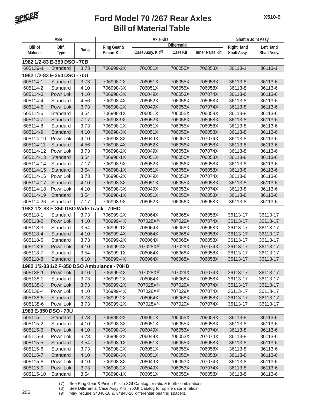

|                      | Axle                                    |       |                                            | <b>Axle Kits</b>              |                     | Shaft & Joint Assy.    |                   |                  |
|----------------------|-----------------------------------------|-------|--------------------------------------------|-------------------------------|---------------------|------------------------|-------------------|------------------|
| <b>Bill of</b>       | Diff.                                   |       | Ring Gear &                                |                               | <b>Differential</b> |                        | <b>Right Hand</b> | <b>Left Hand</b> |
| <b>Material</b>      | <b>Type</b>                             | Ratio | Pinion Kit <sup>(7)</sup>                  | Case Assy. Kit <sup>(8)</sup> | Case Kit            | <b>Inner Parts Kit</b> | Shaft Assy.       | Shaft Assy.      |
|                      | 1982 1/2-83 E-350 DSO - 70B             |       |                                            |                               |                     |                        |                   |                  |
| 605139-1             | Standard                                | 3.73  | 706999-2X                                  | 706051X                       | 706055X             | 706058X                | 36113-1           | 36113-1          |
|                      | 1982 1/2-83 E-350 DSO - 70U             |       |                                            |                               |                     |                        |                   |                  |
| 605114-1             | Standard                                | 3.73  | 706998-2X                                  | 706051X                       | 706055X             | 706058X                | 36113-8           | 36113-6          |
| 605114-2             | Standard                                | 4.10  | 706998-3X                                  | 706051X                       | 706055X             | 706058X                | 36113-8           | 36113-6          |
| 605114-3             | Powr Lok                                | 4.10  | 706998-3X                                  | 706049X                       | 706053X             | 707074X                | 36113-8           | 36113-6          |
| 605114-4             | Standard                                | 4.56  | 706998-4X                                  | 706052X                       | 706056X             | 706058X                | 36113-8           | 36113-6          |
| 605114-5             | Powr Lok                                | 3.73  | 706998-2X                                  | 706049X                       | 706053X             | 707074X                | 36113-8           | 36113-6          |
| 605114-6             | Standard                                | 3.54  | 706998-1X                                  | 706051X                       | 706055X             | 706058X                | 36113-8           | 36113-6          |
| 605114-7             | Standard                                | 7.17  | 706998-9X                                  | 706052X                       | 706056X             | 706058X                | 36113-8           | 36113-6          |
| 605114-8             | Standard                                | 3.73  | 706998-2X                                  | 706051X                       | 706055X             | 706058X                | 36113-8           | 36113-6          |
| 605114-9             | Standard                                | 4.10  | 706998-3X                                  | 706051X                       | 706055X             | 706058X                | 36113-8           | 36113-6          |
| 605114-10            | Powr Lok                                | 4.10  | 706998-3X                                  | 706049X                       | 706053X             | 707074X                | 36113-8           | 36113-6          |
| 605114-11            | Standard                                | 4.56  | 706998-4X                                  | 706052X                       | 706056X             | 706058X                | 36113-8           | 36113-6          |
| 605114-12            | Powr Lok                                | 3.73  | 706998-2X                                  | 706049X                       | 706053X             | 707074X                | 36113-8           | 36113-6          |
| 605114-13            | Standard                                | 3.54  | 706998-1X                                  | 706051X                       | 706055X             | 706058X                | 36113-8           | 36113-6          |
| 605114-14            | Standard                                | 7.17  | 706998-9X                                  | 706052X                       | 706056X             | 706058X                | 36113-8           | 36113-6          |
| 605114-15            | Standard                                | 3.54  | 706998-1X                                  | 706051X                       | 706055X             | 706058X                | 36113-8           | 36113-6          |
| 605114-16            | Powr Lok                                | 3.73  | 706998-2X                                  | 706049X                       | 706053X             | 707074X                | 36113-8           | 36113-6          |
| 605114-17            | Standard                                | 4.10  | 706998-3X                                  | 706051X                       | 706055X             | 706058X                | 36113-8           | 36113-6          |
| 605114-18            | Powr Lok                                | 4.10  | 706998-3X                                  | 706049X                       | 706053X             | 707074X                | 36113-8           | 36113-6          |
| 605114-19            | Standard                                | 3.54  | 706998-1X                                  | 706051X                       | 706055X             | 706058X                | 36113-8           | 36113-6          |
| 605114-26            | Standard                                | 7.17  | 706998-9X                                  | 706052X                       | 706056X             | 706058X                | 36113-8           | 36113-6          |
|                      | 1982 1/2-83 F-350 DSO Wide Track - 70HD |       |                                            |                               |                     |                        |                   |                  |
| 605118-1             | Standard                                | 3.73  | 706999-2X                                  | 706064X                       | 706068X             | 706058X                | 36113-17          | 36113-17         |
| 605118-2             | Powr Lok                                | 4.10  | 706999-4X                                  | 707028X(9)                    | 707029X             | 707074X                | 36113-17          | 36113-17         |
| 605118-3             | Standard                                | 3.54  | 706999-1X                                  | 706064X                       | 706068X             | 706058X                | 36113-17          | 36113-17         |
| 605118-4             | Standard                                | 4.10  | 706999-4X                                  | 706064X                       | 706068X             | 706058X                | 36113-17          | 36113-17         |
| 605118-5             | Standard                                | 3.73  | 706999-2X                                  | 706064X                       | 706068X             | 706058X                | 36113-17          | 36113-17         |
| 605118-6             | Powr Lok                                | 4.10  | 706999-4X                                  | 707028X(9)                    | 707029X             | 707074X                | 36113-17          | 36113-17         |
| 605118-7             | Standard                                | 3.54  | 706999-1X                                  | 706064X                       | 706068X             | 706058X                | 36113-17          | 36113-17         |
| 605118-8             | Standard                                | 4.10  | 706999-4X                                  | 706064X                       | 706068X             | 706058X                | 36113-17          | 36113-17         |
|                      |                                         |       | 1982 1/2-83 1/2 F-350 DSO Ambulance - 70HD |                               |                     |                        |                   |                  |
| 605138-1             | Powr Lok                                | 4.10  | 706999-4X                                  | 707028X <sup>(9)</sup>        | 707029X             | 707074X                | 36113-17          | 36113-17         |
| 605138-2             | Standard                                | 3.73  | 706999-2X                                  | 706064X                       | 706068X             | 706058X                | 36113-17          | 36113-17         |
| 605138-3             | Powr Lok                                | 3.73  | 706999-2X                                  | 707028X(9)                    | 707029X             | 707074X                | 36113-17          | 36113-17         |
| 605138-4             | Powr Lok                                | 4.10  | 706999-4X                                  | 707028X <sup>(9)</sup>        | 707029X             | 707074X                | 36113-17          | 36113-17         |
| 605138-5             | Standard                                | 3.73  | 706999-2X                                  | 706064X                       | 706068X             | 706058X                | 36113-17          | 36113-17         |
| 605138-6             | Powr Lok                                | 3.73  | 706999-2X                                  | 707028X <sup>(9)</sup>        | 707029X             | 707074X                | 36113-17          | 36113-17         |
| 1983 E-350 DSO - 70U |                                         |       |                                            |                               |                     |                        |                   |                  |
| 605115-1             | Standard                                | 3.73  | 706998-2X                                  | 706051X                       | 706055X             | 706058X                | 36113-8           | 36113-6          |
| 605115-2             | Standard                                | 4.10  | 706998-3X                                  | 706051X                       | 706055X             | 706058X                | 36113-8           | 36113-6          |
| 605115-3             | Powr Lok                                | 4.10  | 706998-3X                                  | 706049X                       | 706053X             | 707074X                | 36113-8           | 36113-6          |
| 605115-4             | Powr Lok                                | 3.73  | 706998-2X                                  | 706049X                       | 706053X             | 707074X                | 36113-8           | 36113-6          |
| 605115-5             | Standard                                | 3.54  | 706998-1X                                  | 706051X                       | 706055X             | 706058X                | 36113-8           | 36113-6          |
| 605115-6             | Standard                                | 3.73  | 706998-2X                                  | 706051X                       | 706055X             | 706058X                | 36113-8           | 36113-6          |
| 605115-7             | Standard                                | 4.10  | 706998-3X                                  | 706051X                       | 706055X             | 706058X                | 36113-8           | 36113-6          |
| 605115-8             | Powr Lok                                | 4.10  | 706998-3X                                  | 706049X                       | 706053X             | 707074X                | 36113-8           | 36113-6          |
| 605115-9             | Powr Lok                                | 3.73  | 706998-2X                                  | 706049X                       | 706053X             | 707074X                | 36113-8           | 36113-6          |
| 605115-10            | Standard                                | 3.54  | 706998-1X                                  | 706051X                       | 706055X             | 706058X                | 36113-8           | 36113-6          |

(7) See Ring Gear & Pinion Kits in XGI Catalog for ratio & tooth combinations.<br>(8) See Differential Case Assy Kits in XGI Catalog for spline data & ratios.

(8) See Differential Case Assy Kits in XGI Catalog for spline data & ratios. <sup>206</sup> (9) May require 34848-10 & 34848-28 differential bearing spacers.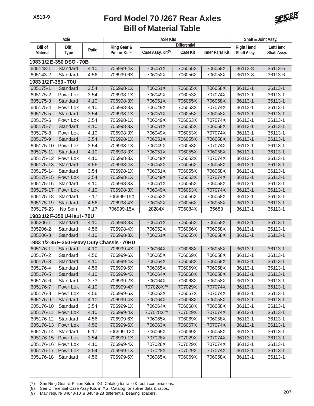

| Axle                 |                             |       |                                             | <b>Axle Kits</b>              |                     | Shaft & Joint Assy.    |                   |                  |
|----------------------|-----------------------------|-------|---------------------------------------------|-------------------------------|---------------------|------------------------|-------------------|------------------|
| <b>Bill of</b>       | Diff.                       |       | Ring Gear &                                 |                               | <b>Differential</b> |                        | <b>Right Hand</b> | <b>Left Hand</b> |
| <b>Material</b>      | <b>Type</b>                 | Ratio | Pinion Kit <sup>(7)</sup>                   | Case Assy. Kit <sup>(8)</sup> | <b>Case Kit</b>     | <b>Inner Parts Kit</b> | Shaft Assy.       | Shaft Assy.      |
|                      | 1983 1/2 E-350 DSO - 70B    |       |                                             |                               |                     |                        |                   |                  |
| 605143-1             | Standard                    | 4.10  | 706999-4X                                   | 706051X                       | 706055X             | 706058X                | 36113-8           | 36113-6          |
| 605143-2             | Standard                    | 4.56  | 706999-6X                                   | 706052X                       | 706056X             | 706058X                | 36113-8           | 36113-6          |
| 1983 1/2 F-350 - 70U |                             |       |                                             |                               |                     |                        |                   |                  |
| 605175-1             | Standard                    | 3.54  | 706998-1X                                   | 706051X                       | 706055X             | 706058X                | 36113-1           | 36113-1          |
| 605175-2             | Powr Lok                    | 3.54  | 706998-1X                                   | 706049X                       | 706053X             | 707074X                | 36113-1           | 36113-1          |
| 605175-3             | Standard                    | 4.10  | 706998-3X                                   | 706051X                       | 706055X             | 706058X                | 36113-1           | 36113-1          |
| 605175-4             | Powr Lok                    | 4.10  | 706998-3X                                   | 706049X                       | 706053X             | 707074X                | 36113-1           | 36113-1          |
| 605175-5             | Standard                    | 3.54  | 706998-1X                                   | 706051X                       | 706055X             | 706058X                | 36113-1           | 36113-1          |
| 605175-6             | Powr Lok                    | 3.54  | 706998-1X                                   | 706049X                       | 706053X             | 707074X                | 36113-1           | 36113-1          |
| 605175-7             | Standard                    | 4.10  | 706998-3X                                   | 706051X                       | 706055X             | 706058X                | 36113-1           | 36113-1          |
| 605175-8             | Powr Lok                    | 4.10  | 706998-3X                                   | 706049X                       | 706053X             | 707074X                | 36113-1           | 36113-1          |
| 605175-9             | Standard                    | 3.54  | 706998-1X                                   | 706051X                       | 706055X             | 706058X                | 36113-1           | 36113-1          |
| 605175-10            | Powr Lok                    | 3.54  | 706998-1X                                   | 706049X                       | 706053X             | 707074X                | 36113-1           | 36113-1          |
| 605175-11            | Standard                    | 4.10  | 706998-3X                                   | 706051X                       | 706055X             | 706058X                | 36113-1           | 36113-1          |
| 605175-12            | Powr Lok                    | 4.10  | 706998-3X                                   | 706049X                       | 706053X             | 707074X                | 36113-1           | 36113-1          |
| 605175-13            | Standard                    | 4.56  | 706998-4X                                   | 706052X                       | 706056X             | 706058X                | 36113-1           | 36113-1          |
| 605175-14            | Standard                    | 3.54  | 706998-1X                                   | 706051X                       | 706055X             | 706058X                | 36113-1           | 36113-1          |
| 605175-15            | Powr Lok                    | 3.54  | 706998-1X                                   | 706049X                       | 706053X             | 707074X                | 36113-1           | 36113-1          |
| 605175-16            | Standard                    | 4.10  | 706998-3X                                   | 706051X                       | 706055X             | 706058X                | 36113-1           | 36113-1          |
| 605175-17            | Powr Lok                    | 4.10  | 706998-3X                                   | 706049X                       | 706053X             | 707074X                | 36113-1           | 36113-1          |
| 605175-18            | Standard                    | 7.17  | 706999-15X                                  | 706052X                       | 706056X             | 706058X                | 36113-1           | 36113-1          |
| 605175-19            | Standard                    | 4.56  | 706998-4X                                   | 706052X                       | 706056X             | 706058X                | 36113-1           | 36113-1          |
| 605175-23            | No Spin                     | 7.17  | 706999-15X                                  | 28284X                        | 706084X             | 35683                  | 36113-1           | 36113-1          |
|                      | 1983 1/2 F-350 U-Haul - 70U |       |                                             |                               |                     |                        |                   |                  |
| 605206-1             | Standard                    | 4.10  | 706998-3X                                   | 706051X                       | 706055X             | 706058X                | 36113-1           | 36113-1          |
| 605206-2             | Standard                    | 4.56  | 706998-4X                                   | 706052X                       | 706056X             | 706058X                | 36113-1           | 36113-1          |
| 605206-3             | Standard                    | 4.10  | 706998-3X                                   | 706051X                       | 706055X             | 706058X                | 36113-1           | 36113-1          |
|                      |                             |       | 1983 1/2-85 F-350 Heavy Duty Chassis - 70HD |                               |                     |                        |                   |                  |
| 605176-1             | Standard                    | 4.10  | 706999-4X                                   | 706064X                       | 706068X             | 706058X                | 36113-1           | 36113-1          |
| 605176-2             | Standard                    | 4.56  | 706999-6X                                   | 706065X                       | 706069X             | 706058X                | 36113-1           | 36113-1          |
| 605176-3             | Standard                    | 4.10  | 706999-4X                                   | 706064X                       | 706068X             | 706058X                | 36113-1           | 36113-1          |
| 605176-4             | Standard                    | 4.56  | 706999-6X                                   | 706065X                       | 706069X             | 706058X                | 36113-1           | 36113-1          |
| 605176-5             | Standard                    | 4.10  | 706999-4X                                   | 706064X                       | 706068X             | 706058X                | 36113-1           | 36113-1          |
| 605176-6             | Standard                    | 3.73  | 706999-2X                                   | 706064X                       | 706068X             | 706058X                | 36113-1           | 36113-1          |
| 605176-7             | Powr Lok                    | 4.10  | 706999-4X                                   | 707028X(9)                    | 707029X             | 707074X                | 36113-1           | 36113-1          |
| 605176-8             | Powr Lok                    | 4.56  | 706999-6X                                   | 706063X                       | 706067X             | 707074X                | 36113-1           | 36113-1          |
| 605176-9             | Standard                    | 4.10  | 706999-4X                                   | 706064X                       | 706068X             | 706058X                | 36113-1           | 36113-1          |
| 605176-10            | Standard                    | 3.54  | 706999-1X                                   | 706064X                       | 706068X             | 706058X                | 36113-1           | 36113-1          |
| 605176-11            | Powr Lok                    | 4.10  | 706999-4X                                   | 707028X(9)                    | 707029X             | 707074X                | 36113-1           | 36113-1          |
| 605176-12            | Standard                    | 4.56  | 706999-6X                                   | 706065X                       | 706069X             | 706058X                | 36113-1           | 36113-1          |
| 605176-13            | Powr Lok                    | 4.56  | 706999-6X                                   | 706063X                       | 706067X             | 707074X                | 36113-1           | 36113-1          |
| 605176-14            | Standard                    | 6.17  | 706999-12X                                  | 706065X                       | 706069X             | 706058X                | 36113-1           | 36113-1          |
| 605176-15            | Powr Lok                    | 3.54  | 706999-1X                                   | 707028X                       | 707029X             | 707074X                | 36113-1           | 36113-1          |
| 605176-16            | Powr Lok                    | 4.10  | 706999-4X                                   | 707028X                       | 707029X             | 707074X                | 36113-1           | 36113-1          |
| 605176-17            | Powr Lok                    | 3.54  | 706999-1X                                   | 707028X                       | 707029X             | 707074X                | 36113-1           | 36113-1          |
| 605176-18            | Standard                    | 4.56  | 706999-6X                                   | 706065X                       | 706069X             | 706058X                | 36113-1           | 36113-1          |
|                      |                             |       |                                             |                               |                     |                        |                   |                  |
|                      |                             |       |                                             |                               |                     |                        |                   |                  |

(7) See Ring Gear & Pinion Kits in XGI Catalog for ratio & tooth combinations.

(8) See Differential Case Assy Kits in XGI Catalog for spline data & ratios. (9) May require 34848-10 & 34848-28 differential bearing spacers. 207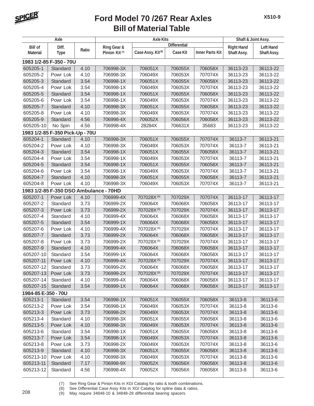

|                     | Axle                                   |       |                           | <b>Axle Kits</b>              |                     |                        | Shaft & Joint Assy. |                  |
|---------------------|----------------------------------------|-------|---------------------------|-------------------------------|---------------------|------------------------|---------------------|------------------|
| <b>Bill of</b>      | Diff.                                  |       | Ring Gear &               |                               | <b>Differential</b> |                        | <b>Right Hand</b>   | <b>Left Hand</b> |
| <b>Material</b>     | <b>Type</b>                            | Ratio | Pinion Kit <sup>(7)</sup> | Case Assy. Kit <sup>(8)</sup> | Case Kit            | <b>Inner Parts Kit</b> | Shaft Assy.         | Shaft Assy.      |
|                     | 1983 1/2-85 F-350 - 70U                |       |                           |                               |                     |                        |                     |                  |
| 605205-1            | Standard                               | 4.10  | 706998-3X                 | 706051X                       | 706055X             | 706058X                | 36113-23            | 36113-22         |
| 605205-2            | Powr Lok                               | 4.10  | 706998-3X                 | 706049X                       | 706053X             | 707074X                | 36113-23            | 36113-22         |
| 605205-3            | Standard                               | 3.54  | 706998-1X                 | 706051X                       | 706055X             | 706058X                | 36113-23            | 36113-22         |
| 605205-4            | Powr Lok                               | 3.54  | 706998-1X                 | 706049X                       | 706053X             | 707074X                | 36113-23            | 36113-22         |
| 605205-5            | Standard                               | 3.54  | 706998-1X                 | 706051X                       | 706055X             | 706058X                | 36113-23            | 36113-22         |
| 605205-6            | Powr Lok                               | 3.54  | 706998-1X                 | 706049X                       | 706053X             | 707074X                | 36113-23            | 36113-22         |
| 605205-7            | Standard                               | 4.10  | 706998-3X                 | 706051X                       | 706055X             | 706058X                | 36113-23            | 36113-22         |
| 605205-8            | Powr Lok                               | 4.10  | 706998-3X                 | 706049X                       | 706053X             | 707074X                | 36113-23            | 36113-22         |
| 605205-9            | Standard                               | 4.56  | 706998-4X                 | 706052X                       | 706056X             | 706058X                | 36113-23            | 36113-22         |
| 605205-10           | No Spin                                | 4.56  | 706998-4X                 | 28284X                        | 706631X             | 35683                  | 36113-23            | 36113-22         |
|                     | 1983 1/2-85 F-350 Pick-Up - 70U        |       |                           |                               |                     |                        |                     |                  |
| 605204-1            | Standard                               | 4.10  | 706998-3X                 | 706051X                       | 706055X             | 707074X                | 36113-7             | 36113-21         |
| 605204-2            | Powr Lok                               | 4.10  | 706998-3X                 | 706049X                       | 706053X             | 707074X                | 36113-7             | 36113-21         |
| 605204-3            | Standard                               | 3.54  | 706998-1X                 | 706051X                       | 706055X             | 706058X                | 36113-7             | 36113-21         |
| 605204-4            | Powr Lok                               | 3.54  | 706998-1X                 | 706049X                       | 706053X             | 707074X                | 36113-7             | 36113-21         |
| 605204-5            | Standard                               | 3.54  | 706998-1X                 | 706051X                       | 706055X             | 706058X                | 36113-7             | 36113-21         |
| 605204-6            | Powr Lok                               | 3.54  | 706998-1X                 | 706049X                       | 706053X             | 707074X                | 36113-7             | 36113-21         |
| 605204-7            | Standard                               | 4.10  | 706998-3X                 | 706051X                       | 706055X             | 706058X                | 36113-7             | 36113-21         |
| 605204-8            | Powr Lok                               | 4.10  | 706998-3X                 | 706049X                       | 706053X             | 707074X                | 36113-7             | 36113-21         |
|                     | 1983 1/2-85 F-350 DSO Ambulance - 70HD |       |                           |                               |                     |                        |                     |                  |
| 605207-1            | Powr Lok                               | 4.10  | 706999-4X                 | 707028X(9)                    | 707029X             | 707074X                | 36113-17            | 36113-17         |
| 605207-2            | Standard                               | 3.73  | 706999-2X                 | 706064X                       | 706068X             | 706058X                | 36113-17            | 36113-17         |
| 605207-3            | Powr Lok                               | 3.73  | 706999-2X                 | 707028X(9)                    | 707029X             | 707074X                | 36113-17            | 36113-17         |
| 605207-4            | Standard                               | 4.10  | 706999-4X                 | 706064X                       | 706068X             | 706058X                | 36113-17            | 36113-17         |
| 605207-5            | Standard                               | 3.54  | 706999-1X                 | 706064X                       | 706068X             | 706058X                | 36113-17            | 36113-17         |
| 605207-6            | Powr Lok                               | 4.10  | 706999-4X                 | 707028X(9)                    | 707029X             | 707074X                | 36113-17            | 36113-17         |
| 605207-7            | Standard                               | 3.73  | 706999-2X                 | 706064X                       | 706068X             | 706058X                | 36113-17            | 36113-17         |
| 605207-8            | Powr Lok                               | 3.73  | 706999-2X                 | 707028X(9)                    | 707029X             | 707074X                | 36113-17            | 36113-17         |
| 605207-9            | Standard                               | 4.10  | 706999-4X                 | 706064X                       | 706068X             | 706058X                | 36113-17            | 36113-17         |
| 605207-10           | Standard                               | 3.54  | 706999-1X                 | 706064X                       | 706068X             | 706058X                | 36113-17            | 36113-17         |
| 605207-11           | Powr Lok                               | 4.10  | 706999-4X                 | 707028X(9)                    | 707029X             | 707074X                | 36113-17            | 36113-17         |
| 605207-12           | Standard                               | 3.73  | 706999-2X                 | 706064X                       | 706068X             | 706058X                | 36113-17            | 36113-17         |
| 605207-13           | Powr Lok                               | 3.73  | 706999-2X                 | 707028X <sup>(9)</sup>        | 707029X             | 707074X                | 36113-17            | 36113-17         |
| 605207-14           | Standard                               | 4.10  | 706999-4X                 | 706064X                       | 706068X             | 706058X                | 36113-17            | 36113-17         |
| 605207-15           | Standard                               | 3.54  | 706999-1X                 | 706064X                       | 706068X             | 706058X                | 36113-17            | 36113-17         |
| 1984-85 E-350 - 70U |                                        |       |                           |                               |                     |                        |                     |                  |
| 605213-1            | Standard                               | 3.54  | 706998-1X                 | 706051X                       | 706055X             | 706058X                | 36113-8             | 36113-6          |
| 605213-2            | Powr Lok                               | 3.54  | 706998-1X                 | 706049X                       | 706053X             | 707074X                | 36113-8             | 36113-6          |
| 605213-3            | Powr Lok                               | 3.73  | 706998-2X                 | 706049X                       | 706053X             | 707074X                | 36113-8             | 36113-6          |
| 605213-4            | Standard                               | 4.10  | 706998-3X                 | 706051X                       | 706055X             | 706058X                | 36113-8             | 36113-6          |
| 605213-5            | Powr Lok                               | 4.10  | 706998-3X                 | 706049X                       | 706053X             | 707074X                | 36113-8             | 36113-6          |
| 605213-6            | Standard                               | 3.54  | 706998-1X                 | 706051X                       | 706055X             | 706058X                | 36113-8             | 36113-6          |
| 605213-7            | Powr Lok                               | 3.54  | 706998-1X                 | 706049X                       | 706053X             | 707074X                | 36113-8             | 36113-6          |
| 605213-8            | Powr Lok                               | 3.73  | 706998-2X                 | 706049X                       | 706053X             | 707074X                | 36113-8             | 36113-6          |
| 605213-9            | Standard                               | 4.10  | 706998-3X                 | 706051X                       | 706055X             | 706058X                | 36113-8             | 36113-6          |
| 605213-10           | Powr Lok                               | 4.10  | 706998-3X                 | 706049X                       | 706053X             | 707074X                | 36113-8             | 36113-6          |
| 605213-11           | Standard                               | 7.17  | 706998-9X                 | 706052X                       | 706056X             | 706058X                | 36113-8             | 36113-6          |
| 605213-12           | Standard                               | 4.56  | 706998-4X                 | 706052X                       | 706056X             | 706058X                | 36113-8             | 36113-6          |
|                     |                                        |       |                           |                               |                     |                        |                     |                  |

(7) See Ring Gear & Pinion Kits in XGI Catalog for ratio & tooth combinations.<br>(8) See Differential Case Assy Kits in XGI Catalog for spline data & ratios.

(8) See Differential Case Assy Kits in XGI Catalog for spline data & ratios. <sup>208</sup> (9) May require 34848-10 & 34848-28 differential bearing spacers.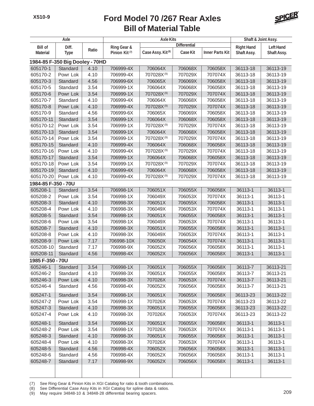

|                     | Axle                            |       |                           | <b>Axle Kits</b>              |                     |                        | Shaft & Joint Assy. |                  |
|---------------------|---------------------------------|-------|---------------------------|-------------------------------|---------------------|------------------------|---------------------|------------------|
| <b>Bill of</b>      | Diff.                           |       | Ring Gear &               |                               | <b>Differential</b> |                        | <b>Right Hand</b>   | <b>Left Hand</b> |
| <b>Material</b>     | <b>Type</b>                     | Ratio | Pinion Kit <sup>(7)</sup> | Case Assy. Kit <sup>(8)</sup> | <b>Case Kit</b>     | <b>Inner Parts Kit</b> | Shaft Assy.         | Shaft Assy.      |
|                     | 1984-85 F-350 Big Dooley - 70HD |       |                           |                               |                     |                        |                     |                  |
| 605170-1            | Standard                        | 4.10  | 706999-4X                 | 706064X                       | 706068X             | 706058X                | 36113-18            | 36113-19         |
| 605170-2            | Powr Lok                        | 4.10  | 706999-4X                 | 707028X(9)                    | 707029X             | 707074X                | 36113-18            | 36113-19         |
| 605170-3            | Standard                        | 4.56  | 706999-6X                 | 706065X                       | 706069X             | 706058X                | 36113-18            | 36113-19         |
| 605170-5            | Standard                        | 3.54  | 706999-1X                 | 706064X                       | 706068X             | 706058X                | 36113-18            | 36113-19         |
| 605170-6            | Powr Lok                        | 3.54  | 706999-1X                 | 707028X(9)                    | 707029X             | 707074X                | 36113-18            | 36113-19         |
| 605170-7            | Standard                        | 4.10  | 706999-4X                 | 706064X                       | 706068X             | 706058X                | 36113-18            | 36113-19         |
| 605170-8            | Powr Lok                        | 4.10  | 706999-4X                 | 707028X(9)                    | 707029X             | 707074X                | 36113-18            | 36113-19         |
| 605170-9            | Standard                        | 4.56  | 706999-6X                 | 706065X                       | 706069X             | 706058X                | 36113-18            | 36113-19         |
| 605170-11           | Standard                        | 3.54  | 706999-1X                 | 706064X                       | 706068X             | 706058X                | 36113-18            | 36113-19         |
| 605170-12           | Powr Lok                        | 3.54  | 706999-1X                 | 707028X(9)                    | 707029X             | 707074X                | 36113-18            | 36113-19         |
| 605170-13           | Standard                        | 3.54  | 706999-1X                 | 706064X                       | 706068X             | 706058X                | 36113-18            | 36113-19         |
| 605170-14           | Powr Lok                        | 3.54  | 706999-1X                 | 707028X(9)                    | 707029X             | 707074X                | 36113-18            | 36113-19         |
| 605170-15           | Standard                        | 4.10  | 706999-4X                 | 706064X                       | 706068X             | 706058X                | 36113-18            | 36113-19         |
| 605170-16           | Powr Lok                        | 4.10  | 706999-4X                 | 707028X(9)                    | 707029X             | 707074X                | 36113-18            | 36113-19         |
| 605170-17           | Standard                        | 3.54  | 706999-1X                 | 706064X                       | 706068X             | 706058X                | 36113-18            | 36113-19         |
| 605170-18           | Powr Lok                        | 3.54  | 706999-1X                 | 707028X(9)                    | 707029X             | 707074X                | 36113-18            | 36113-19         |
| 605170-19           | Standard                        | 4.10  | 706999-4X                 | 706064X                       | 706068X             | 706058X                | 36113-18            | 36113-19         |
| 605170-20           | Powr Lok                        | 4.10  | 706999-4X                 | 707028X <sup>(9)</sup>        | 707029X             | 707074X                | 36113-18            | 36113-19         |
| 1984-85 F-350 - 70U |                                 |       |                           |                               |                     |                        |                     |                  |
| 605208-1            | Standard                        | 3.54  | 706998-1X                 | 706051X                       | 706055X             | 706058X                | 36113-1             | 36113-1          |
| 605208-2            | Powr Lok                        | 3.54  | 706998-1X                 | 706049X                       | 706053X             | 707074X                | 36113-1             | 36113-1          |
| 605208-3            | Standard                        | 4.10  | 706998-3X                 | 706051X                       | 706055X             | 706058X                | 36113-1             | 36113-1          |
| 605208-4            | Powr Lok                        | 4.10  | 706998-3X                 | 706049X                       | 706053X             | 707074X                | 36113-1             | 36113-1          |
| 605208-5            | Standard                        | 3.54  | 706998-1X                 | 706051X                       | 706055X             | 706058X                | 36113-1             | 36113-1          |
| 605208-6            | Powr Lok                        | 3.54  | 706998-1X                 | 706049X                       | 706053X             | 707074X                | 36113-1             | 36113-1          |
| 605208-7            | Standard                        | 4.10  | 706998-3X                 | 706051X                       | 706055X             | 706058X                | 36113-1             | 36113-1          |
| 605208-8            | Powr Lok                        | 4.10  | 706998-3X                 | 706049X                       | 706053X             | 707074X                | 36113-1             | 36113-1          |
| 605208-9            | Powr Lok                        | 7.17  | 706998-10X                | 706050X                       | 706054X             | 707074X                | 36113-1             | 36113-1          |
| 605208-10           | Standard                        | 7.17  | 706998-9X                 | 706052X                       | 706056X             | 706058X                | 36113-1             | 36113-1          |
| 605208-11           | Standard                        | 4.56  | 706998-4X                 | 706052X                       | 706056X             | 706058X                | 36113-1             | 36113-1          |
| 1985 F-350 - 70U    |                                 |       |                           |                               |                     |                        |                     |                  |
| 605246-1            | Standard                        | 3.54  | 706998-1X                 | 706051X                       | 706055X             | 706058X                | 36113-7             | 36113-21         |
| 605246-2            | Standard                        | 4.10  | 706998-3X                 | 706051X                       | 706055X             | 706058X                | 36113-7             | 36113-21         |
| 605246-3            | Powr Lok                        | 4.10  | 706998-3X                 | 707026X                       | 706053X             | 707074X                | 36113-7             | 36113-21         |
| 605246-4            | Standard                        | 4.56  | 706998-4X                 | 706052X                       | 706056X             | 706058X                | 36113-7             | 36113-21         |
| 605247-1            | Standard                        | 3.54  | 706998-1X                 | 706051X                       | 706055X             | 706058X                | 36113-23            | 36113-22         |
| 605247-2            | Powr Lok                        | 3.54  | 706998-1X                 | 707026X                       | 706053X             | 707074X                | 36113-23            | 36113-22         |
| 605247-3            | Standard                        | 4.10  | 706998-3X                 | 706051X                       | 706055X             | 706058X                | 36113-23            | 36113-22         |
| 605247-4            | Powr Lok                        | 4.10  | 706998-3X                 | 707026X                       | 706053X             | 707074X                | 36113-23            | 36113-22         |
| 605248-1            | Standard                        | 3.54  | 706998-1X                 | 706051X                       | 706055X             | 706058X                | 36113-1             | 36113-1          |
| 605248-2            | Powr Lok                        | 3.54  | 706998-1X                 | 707026X                       | 706053X             | 707074X                | 36113-1             | 36113-1          |
| 605248-3            | Standard                        | 4.10  | 706998-3X                 | 706051X                       | 706055X             | 706058X                | 36113-1             | 36113-1          |
| 605248-4            | Powr Lok                        | 4.10  | 706998-3X                 | 707026X                       | 706053X             | 707074X                | 36113-1             | 36113-1          |
| 605248-5            | Standard                        | 4.56  | 706998-4X                 | 706052X                       | 706056X             | 706058X                | 36113-1             | 36113-1          |
| 605248-6            | Standard                        | 4.56  | 706998-4X                 | 706052X                       | 706056X             | 706058X                | 36113-1             | 36113-1          |
| 605248-7            | Standard                        | 7.17  | 706998-9X                 | 706052X                       | 706056X             | 706058X                | 36113-1             | 36113-1          |
|                     |                                 |       |                           |                               |                     |                        |                     |                  |
|                     |                                 |       |                           |                               |                     |                        |                     |                  |

(7) See Ring Gear & Pinion Kits in XGI Catalog for ratio & tooth combinations.

(8) See Differential Case Assy Kits in XGI Catalog for spline data & ratios.

(b) See Differential Case Assy Nits in ACT Catalog for spille data & failus.<br>(9) May require 34848-10 & 34848-28 differential bearing spacers.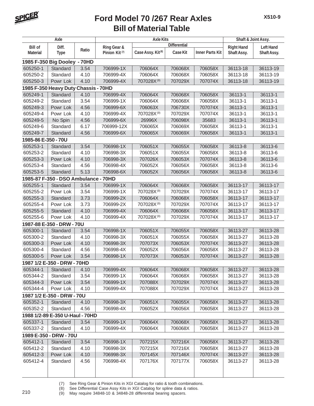

| Axle                |                                      |             |                           | <b>Axle Kits</b>              |                     |                        | Shaft & Joint Assy. |                  |
|---------------------|--------------------------------------|-------------|---------------------------|-------------------------------|---------------------|------------------------|---------------------|------------------|
| <b>Bill of</b>      | Diff.                                |             | Ring Gear &               |                               | <b>Differential</b> |                        | <b>Right Hand</b>   | <b>Left Hand</b> |
| <b>Material</b>     | <b>Type</b>                          | Ratio       | Pinion Kit <sup>(7)</sup> | Case Assy. Kit <sup>(8)</sup> | Case Kit            | <b>Inner Parts Kit</b> | Shaft Assy.         | Shaft Assy.      |
|                     | 1985 F-350 Big Dooley -              | <b>70HD</b> |                           |                               |                     |                        |                     |                  |
| 605250-1            | Standard                             | 3.54        | 706999-1X                 | 706064X                       | 706068X             | 706058X                | 36113-18            | 36113-19         |
| 605250-2            | Standard                             | 4.10        | 706999-4X                 | 706064X                       | 706068X             | 706058X                | 36113-18            | 36113-19         |
| 605250-3            | Powr Lok                             | 4.10        | 706999-4X                 | 707028X(9)                    | 707029X             | 707074X                | 36113-18            | 36113-19         |
|                     | 1985 F-350 Heavy Duty Chassis - 70HD |             |                           |                               |                     |                        |                     |                  |
| 605249-1            | Standard                             | 4.10        | 706999-4X                 | 706064X                       | 706068X             | 706058X                | 36113-1             | 36113-1          |
| 605249-2            | Standard                             | 3.54        | 706999-1X                 | 706064X                       | 706068X             | 706058X                | 36113-1             | 36113-1          |
| 605249-3            | Powr Lok                             | 4.56        | 706999-6X                 | 706063X                       | 706730X             | 707074X                | 36113-1             | 36113-1          |
| 605249-4            | Powr Lok                             | 4.10        | 706999-4X                 | 707028X <sup>(9)</sup>        | 707029X             | 707074X                | 36113-1             | 36113-1          |
| 605249-5            | No Spin                              | 4.56        | 706999-6X                 | 26996X                        | 706098X             | 35683                  | 36113-1             | 36113-1          |
| 605249-6            | Standard                             | 6.17        | 706999-12X                | 706065X                       | 706069X             | 706058X                | 36113-1             | 36113-1          |
| 605249-7            | Standard                             | 4.56        | 706999-6X                 | 706065X                       | 706069X             | 706058X                | 36113-1             | 36113-1          |
| 1985-86 E-350 - 70U |                                      |             |                           |                               |                     |                        |                     |                  |
| 605253-1            | Standard                             | 3.54        | 706998-1X                 | 706051X                       | 706055X             | 706058X                | 36113-8             | 36113-6          |
| 605253-2            | Standard                             | 4.10        | 706998-3X                 | 706051X                       | 706055X             | 706058X                | 36113-8             | 36113-6          |
| 605253-3            | Powr Lok                             | 4.10        | 706998-3X                 | 707026X                       | 706053X             | 707074X                | 36113-8             | 36113-6          |
| 605253-4            | Standard                             | 4.56        | 706998-4X                 | 706052X                       | 706056X             | 706058X                | 36113-8             | 36113-6          |
| 605253-5            | Standard                             | 5.13        | 706998-6X                 | 706052X                       | 706056X             | 706058X                | 36113-8             | 36113-6          |
|                     | 1985-87 F-350 - DSO Ambulance - 70HD |             |                           |                               |                     |                        |                     |                  |
| 605255-1            | Standard                             | 3.54        | 706999-1X                 | 706064X                       | 706068X             | 706058X                | 36113-17            | 36113-17         |
| 605255-2            | Powr Lok                             | 3.54        | 706999-1X                 | 707028X(9)                    | 707029X             | 707074X                | 36113-17            | 36113-17         |
| 605255-3            | Standard                             | 3.73        | 706999-2X                 | 706064X                       | 706068X             | 706058X                | 36113-17            | 36113-17         |
| 605255-4            | Powr Lok                             | 3.73        | 706999-2X                 | 707028X <sup>(9)</sup>        | 707029X             | 707074X                | 36113-17            | 36113-17         |
| 605255-5            | Standard                             | 4.10        | 706999-4X                 | 706064X                       | 706068X             | 706058X                | 36113-17            | 36113-17         |
| 605255-6            | Powr Lok                             | 4.10        | 706999-4X                 | 707028X(9)                    | 707029X             | 707074X                | 36113-17            | 36113-17         |
|                     | 1987-88 E-350 - DRW - 70U            |             |                           |                               |                     |                        |                     |                  |
| 605300-1            | Standard                             | 3.54        | 706998-1X                 | 706051X                       | 706055X             | 706058X                | 36113-27            | 36113-28         |
| 605300-2            | Standard                             | 4.10        | 706998-3X                 | 706051X                       | 706055X             | 706058X                | 36113-27            | 36113-28         |
| 605300-3            | Powr Lok                             | 4.10        | 706998-3X                 | 707073X                       | 706053X             | 707074X                | 36113-27            | 36113-28         |
| 605300-4            | Standard                             | 4.56        | 706998-4X                 | 706052X                       | 706056X             | 706058X                | 36113-27            | 36113-28         |
| 605300-5            | Powr Lok                             | 3.54        | 706998-1X                 | 707073X                       | 706053X             | 707074X                | 36113-27            | 36113-28         |
|                     | 1987 1/2 E-350 - DRW - 70HD          |             |                           |                               |                     |                        |                     |                  |
| 605344-1            | Standard                             | 4.10        | 706999-4X                 | 706064X                       | 706068X             | 706058X                | 36113-27            | 36113-28         |
| 605344-2            | Standard                             | 3.54        | 706999-1X                 | 706064X                       | 706068X             | 706058X                | 36113-27            | 36113-28         |
| 605344-3            | Powr Lok                             | 3.54        | 706999-1X                 | 707088X                       | 707029X             | 707074X                | 36113-27            | 36113-28         |
| 605344-4            | Powr Lok                             | 4.10        | 706999-4X                 | 707088X                       | 707029X             | 707074X                | 36113-27            | 36113-28         |
|                     | 1987 1/2 E-350 - DRW - 70U           |             |                           |                               |                     |                        |                     |                  |
| 605352-1            | Standard                             | 4.10        | 706998-3X                 | 706051X                       | 706055X             | 706058X                | 36113-27            | 36113-28         |
| 605352-2            | Standard                             | 4.56        | 706998-4X                 | 706052X                       | 706056X             | 706058X                | 36113-27            | 36113-28         |
|                     | 1988 1/2-89 E-350 U-Haul - 70HD      |             |                           |                               |                     |                        |                     |                  |
| 605337-1            | Standard                             | 3.54        | 706999-1X                 | 706064X                       | 706068X             | 706058X                | 36113-27            | 36113-28         |
| 605337-2            | Standard                             | 4.10        | 706999-4X                 | 706064X                       | 706068X             | 706058X                | 36113-27            | 36113-28         |
|                     | 1989 E-350 - DRW - 70U               |             |                           |                               |                     |                        |                     |                  |
| 605412-1            | Standard                             | 3.54        | 706998-1X                 | 707215X                       | 707216X             | 706058X                | 36113-27            | 36113-28         |
| 605412-2            | Standard                             | 4.10        | 706998-3X                 | 707215X                       | 707216X             | 706058X                | 36113-27            | 36113-28         |
| 605412-3            | Powr Lok                             | 4.10        | 706998-3X                 | 707145X                       | 707146X             | 707074X                | 36113-27            | 36113-28         |
| 605412-4            | Standard                             | 4.56        | 706998-4X                 | 707176X                       | 707177X             | 706058X                | 36113-27            | 36113-28         |
|                     |                                      |             |                           |                               |                     |                        |                     |                  |

(7) See Ring Gear & Pinion Kits in XGI Catalog for ratio & tooth combinations.<br>(8) See Differential Case Assy Kits in XGI Catalog for spline data & ratios.

(8) See Differential Case Assy Kits in XGI Catalog for spline data & ratios. <sup>210</sup> (9) May require 34848-10 & 34848-28 differential bearing spacers.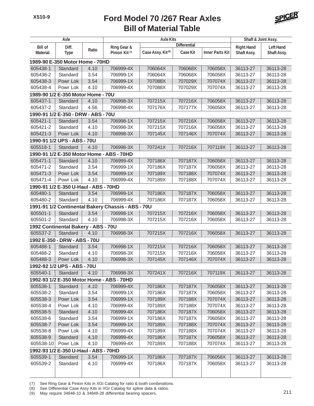

|                 | Axle                                  |       |                                                    | <b>Axle Kits</b>              |                     |                        | Shaft & Joint Assy. |                  |
|-----------------|---------------------------------------|-------|----------------------------------------------------|-------------------------------|---------------------|------------------------|---------------------|------------------|
| <b>Bill of</b>  | Diff.                                 |       | Ring Gear &                                        |                               | <b>Differential</b> |                        | <b>Right Hand</b>   | <b>Left Hand</b> |
| <b>Material</b> | <b>Type</b>                           | Ratio | Pinion Kit <sup>(7)</sup>                          | Case Assy. Kit <sup>(8)</sup> | <b>Case Kit</b>     | <b>Inner Parts Kit</b> | Shaft Assy.         | Shaft Assy.      |
|                 | 1989-90 E-350 Motor Home - 70HD       |       |                                                    |                               |                     |                        |                     |                  |
| 605438-1        | Standard                              | 4.10  | 706999-4X                                          | 706064X                       | 706068X             | 706058X                | 36113-27            | 36113-28         |
| 605438-2        | Standard                              | 3.54  | 706999-1X                                          | 706064X                       | 706068X             | 706058X                | 36113-27            | 36113-28         |
| 605438-3        | Powr Lok                              | 3.54  | 706999-1X                                          | 707088X                       | 707029X             | 707074X                | 36113-27            | 36113-28         |
| 605438-4        | Powr Lok                              | 4.10  | 706999-4X                                          | 707088X                       | 707029X             | 707074X                | 36113-27            | 36113-28         |
|                 | 1989-90 1/2 E-350 Motor Home - 70U    |       |                                                    |                               |                     |                        |                     |                  |
| 605437-1        | Standard                              | 4.10  | 706998-3X                                          | 707215X                       | 707216X             | 706058X                | 36113-27            | 36113-28         |
| 605437-2        | Standard                              | 4.56  | 706998-4X                                          | 707176X                       | 707177X             | 706058X                | 36113-27            | 36113-28         |
|                 | 1990-91 1/2 E-350 - DRW - ABS - 70U   |       |                                                    |                               |                     |                        |                     |                  |
| 605421-1        | Standard                              | 3.54  | 706998-1X                                          | 707215X                       | 707216X             | 706058X                | 36113-27            | 36113-28         |
| 605421-2        | Standard                              | 4.10  | 706998-3X                                          | 707215X                       | 707216X             | 706058X                | 36113-27            | 36113-28         |
| 605421-3        | Powr Lok                              | 4.10  | 706998-3X                                          | 707145X                       | 707146X             | 707074X                | 36113-27            | 36113-28         |
|                 | 1990-91 1/2 UPS - ABS - 70U           |       |                                                    |                               |                     |                        |                     |                  |
| 605518-1        | Standard                              | 4.10  | 706998-3X                                          | 707241X                       | 707216X             | 707119X                | 36113-27            | 36113-28         |
|                 |                                       |       | 1990-91 1/2 E-350 Motor Home - ABS - 70HD          |                               |                     |                        |                     |                  |
| 605471-1        | Standard                              | 4.10  | 706999-4X                                          | 707186X                       | 707187X             | 706058X                | 36113-27            | 36113-28         |
| 605471-2        | Standard                              | 3.54  | 706999-1X                                          | 707186X                       | 707187X             | 706058X                | 36113-27            | 36113-28         |
| 605471-3        | Powr Lok                              | 3.54  | 706999-1X                                          | 707189X                       | 707188X             | 707074X                | 36113-27            | 36113-28         |
| 605471-4        | Powr Lok                              | 4.10  | 706999-4X                                          | 707189X                       | 707188X             | 707074X                | 36113-27            | 36113-28         |
|                 | 1990-91 1/2 E-350 U-Haul - ABS - 70HD |       |                                                    |                               |                     |                        |                     |                  |
| 605480-1        | Standard                              | 3.54  | 706999-1X                                          | 707186X                       | 707187X             | 706058X                | 36113-27            | 36113-28         |
| 605480-2        | Standard                              | 4.10  | 706999-4X                                          | 707186X                       | 707187X             | 706058X                | 36113-27            | 36113-28         |
|                 |                                       |       | 1991-91 1/2 Continental Bakery Chassis - ABS - 70U |                               |                     |                        |                     |                  |
| 605501-1        | Standard                              | 3.54  | 706998-1X                                          | 707215X                       | 707216X             | 706058X                | 36113-27            | 36113-28         |
| 605501-2        | Standard                              | 4.10  | 706998-3X                                          | 707215X                       | 707216X             | 706058X                | 36113-27            | 36113-28         |
|                 | 1992 Continental Bakery - ABS - 70U   |       |                                                    |                               |                     |                        |                     |                  |
| 605537-2        | Standard                              | 4.10  | 706998-3X                                          | 707215X                       | 707216X             | 706058X                | 36113-27            | 36113-28         |
|                 | 1992 E-350 - DRW - ABS - 70U          |       |                                                    |                               |                     |                        |                     |                  |
| 605488-1        | Standard                              | 3.54  | 706998-1X                                          | 707215X                       | 707216X             | 706058X                | 36113-27            | 36113-28         |
| 605488-2        | Standard                              | 4.10  | 706998-3X                                          | 707215X                       | 707216X             | 706058X                | 36113-27            | 36113-28         |
| 605488-3        | Powr Lok                              | 4.10  | 706998-3X                                          | 707145X                       | 707146X             | 707074X                | 36113-27            | 36113-28         |
|                 | 1992-92 1/2 UPS - ABS - 70U           |       |                                                    |                               |                     |                        |                     |                  |
| 605540-1        | Standard                              | 4.10  | 706998-3X                                          | 707241X                       | 707216X             | 707119X                | 36113-27            | 36113-28         |
|                 |                                       |       | 1992-93 1/2 E-350 Motor Home - ABS - 70HD          |                               |                     |                        |                     |                  |
| 605538-1        | Standard                              | 4.10  | 706999-4X                                          | 707186X                       | 707187X             | 706058X                | 36113-27            | 36113-28         |
| 605538-2        | Standard                              | 3.54  | 706999-1X                                          | 707186X                       | 707187X             | 706058X                | 36113-27            | 36113-28         |
| 605538-3        | Powr Lok                              | 3.54  | 706999-1X                                          | 707189X                       | 707188X             | 707074X                | 36113-27            | 36113-28         |
| 605538-4        | Powr Lok                              | 4.10  | 706999-4X                                          | 707189X                       | 707188X             | 707074X                | 36113-27            | 36113-28         |
| 605538-5        | Standard                              | 4.10  | 706999-4X                                          | 707186X                       | 707187X             | 706058X                | 36113-27            | 36113-28         |
| 605538-6        | Standard                              | 3.54  | 706999-1X                                          | 707186X                       | 707187X             | 706058X                | 36113-27            | 36113-28         |
| 605538-7        | Powr Lok                              | 3.54  | 706999-1X                                          | 707189X                       | 707188X             | 707074X                | 36113-27            | 36113-28         |
| 605538-8        | Powr Lok                              | 4.10  | 706999-4X                                          | 707189X                       | 707188X             | 707074X                | 36113-27            | 36113-28         |
| 605538-9        | Standard                              | 4.10  | 706999-4X                                          | 707186X                       | 707187X             | 706058X                | 36113-27            | 36113-28         |
| 605538-10       | Powr Lok                              | 4.10  | 706999-4X                                          | 707189X                       | 707188X             | 707074X                | 36113-27            | 36113-28         |
|                 | 1992-93 1/2 E-350 U-Haul - ABS - 70HD |       |                                                    |                               |                     |                        |                     |                  |
| 605539-1        | Standard                              | 3.54  | 706999-1X                                          | 707186X                       | 707187X             | 706058X                | 36113-27            | 36113-28         |
| 605539-2        | Standard                              | 4.10  | 706999-4X                                          | 707186X                       | 707187X             | 706058X                | 36113-27            | 36113-28         |
|                 |                                       |       |                                                    |                               |                     |                        |                     |                  |

(7) See Ring Gear & Pinion Kits in XGI Catalog for ratio & tooth combinations.

(8) See Differential Case Assy Kits in XGI Catalog for spline data & ratios.

(b) See Differential Case Assy Nits in ACT Catalog for spille data & failus.<br>(9) May require 34848-10 & 34848-28 differential bearing spacers.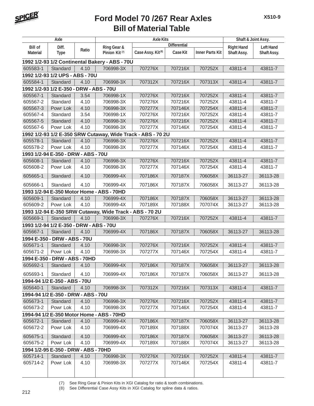

| Axle<br><b>Axle Kits</b> |                                         |       |                                                             |                               | Shaft & Joint Assy. |                        |                   |                  |
|--------------------------|-----------------------------------------|-------|-------------------------------------------------------------|-------------------------------|---------------------|------------------------|-------------------|------------------|
| <b>Bill of</b>           | Diff.                                   |       | Ring Gear &                                                 |                               | <b>Differential</b> |                        | <b>Right Hand</b> | <b>Left Hand</b> |
| <b>Material</b>          | <b>Type</b>                             | Ratio | Pinion Kit <sup>(7)</sup>                                   | Case Assy. Kit <sup>(8)</sup> | <b>Case Kit</b>     | <b>Inner Parts Kit</b> | Shaft Assy.       | Shaft Assy.      |
|                          |                                         |       | 1992 1/2-93 1/2 Continental Bakery - ABS - 70U              |                               |                     |                        |                   |                  |
| 605583-1                 | Standard                                | 4.10  | 706998-3X                                                   | 707276X                       | 707216X             | 707252X                | 43811-4           | 43811-7          |
|                          | 1992 1/2-93 1/2 UPS - ABS - 70U         |       |                                                             |                               |                     |                        |                   |                  |
| 605584-1                 | Standard                                | 4.10  | 706998-3X                                                   | 707312X                       | 707216X             | 707313X                | 43811-4           | 43811-7          |
|                          | 1992 1/2-93 1/2 E-350 - DRW - ABS - 70U |       |                                                             |                               |                     |                        |                   |                  |
| 605567-1                 | Standard                                | 3.54  | 706998-1X                                                   | 707276X                       | 707216X             | 707252X                | 43811-4           | 43811-7          |
| 605567-2                 | Standard                                | 4.10  | 706998-3X                                                   | 707276X                       | 707216X             | 707252X                | 43811-4           | 43811-7          |
| 605567-3                 | Powr Lok                                | 4.10  | 706998-3X                                                   | 707277X                       | 707146X             | 707254X                | 43811-4           | 43811-7          |
| 605567-4                 | Standard                                | 3.54  | 706998-1X                                                   | 707276X                       | 707216X             | 707252X                | 43811-4           | 43811-7          |
| 605567-5                 | Standard                                | 4.10  | 706998-3X                                                   | 707276X                       | 707216X             | 707252X                | 43811-4           | 43811-7          |
| 605567-6                 | Powr Lok                                | 4.10  | 706998-3X                                                   | 707277X                       | 707146X             | 707254X                | 43811-4           | 43811-7          |
|                          |                                         |       | 1992 1/2-93 1/2 E-350 SRW Cutaway, Wide Track - ABS - 70 2U |                               |                     |                        |                   |                  |
| 605578-1                 | Standard                                | 4.10  | 706998-3X                                                   | 707276X                       | 707216X             | 707252X                | 43811-4           | 43811-7          |
| 605578-2                 | Powr Lok                                | 4.10  | 706998-3X                                                   | 707277X                       | 707146X             | 707254X                | 43811-4           | 43811-7          |
|                          | 1993 1/2-94 E-350 - DRW - ABS - 70U     |       |                                                             |                               |                     |                        |                   |                  |
| 605608-1                 | Standard                                | 4.10  | 706998-3X                                                   | 707276X                       | 707216X             | 707252X                | 43811-4           | 43811-7          |
| 605608-2                 | Powr Lok                                | 4.10  | 706998-3X                                                   | 707277X                       | 707146X             | 707254X                | 43811-4           | 43811-7          |
| 605665-1                 | Standard                                | 4.10  | 706999-4X                                                   | 707186X                       | 707187X             | 706058X                | 36113-27          | 36113-28         |
| 605666-1                 | Standard                                | 4.10  | 706999-4X                                                   | 707186X                       | 707187X             | 706058X                | 36113-27          | 36113-28         |
|                          |                                         |       | 1993 1/2-94 E-350 Motor Home - ABS - 70HD                   |                               |                     |                        |                   |                  |
| 605609-1                 | Standard                                | 4.10  | 706999-4X                                                   | 707186X                       | 707187X             | 706058X                | 36113-27          | 36113-28         |
| 605609-2                 | Powr Lok                                | 4.10  | 706999-4X                                                   | 707189X                       | 707188X             | 707074X                | 36113-27          | 36113-28         |
|                          |                                         |       | 1993 1/2-94 E-350 SRW Cutaway, Wide Track - ABS - 70 2U     |                               |                     |                        |                   |                  |
| 605669-1                 | Standard                                | 4.10  | 706998-3X                                                   | 707276X                       | 707216X             | 707252X                | 43811-4           | 43811-7          |
|                          | 1993 1/2-94 1/2 E-350 - DRW - ABS - 70U |       |                                                             |                               |                     |                        |                   |                  |
| 605667-1                 | Standard                                | 4.10  | 706999-4X                                                   | 707186X                       | 707187X             | 706058X                | 36113-27          | 36113-28         |
|                          | 1994 E-350 - DRW - ABS - 70U            |       |                                                             |                               |                     |                        |                   |                  |
| 605671-1                 | Standard                                | 4.10  | 706998-3X                                                   | 707276X                       | 707216X             | 707252X                | 43811-4           | 43811-7          |
| 605671-2                 | Powr Lok                                | 4.10  | 706998-3X                                                   | 707277X                       | 707146X             | 707254X                | 43811-4           | 43811-7          |
|                          | 1994 E-350 - DRW - ABS - 70HD           |       |                                                             |                               |                     |                        |                   |                  |
|                          | 605692-1   Standard   4.10              |       | 706999-4X                                                   | 707186X                       | 707187X             | 706058X                | 36113-27          | 36113-28         |
| 605693-1                 | Standard                                | 4.10  | 706999-4X                                                   | 707186X                       | 707187X             | 706058X                | 36113-27          | 36113-28         |
|                          | 1994-94 1/2 E-350 - ABS - 70U           |       |                                                             |                               |                     |                        |                   |                  |
| 605640-1                 | Standard                                | 4.10  | 706998-3X                                                   | 707312X                       | 707216X             | 707313X                | 43811-4           | 43811-7          |
|                          | 1994-94 1/2 E-350 - DRW - ABS - 70U     |       |                                                             |                               |                     |                        |                   |                  |
| 605673-1                 | Standard                                | 4.10  | 706998-3X                                                   | 707276X                       | 707216X             | 707252X                | 43811-4           | 43811-7          |
| 605673-2                 | Powr Lok                                | 4.10  | 706998-3X                                                   | 707277X                       | 707146X             | 707254X                | 43811-4           | 43811-7          |
|                          |                                         |       | 1994-94 1/2 E-350 Motor Home - ABS - 70HD                   |                               |                     |                        |                   |                  |
| 605672-1                 | Standard                                | 4.10  | 706999-4X                                                   | 707186X                       | 707187X             | 706058X                | 36113-27          | 36113-28         |
| 605672-2                 | Powr Lok                                | 4.10  | 706999-4X                                                   | 707189X                       | 707188X             | 707074X                | 36113-27          | 36113-28         |
| 605675-1                 | Standard                                | 4.10  | 706999-4X                                                   | 707186X                       | 707187X             | 706058X                | 36113-27          | 36113-28         |
| 605675-2                 | Powr Lok                                | 4.10  | 706999-4X                                                   | 707189X                       | 707188X             | 707074X                | 36113-27          | 36113-28         |
|                          | 1994 1/2-95 E-350 - DRW - ABS - 70HD    |       |                                                             |                               |                     |                        |                   |                  |
| 605714-1                 | Standard                                | 4.10  | 706998-3X                                                   | 707276X                       | 707216X             | 707252X                | 43811-4           | 43811-7          |
| 605714-2                 | Powr Lok                                | 4.10  | 706998-3X                                                   | 707277X                       | 707146X             | 707254X                | 43811-4           | 43811-7          |
|                          |                                         |       |                                                             |                               |                     |                        |                   |                  |

(7) See Ring Gear & Pinion Kits in XGI Catalog for ratio & tooth combinations.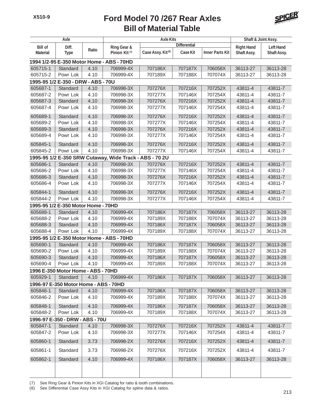

| Axle            |                                       |       | <b>Axle Kits</b>                                        |                               |                     |                        | Shaft & Joint Assy. |                  |
|-----------------|---------------------------------------|-------|---------------------------------------------------------|-------------------------------|---------------------|------------------------|---------------------|------------------|
| <b>Bill of</b>  | Diff.                                 |       | Ring Gear &                                             |                               | <b>Differential</b> |                        | <b>Right Hand</b>   | <b>Left Hand</b> |
| <b>Material</b> | <b>Type</b>                           | Ratio | Pinion Kit <sup>(7)</sup>                               | Case Assy. Kit <sup>(8)</sup> | <b>Case Kit</b>     | <b>Inner Parts Kit</b> | Shaft Assy.         | Shaft Assy.      |
|                 |                                       |       | 1994 1/2-95 E-350 Motor Home - ABS - 70HD               |                               |                     |                        |                     |                  |
| 605715-1        | Standard                              | 4.10  | 706999-4X                                               | 707186X                       | 707187X             | 706058X                | 36113-27            | 36113-28         |
| 605715-2        | Powr Lok                              | 4.10  | 706999-4X                                               | 707189X                       | 707188X             | 707074X                | 36113-27            | 36113-28         |
|                 | 1995-95 1/2 E-350 - DRW - ABS - 70U   |       |                                                         |                               |                     |                        |                     |                  |
| 605687-1        | Standard                              | 4.10  | 706998-3X                                               | 707276X                       | 707216X             | 707252X                | 43811-4             | 43811-7          |
| 605687-2        | Powr Lok                              | 4.10  | 706998-3X                                               | 707277X                       | 707146X             | 707254X                | 43811-4             | 43811-7          |
| 605687-3        | Standard                              | 4.10  | 706998-3X                                               | 707276X                       | 707216X             | 707252X                | 43811-4             | 43811-7          |
| 605687-4        | Powr Lok                              | 4.10  | 706998-3X                                               | 707277X                       | 707146X             | 707254X                | 43811-4             | 43811-7          |
| 605689-1        | Standard                              | 4.10  | 706998-3X                                               | 707276X                       | 707216X             | 707252X                | 43811-4             | 43811-7          |
| 605689-2        | Powr Lok                              | 4.10  | 706998-3X                                               | 707277X                       | 707146X             | 707254X                | 43811-4             | 43811-7          |
| 605689-3        | Standard                              | 4.10  | 706998-3X                                               | 707276X                       | 707216X             | 707252X                | 43811-4             | 43811-7          |
| 605689-4        | Powr Lok                              | 4.10  | 706998-3X                                               | 707277X                       | 707146X             | 707254X                | 43811-4             | 43811-7          |
| 605845-1        | Standard                              | 4.10  | 706998-3X                                               | 707276X                       | 707216X             | 707252X                | 43811-4             | 43811-7          |
| 605845-2        | Powr Lok                              | 4.10  | 706998-3X                                               | 707277X                       | 707146X             | 707254X                | 43811-4             | 43811-7          |
|                 |                                       |       | 1995-95 1/2 E-350 SRW Cutaway, Wide Track - ABS - 70 2U |                               |                     |                        |                     |                  |
| 605686-1        | Standard                              | 4.10  | 706998-3X                                               | 707276X                       | 707216X             | 707252X                | 43811-4             | 43811-7          |
| 605686-2        | Powr Lok                              | 4.10  | 706998-3X                                               | 707277X                       | 707146X             | 707254X                | 43811-4             | 43811-7          |
| 605686-3        | Standard                              | 4.10  | 706998-3X                                               | 707276X                       | 707216X             | 707252X                | 43811-4             | 43811-7          |
| 605686-4        | Powr Lok                              | 4.10  | 706998-3X                                               | 707277X                       | 707146X             | 707254X                | 43811-4             | 43811-7          |
| 605844-1        | Standard                              | 4.10  | 706998-3X                                               | 707276X                       | 707216X             | 707252X                | 43811-4             | 43811-7          |
| 605844-2        | Powr Lok                              | 4.10  | 706998-3X                                               | 707277X                       | 707146X             | 707254X                | 43811-4             | 43811-7          |
|                 | 1995-95 1/2 E-350 Motor Home - 70HD   |       |                                                         |                               |                     |                        |                     |                  |
| 605688-1        | Standard                              | 4.10  | 706999-4X                                               | 707186X                       | 707187X             | 706058X                | 36113-27            | 36113-28         |
| 605688-2        | Powr Lok                              | 4.10  | 706999-4X                                               | 707189X                       | 707188X             | 707074X                | 36113-27            | 36113-28         |
| 605688-3        | Standard                              | 4.10  | 706999-4X                                               | 707186X                       | 707187X             | 706058X                | 36113-27            | 36113-28         |
| 605688-4        | Powr Lok                              | 4.10  | 706999-4X                                               | 707189X                       | 707188X             | 707074X                | 36113-27            | 36113-28         |
|                 |                                       |       | 1995-95 1/2 E-350 Motor Home - ABS - 70HD               |                               |                     |                        |                     |                  |
| 605690-1        | Standard                              | 4.10  | 706999-4X                                               | 707186X                       | 707187X             | 706058X                | 36113-27            | 36113-28         |
| 605690-2        | Powr Lok                              | 4.10  | 706999-4X                                               | 707189X                       | 707188X             | 707074X                | 36113-27            | 36113-28         |
| 605690-3        | Standard                              | 4.10  | 706999-4X                                               | 707186X                       | 707187X             | 706058X                | 36113-27            | 36113-28         |
| 605690-4        | Powr Lok                              | 4.10  | 706999-4X                                               | 707189X                       | 707188X             | 707074X                | 36113-27            | 36113-28         |
|                 | 1996 E-350 Motor Home - ABS - 70HD    |       |                                                         |                               |                     |                        |                     |                  |
| 605929-1        | Standard                              | 4.10  | 706999-4X                                               | 707186X                       | 707187X             | 706058X                | 36113-27            | 36113-28         |
|                 | 1996-97 E-350 Motor Home - ABS - 70HD |       |                                                         |                               |                     |                        |                     |                  |
| 605846-1        | Standard                              | 4.10  | 706999-4X                                               | 707186X                       | 707187X             | 706058X                | 36113-27            | 36113-28         |
| 605846-2        | Powr Lok                              | 4.10  | 706999-4X                                               | 707189X                       | 707188X             | 707074X                | 36113-27            | 36113-28         |
| 605848-1        | Standard                              | 4.10  | 706999-4X                                               | 707186X                       | 707187X             | 706058X                | 36113-27            | 36113-28         |
| 605848-2        | Powr Lok                              | 4.10  | 706999-4X                                               | 707189X                       | 707188X             | 707074X                | 36113-27            | 36113-28         |
|                 | 1996-97 E-350 - DRW - ABS - 70U       |       |                                                         |                               |                     |                        |                     |                  |
| 605847-1        | Standard                              | 4.10  | 706998-3X                                               | 707276X                       | 707216X             | 707252X                | 43811-4             | 43811-7          |
| 605847-2        | Powr Lok                              | 4.10  | 706998-3X                                               | 707277X                       | 707146X             | 707254X                | 43811-4             | 43811-7          |
| 605860-1        | Standard                              | 3.73  | 706998-2X                                               | 707276X                       | 707216X             | 707252X                | 43811-4             | 43811-7          |
| 605861-1        | Standard                              | 3.73  | 706998-2X                                               | 707276X                       | 707216X             | 707252X                | 43811-4             | 43811-7          |
| 605862-1        | Standard                              | 4.10  | 706999-4X                                               | 707186X                       | 707187X             | 706058X                | 36113-27            | 36113-28         |
|                 |                                       |       |                                                         |                               |                     |                        |                     |                  |
|                 |                                       |       |                                                         |                               |                     |                        |                     |                  |

(7) See Ring Gear & Pinion Kits in XGI Catalog for ratio & tooth combinations.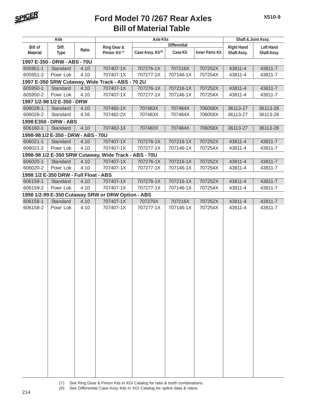

|                 | Axle                                  |       |                                                       | <b>Axle Kits</b>              |                     |                        | Shaft & Joint Assy. |                  |
|-----------------|---------------------------------------|-------|-------------------------------------------------------|-------------------------------|---------------------|------------------------|---------------------|------------------|
| <b>Bill of</b>  | Diff.                                 |       | Ring Gear &                                           |                               | <b>Differential</b> |                        | <b>Right Hand</b>   | <b>Left Hand</b> |
| <b>Material</b> | <b>Type</b>                           | Ratio | Pinion Kit <sup>(7)</sup>                             | Case Assy. Kit <sup>(8)</sup> | <b>Case Kit</b>     | <b>Inner Parts Kit</b> | Shaft Assy.         | Shaft Assy.      |
|                 | 1997 E-350 - DRW - ABS - 70U          |       |                                                       |                               |                     |                        |                     |                  |
| 605951-1        | Standard                              | 4.10  | 707407-1X                                             | 707276-1X                     | 707216X             | 707252X                | 43811-4             | 43811-7          |
| 605951-2        | Powr Lok                              | 4.10  | 707407-1X                                             | 707277-1X                     | 707146-1X           | 707254X                | 43811-4             | 43811-7          |
|                 |                                       |       | 1997 E-350 SRW Cutaway, Wide Track - ABS - 70 2U      |                               |                     |                        |                     |                  |
| 605950-1        | Standard                              | 4.10  | 707407-1X                                             | 707276-1X                     | 707216-1X           | 707252X                | 43811-4             | 43811-7          |
| 605950-2        | Powr Lok                              | 4.10  | 707407-1X                                             | 707277-1X                     | 707146-1X           | 707254X                | 43811-4             | 43811-7          |
|                 | 1997 1/2-98 1/2 E-350 - DRW           |       |                                                       |                               |                     |                        |                     |                  |
| 606028-1        | Standard                              | 4.10  | 707482-1X                                             | 707483X                       | 707484X             | 706058X                | 36113-27            | 36113-28         |
| 606028-2        | Standard                              | 4.56  | 707482-2X                                             | 707483X                       | 707484X             | 706058X                | 36113-27            | 36113-28         |
|                 | 1998 E350 - DRW - ABS                 |       |                                                       |                               |                     |                        |                     |                  |
| 606160-1        | Standard                              | 4.10  | 707482-1X                                             | 707483X                       | 707484X             | 706058X                | 36113-27            | 36113-28         |
|                 | 1998-98 1/2 E-350 - DRW - ABS - 70U   |       |                                                       |                               |                     |                        |                     |                  |
| 606021-1        | Standard                              | 4.10  | 707407-1X                                             | 707276-1X                     | 707216-1X           | 707252X                | 43811-4             | 43811-7          |
| 606021-2        | Powr Lok                              | 4.10  | 707407-1X                                             | 707277-1X                     | 707146-1X           | 707254X                | 43811-4             | 43811-7          |
|                 |                                       |       | 1998-98 1/2 E-350 SRW Cutaway, Wide Track - ABS - 70U |                               |                     |                        |                     |                  |
| 606020-1        | Standard                              | 4.10  | 707407-1X                                             | 707276-1X                     | 707216-1X           | 707252X                | 43811-4             | 43811-7          |
| 606020-2        | Powr Lok                              | 4.10  | 707407-1X                                             | 707277-1X                     | 707146-1X           | 707254X                | 43811-4             | 43811-7          |
|                 | 1998 1/2 E-350 DRW - Full Float - ABS |       |                                                       |                               |                     |                        |                     |                  |
| 606159-1        | Standard                              | 4.10  | 707407-1X                                             | 707276-1X                     | 707216-1X           | 707252X                | 43811-4             | 43811-7          |
| 606159-2        | Powr Lok                              | 4.10  | 707407-1X                                             | 707277-1X                     | 707146-1X           | 707254X                | 43811-4             | 43811-7          |
|                 |                                       |       | 1998 1/2-99 E-350 Cutaway SRW or DRW Option - ABS     |                               |                     |                        |                     |                  |
| 606158-1        | Standard                              | 4.10  | 707407-1X                                             | 707276X                       | 707216X             | 707252X                | 43811-4             | 43811-7          |
| 606158-2        | Powr Lok                              | 4.10  | 707407-1X                                             | 707277-1X                     | 707146-1X           | 707254X                | 43811-4             | 43811-7          |
|                 |                                       |       |                                                       |                               |                     |                        |                     |                  |
|                 |                                       |       |                                                       |                               |                     |                        |                     |                  |
|                 |                                       |       |                                                       |                               |                     |                        |                     |                  |
|                 |                                       |       |                                                       |                               |                     |                        |                     |                  |
|                 |                                       |       |                                                       |                               |                     |                        |                     |                  |
|                 |                                       |       |                                                       |                               |                     |                        |                     |                  |
|                 |                                       |       |                                                       |                               |                     |                        |                     |                  |
|                 |                                       |       |                                                       |                               |                     |                        |                     |                  |
|                 |                                       |       |                                                       |                               |                     |                        |                     |                  |
|                 |                                       |       |                                                       |                               |                     |                        |                     |                  |
|                 |                                       |       |                                                       |                               |                     |                        |                     |                  |
|                 |                                       |       |                                                       |                               |                     |                        |                     |                  |
|                 |                                       |       |                                                       |                               |                     |                        |                     |                  |
|                 |                                       |       |                                                       |                               |                     |                        |                     |                  |
|                 |                                       |       |                                                       |                               |                     |                        |                     |                  |
|                 |                                       |       |                                                       |                               |                     |                        |                     |                  |
|                 |                                       |       |                                                       |                               |                     |                        |                     |                  |
|                 |                                       |       |                                                       |                               |                     |                        |                     |                  |
|                 |                                       |       |                                                       |                               |                     |                        |                     |                  |
|                 |                                       |       |                                                       |                               |                     |                        |                     |                  |
|                 |                                       |       |                                                       |                               |                     |                        |                     |                  |
|                 |                                       |       |                                                       |                               |                     |                        |                     |                  |
|                 |                                       |       |                                                       |                               |                     |                        |                     |                  |
|                 |                                       |       |                                                       |                               |                     |                        |                     |                  |
|                 |                                       |       |                                                       |                               |                     |                        |                     |                  |

(7) See Ring Gear & Pinion Kits in XGI Catalog for ratio & tooth combinations.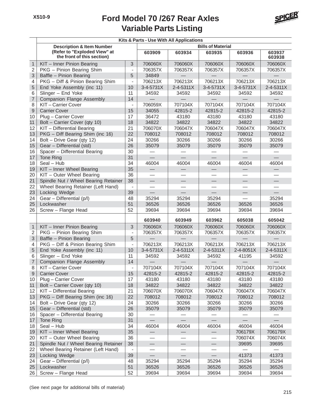

|                | Kits & Parts - Use With All Applications                    |                          |                          |                          |                          |                  |                  |  |
|----------------|-------------------------------------------------------------|--------------------------|--------------------------|--------------------------|--------------------------|------------------|------------------|--|
|                | <b>Description &amp; Item Number</b>                        |                          |                          |                          | <b>Bills of Material</b> |                  |                  |  |
|                | (Refer to "Exploded View" at<br>the front of this section)  |                          | 603909                   | 603934                   | 603935                   | 603936           | 603937<br>603938 |  |
| $\mathbf{1}$   | KIT - Inner Pinion Bearing                                  | 3                        | 706060X                  | 706060X                  | 706060X                  | 706060X          | 706060X          |  |
| 2              | PKG - Pinion Bearing Shim                                   | $\overline{\phantom{a}}$ | 706357X                  | 706357X                  | 706357X                  | 706357X          | 706357X          |  |
| 3              | Baffle - Pinion Bearing                                     | 5                        | 34849                    |                          |                          |                  |                  |  |
| 4              | PKG - Diff & Pinion Bearing Shim                            | $\overline{a}$           | 706213X                  | 706213X                  | 706213X                  | 706213X          | 706213X          |  |
| 5              | End Yoke Assembly (inc 11)                                  | 10                       | 3-4-5731X                | $2 - 4 - 5311X$          | 3-4-5731X                | 3-4-5731X        | 2-4-5311X        |  |
| 6              | Slinger - End Yoke                                          | 11                       | 34592                    | 34592                    | 34592                    | 34592            | 34592            |  |
| $\overline{7}$ | <b>Companion Flange Assembly</b>                            | 14                       |                          |                          |                          |                  |                  |  |
| 8              | KIT-Carrier Cover                                           | $\overline{a}$           | 706059X                  | 707104X                  | 707104X                  | 707104X          | 707104X          |  |
| $\mathsf{9}$   | <b>Carrier Cover</b>                                        | 15                       | 34055                    | 42815-2                  | 42815-2                  | 42815-2          | 42815-2          |  |
| 10             | Plug - Carrier Cover                                        | 17                       | 36472                    | 43180                    | 43180                    | 43180            | 43180            |  |
| 11             | Bolt - Carrier Cover (qty 10)                               | 18                       | 34822                    | 34822                    | 34822                    | 34822            | 34822            |  |
| 12             | KIT - Differential Bearing                                  | 21                       | 706070X                  | 706047X                  | 706047X                  | 706047X          | 706047X          |  |
| 13             | PKG - Diff Bearing Shim (inc 16)                            | 22                       | 708012                   | 708012                   | 708012                   | 708012           | 708012           |  |
| 14             | Bolt - Drive Gear (qty 12)                                  | 24                       | 30266                    | 30266                    | 30266                    | 30266            | 30266            |  |
| 15             | Gear - Differential (std)                                   | 26                       | 35079                    | 35079                    | 35079                    | 35079            | 35079            |  |
| 16             | Spacer - Differential Bearing                               | 30                       |                          |                          |                          |                  |                  |  |
| 17             | Tone Ring                                                   | 31                       |                          |                          |                          |                  |                  |  |
| 18             | Seal - Hub                                                  | 34                       | 46004                    | 46004                    | 46004                    | 46004            | 46004            |  |
| 19             | KIT - Inner Wheel Bearing                                   | 35                       |                          | $\overline{\phantom{0}}$ | $\overline{\phantom{0}}$ |                  |                  |  |
| 20             | KIT - Outer Wheel Bearing                                   | 36                       |                          |                          |                          |                  |                  |  |
| 21             | Spindle Nut / Wheel Bearing Retainer                        | 38                       |                          |                          |                          |                  |                  |  |
| 22             | Wheel Bearing Retainer (Left Hand)                          | $\blacksquare$           |                          |                          |                          |                  |                  |  |
| 23             | Locking Wedge                                               | 39                       | $\frac{1}{1}$            | $\equiv$                 | $\qquad \qquad$          |                  | $\equiv$         |  |
| 24             | Gear - Differential (p/l)                                   | 48                       | 35294                    | 35294                    | 35294                    |                  | 35294            |  |
| 25             | Lockwasher                                                  | 51                       | 36526                    | 36526                    | 36526                    | 36526            | 36526            |  |
| 26             | Screw - Flange Head                                         | 52                       | 39694                    | 39694                    | 39694                    | 39694            | 39694            |  |
|                |                                                             |                          | 603940                   | 603949                   | 603962                   | 605038           | 605042           |  |
| $\mathbf{1}$   | KIT - Inner Pinion Bearing                                  | 3                        | 706060X                  | 706060X                  | 706060X                  | 706060X          | 706060X          |  |
| $\mathbf 2$    | PKG - Pinion Bearing Shim                                   | $\blacksquare$           | 706357X                  | 706357X                  | 706357X                  | 706357X          | 706357X          |  |
| 3              | Baffle - Pinion Bearing                                     | 5                        |                          |                          |                          |                  |                  |  |
| 4              | PKG - Diff & Pinion Bearing Shim                            | $\overline{\phantom{0}}$ | 706213X                  | 706213X                  | 706213X                  | 706213X          | 706213X          |  |
| 5              | End Yoke Assembly (inc 11)                                  | 10                       | 3-4-5731X                | $2 - 4 - 5311X$          | 2-4-5311X                | 2-4-8051X        | $2 - 4 - 5311X$  |  |
| 6              | Slinger - End Yoke                                          | 11                       | 34592                    | 34592                    | 34592                    | 41195            | 34592            |  |
| $\overline{7}$ | <b>Companion Flange Assembly</b>                            | 14                       | $\overline{\phantom{m}}$ |                          |                          |                  |                  |  |
| 8              | KII – Carrier Cover                                         | $\overline{\phantom{0}}$ | 707104X                  | 707104X                  | 707104X                  | 707104X          | 707104X          |  |
| $9\,$          | <b>Carrier Cover</b>                                        | 15                       | 42815-2                  | 42815-2                  | 42815-2                  | 42815-2          | 42815-2          |  |
| 10             | Plug - Carrier Cover                                        | 17                       | 43180                    | 43180                    | 43180                    | 43180            | 43180            |  |
| 11<br>12       | Bolt - Carrier Cover (qty 10)<br>KIT - Differential Bearing | 18<br>21                 | 34822<br>706070X         | 34822<br>706070X         | 34822<br>706047X         | 34822<br>706047X | 34822<br>706047X |  |
|                | PKG - Diff Bearing Shim (inc 16)                            | 22                       |                          | 708012                   | 708012                   | 708012           |                  |  |
| 13<br>14       | Bolt - Drive Gear (qty 12)                                  | 24                       | 708012<br>30266          | 30266                    | 30266                    | 30266            | 708012<br>30266  |  |
| 15             | Gear - Differential (std)                                   | 26                       | 35079                    | 35079                    | 35079                    | 35079            | 35079            |  |
| 16             | Spacer - Differential Bearing                               | 30                       |                          |                          |                          |                  |                  |  |
| 17             | Tone Ring                                                   | 31                       |                          |                          |                          |                  |                  |  |
| 18             | Seal - Hub                                                  | 34                       | 46004                    | 46004                    | 46004                    | 46004            | 46004            |  |
| 19             | KIT - Inner Wheel Bearing                                   | 35                       |                          |                          |                          | 706179X          | 706179X          |  |
| 20             | KIT - Outer Wheel Bearing                                   | 36                       |                          |                          |                          | 706074X          | 706074X          |  |
| 21             | Spindle Nut / Wheel Bearing Retainer                        | 38                       |                          |                          |                          | 39695            | 39695            |  |
| 22             | Wheel Bearing Retainer (Left Hand)                          | $\overline{\phantom{a}}$ |                          |                          |                          |                  |                  |  |
| 23             | Locking Wedge                                               | 39                       |                          |                          | $\equiv$                 | 41373            | 41373            |  |
| 24             | Gear - Differential (p/l)                                   | 48                       | 35294                    | 35294                    | 35294                    | 35294            | 35294            |  |
| 25             | Lockwasher                                                  | 51                       | 36526                    | 36526                    | 36526                    | 36526            | 36526            |  |
| 26             | Screw - Flange Head                                         | 52                       | 39694                    | 39694                    | 39694                    | 39694            | 39694            |  |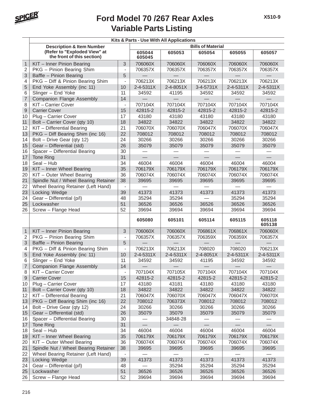

| <b>Bills of Material</b><br><b>Description &amp; Item Number</b><br>(Refer to "Exploded View" at<br>605044<br>605053<br>605054<br>605055<br>605057<br>the front of this section)<br>605045<br>$\mathbf{1}$<br>KIT - Inner Pinion Bearing<br>3<br>706060X<br>706060X<br>706060X<br>706060X<br>706060X<br>2<br>PKG - Pinion Bearing Shim<br>706357X<br>706357X<br>706357X<br>706357X<br>706357X<br>$\overline{\phantom{a}}$<br>3<br>Baffle - Pinion Bearing<br>5<br>PKG - Diff & Pinion Bearing Shim<br>706213X<br>706213X<br>706213X<br>706213X<br>706213X<br>4<br>$\blacksquare$<br>5<br>End Yoke Assembly (inc 11)<br>10<br>2-4-5311X<br>2-4-8051X<br>3-4-5731X<br>2-4-5311X<br>2-4-5311X<br>6<br>Slinger - End Yoke<br>11<br>34592<br>34592<br>41195<br>34592<br>34592<br>$\overline{7}$<br><b>Companion Flange Assembly</b><br>14<br>ᆖ<br>8<br>KIT-Carrier Cover<br>707104X<br>707104X<br>707104X<br>707104X<br>707104X<br>$\overline{\phantom{a}}$<br>9<br><b>Carrier Cover</b><br>15<br>42815-2<br>42815-2<br>42815-2<br>42815-2<br>42815-2<br>10<br>Plug - Carrier Cover<br>17<br>43180<br>43180<br>43180<br>43180<br>43180<br>11<br>Bolt - Carrier Cover (qty 10)<br>18<br>34822<br>34822<br>34822<br>34822<br>34822<br>12<br>KIT - Differential Bearing<br>21<br>706070X<br>706070X<br>706047X<br>706070X<br>706047X<br>13<br>PKG - Diff Bearing Shim (inc 16)<br>22<br>708012<br>708012<br>708012<br>708012<br>708012<br>Bolt - Drive Gear (qty 12)<br>24<br>14<br>30266<br>30266<br>30266<br>30266<br>30266<br>15<br>26<br>Gear - Differential (std)<br>35079<br>35079<br>35079<br>35079<br>35079<br>16<br>Spacer - Differential Bearing<br>30<br>31<br>17<br>Tone Ring<br>$\equiv$<br>$\overline{\phantom{0}}$<br>$\overline{\phantom{0}}$<br>ᆖ<br>$\frac{1}{2}$<br>34<br>46004<br>Seal - Hub<br>46004<br>46004<br>46004<br>46004<br>18<br>35<br>706179X<br>706179X<br>706179X<br>706179X<br>706179X<br>19<br>KIT - Inner Wheel Bearing<br>20<br>KIT - Outer Wheel Bearing<br>36<br>706074X<br>706074X<br>706074X<br>706074X<br>706074X<br>21<br>Spindle Nut / Wheel Bearing Retainer<br>38<br>39695<br>39695<br>39695<br>39695<br>39695<br>22<br>Wheel Bearing Retainer (Left Hand)<br>$\overline{\phantom{a}}$<br>23<br>Locking Wedge<br>41373<br>41373<br>41373<br>41373<br>41373<br>39<br>24<br>Gear - Differential (p/l)<br>48<br>35294<br>35294<br>35294<br>35294<br>25<br>51<br>Lockwasher<br>36526<br>36526<br>36526<br>36526<br>36526<br>26<br>Screw - Flange Head<br>52<br>39694<br>39694<br>39694<br>39694<br>39694<br>605118<br>605080<br>605101<br>605114<br>605115<br>605138<br>$\mathbf{1}$<br>KIT - Inner Pinion Bearing<br>3<br>706060X<br>706060X<br>706861X<br>706861X<br>706060X<br>$\overline{2}$<br>PKG - Pinion Bearing Shim<br>706357X<br>706357X<br>706359X<br>706359X<br>706357X<br>$\overline{\phantom{a}}$<br>3<br>Baffle - Pinion Bearing<br>5<br>706213X<br>706213X<br>708020<br>708020<br>706213X<br>PKG - Diff & Pinion Bearing Shim<br>4<br>$\blacksquare$<br>5<br>End Yoke Assembly (inc 11)<br>10<br>2-4-5311X<br>2-4-5311X<br>2-4-8051X<br>2-4-5311X<br>2-4-5311X<br>6<br>Slinger - End Yoke<br>11<br>34592<br>34592<br>41195<br>34592<br>34592<br>$\overline{7}$<br><b>Companion Flange Assembly</b><br>14<br>KIT-Carrier Cover<br>707104X<br>707105X<br>707104X<br>707104X<br>707104X<br>8<br>$\qquad \qquad \blacksquare$<br>42815-2<br>42815-2<br>42815-2<br>42815-2<br>9<br><b>Carrier Cover</b><br>15<br>42815-2<br>Plug - Carrier Cover<br>17<br>43180<br>43181<br>43180<br>43180<br>43180<br>10<br>11<br>Bolt - Carrier Cover (qty 10)<br>18<br>34822<br>34822<br>34822<br>34822<br>34822<br>KIT - Differential Bearing<br>21<br>12<br>706047X<br>706070X<br>706047X<br>706047X<br>706070X<br>PKG - Diff Bearing Shim (inc 16)<br>22<br>708012<br>706373X<br>708012<br>708012<br>708012<br>13<br>Bolt - Drive Gear (qty 12)<br>24<br>30266<br>30266<br>30266<br>30266<br>30266<br>14<br>Gear - Differential (std)<br>15<br>26<br>35079<br>35079<br>35079<br>35079<br>35079<br>Spacer - Differential Bearing<br>30<br>34848-28<br>16<br>31<br>17<br>Tone Ring<br>Seal - Hub<br>34<br>46004<br>46004<br>46004<br>46004<br>46004<br>18<br>KIT - Inner Wheel Bearing<br>35<br>706179X<br>706179X<br>706179X<br>706179X<br>706179X<br>19<br>KIT - Outer Wheel Bearing<br>706074X<br>20<br>36<br>706074X<br>706074X<br>706074X<br>706074X<br>21<br>Spindle Nut / Wheel Bearing Retainer<br>38<br>39695<br>39695<br>39695<br>39695<br>39695<br>22<br>Wheel Bearing Retainer (Left Hand)<br>$\overline{\phantom{a}}$<br>Locking Wedge<br>39<br>41373<br>23<br>41373<br>41373<br>41373<br>41373<br>Gear - Differential (p/l)<br>24<br>48<br>35294<br>35294<br>35294<br>35294<br>51<br>25<br>Lockwasher<br>36526<br>36526<br>36526<br>36526<br>36526<br>Screw - Flange Head<br>52<br>26<br>39694<br>39694<br>39694<br>39694<br>39694 |  |  | Kits & Parts - Use With All Applications |  |  |
|-----------------------------------------------------------------------------------------------------------------------------------------------------------------------------------------------------------------------------------------------------------------------------------------------------------------------------------------------------------------------------------------------------------------------------------------------------------------------------------------------------------------------------------------------------------------------------------------------------------------------------------------------------------------------------------------------------------------------------------------------------------------------------------------------------------------------------------------------------------------------------------------------------------------------------------------------------------------------------------------------------------------------------------------------------------------------------------------------------------------------------------------------------------------------------------------------------------------------------------------------------------------------------------------------------------------------------------------------------------------------------------------------------------------------------------------------------------------------------------------------------------------------------------------------------------------------------------------------------------------------------------------------------------------------------------------------------------------------------------------------------------------------------------------------------------------------------------------------------------------------------------------------------------------------------------------------------------------------------------------------------------------------------------------------------------------------------------------------------------------------------------------------------------------------------------------------------------------------------------------------------------------------------------------------------------------------------------------------------------------------------------------------------------------------------------------------------------------------------------------------------------------------------------------------------------------------------------------------------------------------------------------------------------------------------------------------------------------------------------------------------------------------------------------------------------------------------------------------------------------------------------------------------------------------------------------------------------------------------------------------------------------------------------------------------------------------------------------------------------------------------------------------------------------------------------------------------------------------------------------------------------------------------------------------------------------------------------------------------------------------------------------------------------------------------------------------------------------------------------------------------------------------------------------------------------------------------------------------------------------------------------------------------------------------------------------------------------------------------------------------------------------------------------------------------------------------------------------------------------------------------------------------------------------------------------------------------------------------------------------------------------------------------------------------------------------------------------------------------------------------------------------------------------------------------------------------------------------------------------------------------------------------------------------------------------------------------------------------------------------------------------------------------------------------------------------------------------------------------------------------------------------------------------------------------------------------------------------------------------------------------------------------------------------------------------------------------------------------------------------------------------------------------------------------------------------------------------------------------------------------------------|--|--|------------------------------------------|--|--|
|                                                                                                                                                                                                                                                                                                                                                                                                                                                                                                                                                                                                                                                                                                                                                                                                                                                                                                                                                                                                                                                                                                                                                                                                                                                                                                                                                                                                                                                                                                                                                                                                                                                                                                                                                                                                                                                                                                                                                                                                                                                                                                                                                                                                                                                                                                                                                                                                                                                                                                                                                                                                                                                                                                                                                                                                                                                                                                                                                                                                                                                                                                                                                                                                                                                                                                                                                                                                                                                                                                                                                                                                                                                                                                                                                                                                                                                                                                                                                                                                                                                                                                                                                                                                                                                                                                                                                                                                                                                                                                                                                                                                                                                                                                                                                                                                                                                                                   |  |  |                                          |  |  |
|                                                                                                                                                                                                                                                                                                                                                                                                                                                                                                                                                                                                                                                                                                                                                                                                                                                                                                                                                                                                                                                                                                                                                                                                                                                                                                                                                                                                                                                                                                                                                                                                                                                                                                                                                                                                                                                                                                                                                                                                                                                                                                                                                                                                                                                                                                                                                                                                                                                                                                                                                                                                                                                                                                                                                                                                                                                                                                                                                                                                                                                                                                                                                                                                                                                                                                                                                                                                                                                                                                                                                                                                                                                                                                                                                                                                                                                                                                                                                                                                                                                                                                                                                                                                                                                                                                                                                                                                                                                                                                                                                                                                                                                                                                                                                                                                                                                                                   |  |  |                                          |  |  |
|                                                                                                                                                                                                                                                                                                                                                                                                                                                                                                                                                                                                                                                                                                                                                                                                                                                                                                                                                                                                                                                                                                                                                                                                                                                                                                                                                                                                                                                                                                                                                                                                                                                                                                                                                                                                                                                                                                                                                                                                                                                                                                                                                                                                                                                                                                                                                                                                                                                                                                                                                                                                                                                                                                                                                                                                                                                                                                                                                                                                                                                                                                                                                                                                                                                                                                                                                                                                                                                                                                                                                                                                                                                                                                                                                                                                                                                                                                                                                                                                                                                                                                                                                                                                                                                                                                                                                                                                                                                                                                                                                                                                                                                                                                                                                                                                                                                                                   |  |  |                                          |  |  |
|                                                                                                                                                                                                                                                                                                                                                                                                                                                                                                                                                                                                                                                                                                                                                                                                                                                                                                                                                                                                                                                                                                                                                                                                                                                                                                                                                                                                                                                                                                                                                                                                                                                                                                                                                                                                                                                                                                                                                                                                                                                                                                                                                                                                                                                                                                                                                                                                                                                                                                                                                                                                                                                                                                                                                                                                                                                                                                                                                                                                                                                                                                                                                                                                                                                                                                                                                                                                                                                                                                                                                                                                                                                                                                                                                                                                                                                                                                                                                                                                                                                                                                                                                                                                                                                                                                                                                                                                                                                                                                                                                                                                                                                                                                                                                                                                                                                                                   |  |  |                                          |  |  |
|                                                                                                                                                                                                                                                                                                                                                                                                                                                                                                                                                                                                                                                                                                                                                                                                                                                                                                                                                                                                                                                                                                                                                                                                                                                                                                                                                                                                                                                                                                                                                                                                                                                                                                                                                                                                                                                                                                                                                                                                                                                                                                                                                                                                                                                                                                                                                                                                                                                                                                                                                                                                                                                                                                                                                                                                                                                                                                                                                                                                                                                                                                                                                                                                                                                                                                                                                                                                                                                                                                                                                                                                                                                                                                                                                                                                                                                                                                                                                                                                                                                                                                                                                                                                                                                                                                                                                                                                                                                                                                                                                                                                                                                                                                                                                                                                                                                                                   |  |  |                                          |  |  |
|                                                                                                                                                                                                                                                                                                                                                                                                                                                                                                                                                                                                                                                                                                                                                                                                                                                                                                                                                                                                                                                                                                                                                                                                                                                                                                                                                                                                                                                                                                                                                                                                                                                                                                                                                                                                                                                                                                                                                                                                                                                                                                                                                                                                                                                                                                                                                                                                                                                                                                                                                                                                                                                                                                                                                                                                                                                                                                                                                                                                                                                                                                                                                                                                                                                                                                                                                                                                                                                                                                                                                                                                                                                                                                                                                                                                                                                                                                                                                                                                                                                                                                                                                                                                                                                                                                                                                                                                                                                                                                                                                                                                                                                                                                                                                                                                                                                                                   |  |  |                                          |  |  |
|                                                                                                                                                                                                                                                                                                                                                                                                                                                                                                                                                                                                                                                                                                                                                                                                                                                                                                                                                                                                                                                                                                                                                                                                                                                                                                                                                                                                                                                                                                                                                                                                                                                                                                                                                                                                                                                                                                                                                                                                                                                                                                                                                                                                                                                                                                                                                                                                                                                                                                                                                                                                                                                                                                                                                                                                                                                                                                                                                                                                                                                                                                                                                                                                                                                                                                                                                                                                                                                                                                                                                                                                                                                                                                                                                                                                                                                                                                                                                                                                                                                                                                                                                                                                                                                                                                                                                                                                                                                                                                                                                                                                                                                                                                                                                                                                                                                                                   |  |  |                                          |  |  |
|                                                                                                                                                                                                                                                                                                                                                                                                                                                                                                                                                                                                                                                                                                                                                                                                                                                                                                                                                                                                                                                                                                                                                                                                                                                                                                                                                                                                                                                                                                                                                                                                                                                                                                                                                                                                                                                                                                                                                                                                                                                                                                                                                                                                                                                                                                                                                                                                                                                                                                                                                                                                                                                                                                                                                                                                                                                                                                                                                                                                                                                                                                                                                                                                                                                                                                                                                                                                                                                                                                                                                                                                                                                                                                                                                                                                                                                                                                                                                                                                                                                                                                                                                                                                                                                                                                                                                                                                                                                                                                                                                                                                                                                                                                                                                                                                                                                                                   |  |  |                                          |  |  |
|                                                                                                                                                                                                                                                                                                                                                                                                                                                                                                                                                                                                                                                                                                                                                                                                                                                                                                                                                                                                                                                                                                                                                                                                                                                                                                                                                                                                                                                                                                                                                                                                                                                                                                                                                                                                                                                                                                                                                                                                                                                                                                                                                                                                                                                                                                                                                                                                                                                                                                                                                                                                                                                                                                                                                                                                                                                                                                                                                                                                                                                                                                                                                                                                                                                                                                                                                                                                                                                                                                                                                                                                                                                                                                                                                                                                                                                                                                                                                                                                                                                                                                                                                                                                                                                                                                                                                                                                                                                                                                                                                                                                                                                                                                                                                                                                                                                                                   |  |  |                                          |  |  |
|                                                                                                                                                                                                                                                                                                                                                                                                                                                                                                                                                                                                                                                                                                                                                                                                                                                                                                                                                                                                                                                                                                                                                                                                                                                                                                                                                                                                                                                                                                                                                                                                                                                                                                                                                                                                                                                                                                                                                                                                                                                                                                                                                                                                                                                                                                                                                                                                                                                                                                                                                                                                                                                                                                                                                                                                                                                                                                                                                                                                                                                                                                                                                                                                                                                                                                                                                                                                                                                                                                                                                                                                                                                                                                                                                                                                                                                                                                                                                                                                                                                                                                                                                                                                                                                                                                                                                                                                                                                                                                                                                                                                                                                                                                                                                                                                                                                                                   |  |  |                                          |  |  |
|                                                                                                                                                                                                                                                                                                                                                                                                                                                                                                                                                                                                                                                                                                                                                                                                                                                                                                                                                                                                                                                                                                                                                                                                                                                                                                                                                                                                                                                                                                                                                                                                                                                                                                                                                                                                                                                                                                                                                                                                                                                                                                                                                                                                                                                                                                                                                                                                                                                                                                                                                                                                                                                                                                                                                                                                                                                                                                                                                                                                                                                                                                                                                                                                                                                                                                                                                                                                                                                                                                                                                                                                                                                                                                                                                                                                                                                                                                                                                                                                                                                                                                                                                                                                                                                                                                                                                                                                                                                                                                                                                                                                                                                                                                                                                                                                                                                                                   |  |  |                                          |  |  |
|                                                                                                                                                                                                                                                                                                                                                                                                                                                                                                                                                                                                                                                                                                                                                                                                                                                                                                                                                                                                                                                                                                                                                                                                                                                                                                                                                                                                                                                                                                                                                                                                                                                                                                                                                                                                                                                                                                                                                                                                                                                                                                                                                                                                                                                                                                                                                                                                                                                                                                                                                                                                                                                                                                                                                                                                                                                                                                                                                                                                                                                                                                                                                                                                                                                                                                                                                                                                                                                                                                                                                                                                                                                                                                                                                                                                                                                                                                                                                                                                                                                                                                                                                                                                                                                                                                                                                                                                                                                                                                                                                                                                                                                                                                                                                                                                                                                                                   |  |  |                                          |  |  |
|                                                                                                                                                                                                                                                                                                                                                                                                                                                                                                                                                                                                                                                                                                                                                                                                                                                                                                                                                                                                                                                                                                                                                                                                                                                                                                                                                                                                                                                                                                                                                                                                                                                                                                                                                                                                                                                                                                                                                                                                                                                                                                                                                                                                                                                                                                                                                                                                                                                                                                                                                                                                                                                                                                                                                                                                                                                                                                                                                                                                                                                                                                                                                                                                                                                                                                                                                                                                                                                                                                                                                                                                                                                                                                                                                                                                                                                                                                                                                                                                                                                                                                                                                                                                                                                                                                                                                                                                                                                                                                                                                                                                                                                                                                                                                                                                                                                                                   |  |  |                                          |  |  |
|                                                                                                                                                                                                                                                                                                                                                                                                                                                                                                                                                                                                                                                                                                                                                                                                                                                                                                                                                                                                                                                                                                                                                                                                                                                                                                                                                                                                                                                                                                                                                                                                                                                                                                                                                                                                                                                                                                                                                                                                                                                                                                                                                                                                                                                                                                                                                                                                                                                                                                                                                                                                                                                                                                                                                                                                                                                                                                                                                                                                                                                                                                                                                                                                                                                                                                                                                                                                                                                                                                                                                                                                                                                                                                                                                                                                                                                                                                                                                                                                                                                                                                                                                                                                                                                                                                                                                                                                                                                                                                                                                                                                                                                                                                                                                                                                                                                                                   |  |  |                                          |  |  |
|                                                                                                                                                                                                                                                                                                                                                                                                                                                                                                                                                                                                                                                                                                                                                                                                                                                                                                                                                                                                                                                                                                                                                                                                                                                                                                                                                                                                                                                                                                                                                                                                                                                                                                                                                                                                                                                                                                                                                                                                                                                                                                                                                                                                                                                                                                                                                                                                                                                                                                                                                                                                                                                                                                                                                                                                                                                                                                                                                                                                                                                                                                                                                                                                                                                                                                                                                                                                                                                                                                                                                                                                                                                                                                                                                                                                                                                                                                                                                                                                                                                                                                                                                                                                                                                                                                                                                                                                                                                                                                                                                                                                                                                                                                                                                                                                                                                                                   |  |  |                                          |  |  |
|                                                                                                                                                                                                                                                                                                                                                                                                                                                                                                                                                                                                                                                                                                                                                                                                                                                                                                                                                                                                                                                                                                                                                                                                                                                                                                                                                                                                                                                                                                                                                                                                                                                                                                                                                                                                                                                                                                                                                                                                                                                                                                                                                                                                                                                                                                                                                                                                                                                                                                                                                                                                                                                                                                                                                                                                                                                                                                                                                                                                                                                                                                                                                                                                                                                                                                                                                                                                                                                                                                                                                                                                                                                                                                                                                                                                                                                                                                                                                                                                                                                                                                                                                                                                                                                                                                                                                                                                                                                                                                                                                                                                                                                                                                                                                                                                                                                                                   |  |  |                                          |  |  |
|                                                                                                                                                                                                                                                                                                                                                                                                                                                                                                                                                                                                                                                                                                                                                                                                                                                                                                                                                                                                                                                                                                                                                                                                                                                                                                                                                                                                                                                                                                                                                                                                                                                                                                                                                                                                                                                                                                                                                                                                                                                                                                                                                                                                                                                                                                                                                                                                                                                                                                                                                                                                                                                                                                                                                                                                                                                                                                                                                                                                                                                                                                                                                                                                                                                                                                                                                                                                                                                                                                                                                                                                                                                                                                                                                                                                                                                                                                                                                                                                                                                                                                                                                                                                                                                                                                                                                                                                                                                                                                                                                                                                                                                                                                                                                                                                                                                                                   |  |  |                                          |  |  |
|                                                                                                                                                                                                                                                                                                                                                                                                                                                                                                                                                                                                                                                                                                                                                                                                                                                                                                                                                                                                                                                                                                                                                                                                                                                                                                                                                                                                                                                                                                                                                                                                                                                                                                                                                                                                                                                                                                                                                                                                                                                                                                                                                                                                                                                                                                                                                                                                                                                                                                                                                                                                                                                                                                                                                                                                                                                                                                                                                                                                                                                                                                                                                                                                                                                                                                                                                                                                                                                                                                                                                                                                                                                                                                                                                                                                                                                                                                                                                                                                                                                                                                                                                                                                                                                                                                                                                                                                                                                                                                                                                                                                                                                                                                                                                                                                                                                                                   |  |  |                                          |  |  |
|                                                                                                                                                                                                                                                                                                                                                                                                                                                                                                                                                                                                                                                                                                                                                                                                                                                                                                                                                                                                                                                                                                                                                                                                                                                                                                                                                                                                                                                                                                                                                                                                                                                                                                                                                                                                                                                                                                                                                                                                                                                                                                                                                                                                                                                                                                                                                                                                                                                                                                                                                                                                                                                                                                                                                                                                                                                                                                                                                                                                                                                                                                                                                                                                                                                                                                                                                                                                                                                                                                                                                                                                                                                                                                                                                                                                                                                                                                                                                                                                                                                                                                                                                                                                                                                                                                                                                                                                                                                                                                                                                                                                                                                                                                                                                                                                                                                                                   |  |  |                                          |  |  |
|                                                                                                                                                                                                                                                                                                                                                                                                                                                                                                                                                                                                                                                                                                                                                                                                                                                                                                                                                                                                                                                                                                                                                                                                                                                                                                                                                                                                                                                                                                                                                                                                                                                                                                                                                                                                                                                                                                                                                                                                                                                                                                                                                                                                                                                                                                                                                                                                                                                                                                                                                                                                                                                                                                                                                                                                                                                                                                                                                                                                                                                                                                                                                                                                                                                                                                                                                                                                                                                                                                                                                                                                                                                                                                                                                                                                                                                                                                                                                                                                                                                                                                                                                                                                                                                                                                                                                                                                                                                                                                                                                                                                                                                                                                                                                                                                                                                                                   |  |  |                                          |  |  |
|                                                                                                                                                                                                                                                                                                                                                                                                                                                                                                                                                                                                                                                                                                                                                                                                                                                                                                                                                                                                                                                                                                                                                                                                                                                                                                                                                                                                                                                                                                                                                                                                                                                                                                                                                                                                                                                                                                                                                                                                                                                                                                                                                                                                                                                                                                                                                                                                                                                                                                                                                                                                                                                                                                                                                                                                                                                                                                                                                                                                                                                                                                                                                                                                                                                                                                                                                                                                                                                                                                                                                                                                                                                                                                                                                                                                                                                                                                                                                                                                                                                                                                                                                                                                                                                                                                                                                                                                                                                                                                                                                                                                                                                                                                                                                                                                                                                                                   |  |  |                                          |  |  |
|                                                                                                                                                                                                                                                                                                                                                                                                                                                                                                                                                                                                                                                                                                                                                                                                                                                                                                                                                                                                                                                                                                                                                                                                                                                                                                                                                                                                                                                                                                                                                                                                                                                                                                                                                                                                                                                                                                                                                                                                                                                                                                                                                                                                                                                                                                                                                                                                                                                                                                                                                                                                                                                                                                                                                                                                                                                                                                                                                                                                                                                                                                                                                                                                                                                                                                                                                                                                                                                                                                                                                                                                                                                                                                                                                                                                                                                                                                                                                                                                                                                                                                                                                                                                                                                                                                                                                                                                                                                                                                                                                                                                                                                                                                                                                                                                                                                                                   |  |  |                                          |  |  |
|                                                                                                                                                                                                                                                                                                                                                                                                                                                                                                                                                                                                                                                                                                                                                                                                                                                                                                                                                                                                                                                                                                                                                                                                                                                                                                                                                                                                                                                                                                                                                                                                                                                                                                                                                                                                                                                                                                                                                                                                                                                                                                                                                                                                                                                                                                                                                                                                                                                                                                                                                                                                                                                                                                                                                                                                                                                                                                                                                                                                                                                                                                                                                                                                                                                                                                                                                                                                                                                                                                                                                                                                                                                                                                                                                                                                                                                                                                                                                                                                                                                                                                                                                                                                                                                                                                                                                                                                                                                                                                                                                                                                                                                                                                                                                                                                                                                                                   |  |  |                                          |  |  |
|                                                                                                                                                                                                                                                                                                                                                                                                                                                                                                                                                                                                                                                                                                                                                                                                                                                                                                                                                                                                                                                                                                                                                                                                                                                                                                                                                                                                                                                                                                                                                                                                                                                                                                                                                                                                                                                                                                                                                                                                                                                                                                                                                                                                                                                                                                                                                                                                                                                                                                                                                                                                                                                                                                                                                                                                                                                                                                                                                                                                                                                                                                                                                                                                                                                                                                                                                                                                                                                                                                                                                                                                                                                                                                                                                                                                                                                                                                                                                                                                                                                                                                                                                                                                                                                                                                                                                                                                                                                                                                                                                                                                                                                                                                                                                                                                                                                                                   |  |  |                                          |  |  |
|                                                                                                                                                                                                                                                                                                                                                                                                                                                                                                                                                                                                                                                                                                                                                                                                                                                                                                                                                                                                                                                                                                                                                                                                                                                                                                                                                                                                                                                                                                                                                                                                                                                                                                                                                                                                                                                                                                                                                                                                                                                                                                                                                                                                                                                                                                                                                                                                                                                                                                                                                                                                                                                                                                                                                                                                                                                                                                                                                                                                                                                                                                                                                                                                                                                                                                                                                                                                                                                                                                                                                                                                                                                                                                                                                                                                                                                                                                                                                                                                                                                                                                                                                                                                                                                                                                                                                                                                                                                                                                                                                                                                                                                                                                                                                                                                                                                                                   |  |  |                                          |  |  |
|                                                                                                                                                                                                                                                                                                                                                                                                                                                                                                                                                                                                                                                                                                                                                                                                                                                                                                                                                                                                                                                                                                                                                                                                                                                                                                                                                                                                                                                                                                                                                                                                                                                                                                                                                                                                                                                                                                                                                                                                                                                                                                                                                                                                                                                                                                                                                                                                                                                                                                                                                                                                                                                                                                                                                                                                                                                                                                                                                                                                                                                                                                                                                                                                                                                                                                                                                                                                                                                                                                                                                                                                                                                                                                                                                                                                                                                                                                                                                                                                                                                                                                                                                                                                                                                                                                                                                                                                                                                                                                                                                                                                                                                                                                                                                                                                                                                                                   |  |  |                                          |  |  |
|                                                                                                                                                                                                                                                                                                                                                                                                                                                                                                                                                                                                                                                                                                                                                                                                                                                                                                                                                                                                                                                                                                                                                                                                                                                                                                                                                                                                                                                                                                                                                                                                                                                                                                                                                                                                                                                                                                                                                                                                                                                                                                                                                                                                                                                                                                                                                                                                                                                                                                                                                                                                                                                                                                                                                                                                                                                                                                                                                                                                                                                                                                                                                                                                                                                                                                                                                                                                                                                                                                                                                                                                                                                                                                                                                                                                                                                                                                                                                                                                                                                                                                                                                                                                                                                                                                                                                                                                                                                                                                                                                                                                                                                                                                                                                                                                                                                                                   |  |  |                                          |  |  |
|                                                                                                                                                                                                                                                                                                                                                                                                                                                                                                                                                                                                                                                                                                                                                                                                                                                                                                                                                                                                                                                                                                                                                                                                                                                                                                                                                                                                                                                                                                                                                                                                                                                                                                                                                                                                                                                                                                                                                                                                                                                                                                                                                                                                                                                                                                                                                                                                                                                                                                                                                                                                                                                                                                                                                                                                                                                                                                                                                                                                                                                                                                                                                                                                                                                                                                                                                                                                                                                                                                                                                                                                                                                                                                                                                                                                                                                                                                                                                                                                                                                                                                                                                                                                                                                                                                                                                                                                                                                                                                                                                                                                                                                                                                                                                                                                                                                                                   |  |  |                                          |  |  |
|                                                                                                                                                                                                                                                                                                                                                                                                                                                                                                                                                                                                                                                                                                                                                                                                                                                                                                                                                                                                                                                                                                                                                                                                                                                                                                                                                                                                                                                                                                                                                                                                                                                                                                                                                                                                                                                                                                                                                                                                                                                                                                                                                                                                                                                                                                                                                                                                                                                                                                                                                                                                                                                                                                                                                                                                                                                                                                                                                                                                                                                                                                                                                                                                                                                                                                                                                                                                                                                                                                                                                                                                                                                                                                                                                                                                                                                                                                                                                                                                                                                                                                                                                                                                                                                                                                                                                                                                                                                                                                                                                                                                                                                                                                                                                                                                                                                                                   |  |  |                                          |  |  |
|                                                                                                                                                                                                                                                                                                                                                                                                                                                                                                                                                                                                                                                                                                                                                                                                                                                                                                                                                                                                                                                                                                                                                                                                                                                                                                                                                                                                                                                                                                                                                                                                                                                                                                                                                                                                                                                                                                                                                                                                                                                                                                                                                                                                                                                                                                                                                                                                                                                                                                                                                                                                                                                                                                                                                                                                                                                                                                                                                                                                                                                                                                                                                                                                                                                                                                                                                                                                                                                                                                                                                                                                                                                                                                                                                                                                                                                                                                                                                                                                                                                                                                                                                                                                                                                                                                                                                                                                                                                                                                                                                                                                                                                                                                                                                                                                                                                                                   |  |  |                                          |  |  |
|                                                                                                                                                                                                                                                                                                                                                                                                                                                                                                                                                                                                                                                                                                                                                                                                                                                                                                                                                                                                                                                                                                                                                                                                                                                                                                                                                                                                                                                                                                                                                                                                                                                                                                                                                                                                                                                                                                                                                                                                                                                                                                                                                                                                                                                                                                                                                                                                                                                                                                                                                                                                                                                                                                                                                                                                                                                                                                                                                                                                                                                                                                                                                                                                                                                                                                                                                                                                                                                                                                                                                                                                                                                                                                                                                                                                                                                                                                                                                                                                                                                                                                                                                                                                                                                                                                                                                                                                                                                                                                                                                                                                                                                                                                                                                                                                                                                                                   |  |  |                                          |  |  |
|                                                                                                                                                                                                                                                                                                                                                                                                                                                                                                                                                                                                                                                                                                                                                                                                                                                                                                                                                                                                                                                                                                                                                                                                                                                                                                                                                                                                                                                                                                                                                                                                                                                                                                                                                                                                                                                                                                                                                                                                                                                                                                                                                                                                                                                                                                                                                                                                                                                                                                                                                                                                                                                                                                                                                                                                                                                                                                                                                                                                                                                                                                                                                                                                                                                                                                                                                                                                                                                                                                                                                                                                                                                                                                                                                                                                                                                                                                                                                                                                                                                                                                                                                                                                                                                                                                                                                                                                                                                                                                                                                                                                                                                                                                                                                                                                                                                                                   |  |  |                                          |  |  |
|                                                                                                                                                                                                                                                                                                                                                                                                                                                                                                                                                                                                                                                                                                                                                                                                                                                                                                                                                                                                                                                                                                                                                                                                                                                                                                                                                                                                                                                                                                                                                                                                                                                                                                                                                                                                                                                                                                                                                                                                                                                                                                                                                                                                                                                                                                                                                                                                                                                                                                                                                                                                                                                                                                                                                                                                                                                                                                                                                                                                                                                                                                                                                                                                                                                                                                                                                                                                                                                                                                                                                                                                                                                                                                                                                                                                                                                                                                                                                                                                                                                                                                                                                                                                                                                                                                                                                                                                                                                                                                                                                                                                                                                                                                                                                                                                                                                                                   |  |  |                                          |  |  |
|                                                                                                                                                                                                                                                                                                                                                                                                                                                                                                                                                                                                                                                                                                                                                                                                                                                                                                                                                                                                                                                                                                                                                                                                                                                                                                                                                                                                                                                                                                                                                                                                                                                                                                                                                                                                                                                                                                                                                                                                                                                                                                                                                                                                                                                                                                                                                                                                                                                                                                                                                                                                                                                                                                                                                                                                                                                                                                                                                                                                                                                                                                                                                                                                                                                                                                                                                                                                                                                                                                                                                                                                                                                                                                                                                                                                                                                                                                                                                                                                                                                                                                                                                                                                                                                                                                                                                                                                                                                                                                                                                                                                                                                                                                                                                                                                                                                                                   |  |  |                                          |  |  |
|                                                                                                                                                                                                                                                                                                                                                                                                                                                                                                                                                                                                                                                                                                                                                                                                                                                                                                                                                                                                                                                                                                                                                                                                                                                                                                                                                                                                                                                                                                                                                                                                                                                                                                                                                                                                                                                                                                                                                                                                                                                                                                                                                                                                                                                                                                                                                                                                                                                                                                                                                                                                                                                                                                                                                                                                                                                                                                                                                                                                                                                                                                                                                                                                                                                                                                                                                                                                                                                                                                                                                                                                                                                                                                                                                                                                                                                                                                                                                                                                                                                                                                                                                                                                                                                                                                                                                                                                                                                                                                                                                                                                                                                                                                                                                                                                                                                                                   |  |  |                                          |  |  |
|                                                                                                                                                                                                                                                                                                                                                                                                                                                                                                                                                                                                                                                                                                                                                                                                                                                                                                                                                                                                                                                                                                                                                                                                                                                                                                                                                                                                                                                                                                                                                                                                                                                                                                                                                                                                                                                                                                                                                                                                                                                                                                                                                                                                                                                                                                                                                                                                                                                                                                                                                                                                                                                                                                                                                                                                                                                                                                                                                                                                                                                                                                                                                                                                                                                                                                                                                                                                                                                                                                                                                                                                                                                                                                                                                                                                                                                                                                                                                                                                                                                                                                                                                                                                                                                                                                                                                                                                                                                                                                                                                                                                                                                                                                                                                                                                                                                                                   |  |  |                                          |  |  |
|                                                                                                                                                                                                                                                                                                                                                                                                                                                                                                                                                                                                                                                                                                                                                                                                                                                                                                                                                                                                                                                                                                                                                                                                                                                                                                                                                                                                                                                                                                                                                                                                                                                                                                                                                                                                                                                                                                                                                                                                                                                                                                                                                                                                                                                                                                                                                                                                                                                                                                                                                                                                                                                                                                                                                                                                                                                                                                                                                                                                                                                                                                                                                                                                                                                                                                                                                                                                                                                                                                                                                                                                                                                                                                                                                                                                                                                                                                                                                                                                                                                                                                                                                                                                                                                                                                                                                                                                                                                                                                                                                                                                                                                                                                                                                                                                                                                                                   |  |  |                                          |  |  |
|                                                                                                                                                                                                                                                                                                                                                                                                                                                                                                                                                                                                                                                                                                                                                                                                                                                                                                                                                                                                                                                                                                                                                                                                                                                                                                                                                                                                                                                                                                                                                                                                                                                                                                                                                                                                                                                                                                                                                                                                                                                                                                                                                                                                                                                                                                                                                                                                                                                                                                                                                                                                                                                                                                                                                                                                                                                                                                                                                                                                                                                                                                                                                                                                                                                                                                                                                                                                                                                                                                                                                                                                                                                                                                                                                                                                                                                                                                                                                                                                                                                                                                                                                                                                                                                                                                                                                                                                                                                                                                                                                                                                                                                                                                                                                                                                                                                                                   |  |  |                                          |  |  |
|                                                                                                                                                                                                                                                                                                                                                                                                                                                                                                                                                                                                                                                                                                                                                                                                                                                                                                                                                                                                                                                                                                                                                                                                                                                                                                                                                                                                                                                                                                                                                                                                                                                                                                                                                                                                                                                                                                                                                                                                                                                                                                                                                                                                                                                                                                                                                                                                                                                                                                                                                                                                                                                                                                                                                                                                                                                                                                                                                                                                                                                                                                                                                                                                                                                                                                                                                                                                                                                                                                                                                                                                                                                                                                                                                                                                                                                                                                                                                                                                                                                                                                                                                                                                                                                                                                                                                                                                                                                                                                                                                                                                                                                                                                                                                                                                                                                                                   |  |  |                                          |  |  |
|                                                                                                                                                                                                                                                                                                                                                                                                                                                                                                                                                                                                                                                                                                                                                                                                                                                                                                                                                                                                                                                                                                                                                                                                                                                                                                                                                                                                                                                                                                                                                                                                                                                                                                                                                                                                                                                                                                                                                                                                                                                                                                                                                                                                                                                                                                                                                                                                                                                                                                                                                                                                                                                                                                                                                                                                                                                                                                                                                                                                                                                                                                                                                                                                                                                                                                                                                                                                                                                                                                                                                                                                                                                                                                                                                                                                                                                                                                                                                                                                                                                                                                                                                                                                                                                                                                                                                                                                                                                                                                                                                                                                                                                                                                                                                                                                                                                                                   |  |  |                                          |  |  |
|                                                                                                                                                                                                                                                                                                                                                                                                                                                                                                                                                                                                                                                                                                                                                                                                                                                                                                                                                                                                                                                                                                                                                                                                                                                                                                                                                                                                                                                                                                                                                                                                                                                                                                                                                                                                                                                                                                                                                                                                                                                                                                                                                                                                                                                                                                                                                                                                                                                                                                                                                                                                                                                                                                                                                                                                                                                                                                                                                                                                                                                                                                                                                                                                                                                                                                                                                                                                                                                                                                                                                                                                                                                                                                                                                                                                                                                                                                                                                                                                                                                                                                                                                                                                                                                                                                                                                                                                                                                                                                                                                                                                                                                                                                                                                                                                                                                                                   |  |  |                                          |  |  |
|                                                                                                                                                                                                                                                                                                                                                                                                                                                                                                                                                                                                                                                                                                                                                                                                                                                                                                                                                                                                                                                                                                                                                                                                                                                                                                                                                                                                                                                                                                                                                                                                                                                                                                                                                                                                                                                                                                                                                                                                                                                                                                                                                                                                                                                                                                                                                                                                                                                                                                                                                                                                                                                                                                                                                                                                                                                                                                                                                                                                                                                                                                                                                                                                                                                                                                                                                                                                                                                                                                                                                                                                                                                                                                                                                                                                                                                                                                                                                                                                                                                                                                                                                                                                                                                                                                                                                                                                                                                                                                                                                                                                                                                                                                                                                                                                                                                                                   |  |  |                                          |  |  |
|                                                                                                                                                                                                                                                                                                                                                                                                                                                                                                                                                                                                                                                                                                                                                                                                                                                                                                                                                                                                                                                                                                                                                                                                                                                                                                                                                                                                                                                                                                                                                                                                                                                                                                                                                                                                                                                                                                                                                                                                                                                                                                                                                                                                                                                                                                                                                                                                                                                                                                                                                                                                                                                                                                                                                                                                                                                                                                                                                                                                                                                                                                                                                                                                                                                                                                                                                                                                                                                                                                                                                                                                                                                                                                                                                                                                                                                                                                                                                                                                                                                                                                                                                                                                                                                                                                                                                                                                                                                                                                                                                                                                                                                                                                                                                                                                                                                                                   |  |  |                                          |  |  |
|                                                                                                                                                                                                                                                                                                                                                                                                                                                                                                                                                                                                                                                                                                                                                                                                                                                                                                                                                                                                                                                                                                                                                                                                                                                                                                                                                                                                                                                                                                                                                                                                                                                                                                                                                                                                                                                                                                                                                                                                                                                                                                                                                                                                                                                                                                                                                                                                                                                                                                                                                                                                                                                                                                                                                                                                                                                                                                                                                                                                                                                                                                                                                                                                                                                                                                                                                                                                                                                                                                                                                                                                                                                                                                                                                                                                                                                                                                                                                                                                                                                                                                                                                                                                                                                                                                                                                                                                                                                                                                                                                                                                                                                                                                                                                                                                                                                                                   |  |  |                                          |  |  |
|                                                                                                                                                                                                                                                                                                                                                                                                                                                                                                                                                                                                                                                                                                                                                                                                                                                                                                                                                                                                                                                                                                                                                                                                                                                                                                                                                                                                                                                                                                                                                                                                                                                                                                                                                                                                                                                                                                                                                                                                                                                                                                                                                                                                                                                                                                                                                                                                                                                                                                                                                                                                                                                                                                                                                                                                                                                                                                                                                                                                                                                                                                                                                                                                                                                                                                                                                                                                                                                                                                                                                                                                                                                                                                                                                                                                                                                                                                                                                                                                                                                                                                                                                                                                                                                                                                                                                                                                                                                                                                                                                                                                                                                                                                                                                                                                                                                                                   |  |  |                                          |  |  |
|                                                                                                                                                                                                                                                                                                                                                                                                                                                                                                                                                                                                                                                                                                                                                                                                                                                                                                                                                                                                                                                                                                                                                                                                                                                                                                                                                                                                                                                                                                                                                                                                                                                                                                                                                                                                                                                                                                                                                                                                                                                                                                                                                                                                                                                                                                                                                                                                                                                                                                                                                                                                                                                                                                                                                                                                                                                                                                                                                                                                                                                                                                                                                                                                                                                                                                                                                                                                                                                                                                                                                                                                                                                                                                                                                                                                                                                                                                                                                                                                                                                                                                                                                                                                                                                                                                                                                                                                                                                                                                                                                                                                                                                                                                                                                                                                                                                                                   |  |  |                                          |  |  |
|                                                                                                                                                                                                                                                                                                                                                                                                                                                                                                                                                                                                                                                                                                                                                                                                                                                                                                                                                                                                                                                                                                                                                                                                                                                                                                                                                                                                                                                                                                                                                                                                                                                                                                                                                                                                                                                                                                                                                                                                                                                                                                                                                                                                                                                                                                                                                                                                                                                                                                                                                                                                                                                                                                                                                                                                                                                                                                                                                                                                                                                                                                                                                                                                                                                                                                                                                                                                                                                                                                                                                                                                                                                                                                                                                                                                                                                                                                                                                                                                                                                                                                                                                                                                                                                                                                                                                                                                                                                                                                                                                                                                                                                                                                                                                                                                                                                                                   |  |  |                                          |  |  |
|                                                                                                                                                                                                                                                                                                                                                                                                                                                                                                                                                                                                                                                                                                                                                                                                                                                                                                                                                                                                                                                                                                                                                                                                                                                                                                                                                                                                                                                                                                                                                                                                                                                                                                                                                                                                                                                                                                                                                                                                                                                                                                                                                                                                                                                                                                                                                                                                                                                                                                                                                                                                                                                                                                                                                                                                                                                                                                                                                                                                                                                                                                                                                                                                                                                                                                                                                                                                                                                                                                                                                                                                                                                                                                                                                                                                                                                                                                                                                                                                                                                                                                                                                                                                                                                                                                                                                                                                                                                                                                                                                                                                                                                                                                                                                                                                                                                                                   |  |  |                                          |  |  |
|                                                                                                                                                                                                                                                                                                                                                                                                                                                                                                                                                                                                                                                                                                                                                                                                                                                                                                                                                                                                                                                                                                                                                                                                                                                                                                                                                                                                                                                                                                                                                                                                                                                                                                                                                                                                                                                                                                                                                                                                                                                                                                                                                                                                                                                                                                                                                                                                                                                                                                                                                                                                                                                                                                                                                                                                                                                                                                                                                                                                                                                                                                                                                                                                                                                                                                                                                                                                                                                                                                                                                                                                                                                                                                                                                                                                                                                                                                                                                                                                                                                                                                                                                                                                                                                                                                                                                                                                                                                                                                                                                                                                                                                                                                                                                                                                                                                                                   |  |  |                                          |  |  |
|                                                                                                                                                                                                                                                                                                                                                                                                                                                                                                                                                                                                                                                                                                                                                                                                                                                                                                                                                                                                                                                                                                                                                                                                                                                                                                                                                                                                                                                                                                                                                                                                                                                                                                                                                                                                                                                                                                                                                                                                                                                                                                                                                                                                                                                                                                                                                                                                                                                                                                                                                                                                                                                                                                                                                                                                                                                                                                                                                                                                                                                                                                                                                                                                                                                                                                                                                                                                                                                                                                                                                                                                                                                                                                                                                                                                                                                                                                                                                                                                                                                                                                                                                                                                                                                                                                                                                                                                                                                                                                                                                                                                                                                                                                                                                                                                                                                                                   |  |  |                                          |  |  |
|                                                                                                                                                                                                                                                                                                                                                                                                                                                                                                                                                                                                                                                                                                                                                                                                                                                                                                                                                                                                                                                                                                                                                                                                                                                                                                                                                                                                                                                                                                                                                                                                                                                                                                                                                                                                                                                                                                                                                                                                                                                                                                                                                                                                                                                                                                                                                                                                                                                                                                                                                                                                                                                                                                                                                                                                                                                                                                                                                                                                                                                                                                                                                                                                                                                                                                                                                                                                                                                                                                                                                                                                                                                                                                                                                                                                                                                                                                                                                                                                                                                                                                                                                                                                                                                                                                                                                                                                                                                                                                                                                                                                                                                                                                                                                                                                                                                                                   |  |  |                                          |  |  |
|                                                                                                                                                                                                                                                                                                                                                                                                                                                                                                                                                                                                                                                                                                                                                                                                                                                                                                                                                                                                                                                                                                                                                                                                                                                                                                                                                                                                                                                                                                                                                                                                                                                                                                                                                                                                                                                                                                                                                                                                                                                                                                                                                                                                                                                                                                                                                                                                                                                                                                                                                                                                                                                                                                                                                                                                                                                                                                                                                                                                                                                                                                                                                                                                                                                                                                                                                                                                                                                                                                                                                                                                                                                                                                                                                                                                                                                                                                                                                                                                                                                                                                                                                                                                                                                                                                                                                                                                                                                                                                                                                                                                                                                                                                                                                                                                                                                                                   |  |  |                                          |  |  |
|                                                                                                                                                                                                                                                                                                                                                                                                                                                                                                                                                                                                                                                                                                                                                                                                                                                                                                                                                                                                                                                                                                                                                                                                                                                                                                                                                                                                                                                                                                                                                                                                                                                                                                                                                                                                                                                                                                                                                                                                                                                                                                                                                                                                                                                                                                                                                                                                                                                                                                                                                                                                                                                                                                                                                                                                                                                                                                                                                                                                                                                                                                                                                                                                                                                                                                                                                                                                                                                                                                                                                                                                                                                                                                                                                                                                                                                                                                                                                                                                                                                                                                                                                                                                                                                                                                                                                                                                                                                                                                                                                                                                                                                                                                                                                                                                                                                                                   |  |  |                                          |  |  |
|                                                                                                                                                                                                                                                                                                                                                                                                                                                                                                                                                                                                                                                                                                                                                                                                                                                                                                                                                                                                                                                                                                                                                                                                                                                                                                                                                                                                                                                                                                                                                                                                                                                                                                                                                                                                                                                                                                                                                                                                                                                                                                                                                                                                                                                                                                                                                                                                                                                                                                                                                                                                                                                                                                                                                                                                                                                                                                                                                                                                                                                                                                                                                                                                                                                                                                                                                                                                                                                                                                                                                                                                                                                                                                                                                                                                                                                                                                                                                                                                                                                                                                                                                                                                                                                                                                                                                                                                                                                                                                                                                                                                                                                                                                                                                                                                                                                                                   |  |  |                                          |  |  |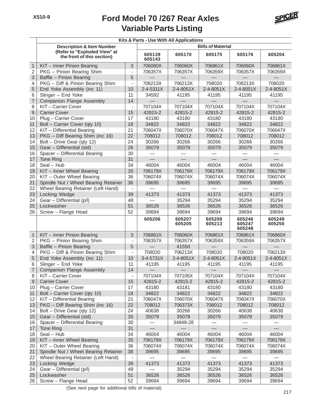

| <b>Bills of Material</b><br><b>Description &amp; Item Number</b><br>(Refer to "Exploded View" at<br>605175<br>605204<br>605139<br>605170<br>605176<br>the front of this section)<br>605143<br>3<br>706060X<br>706060X<br>706861X<br>706060X<br>$\mathbf{1}$<br>KIT - Inner Pinion Bearing<br>706861X<br>$\overline{2}$<br>PKG - Pinion Bearing Shim<br>706357X<br>706357X<br>706359X<br>706357X<br>706359X<br>$\overline{\phantom{a}}$<br>3<br>5<br>Baffle - Pinion Bearing<br>PKG - Diff & Pinion Bearing Shim<br>706213X<br>4<br>706213X<br>708020<br>706213X<br>708020<br>$\blacksquare$<br>5<br>End Yoke Assembly (inc 11)<br>10<br>2-4-5311X<br>2-4-8051X<br>2-4-8051X<br>2-4-8051X<br>2-4-8051X<br>6<br>11<br>Slinger - End Yoke<br>34592<br>41195<br>41195<br>41195<br>41195<br>$\overline{7}$<br><b>Companion Flange Assembly</b><br>14<br>8<br>707104X<br>707104X<br>707104X<br>707104X<br>707104X<br>KIT-Carrier Cover<br>$\overline{\phantom{a}}$<br>$\mathsf 9$<br>15<br><b>Carrier Cover</b><br>42815-2<br>42815-2<br>42815-2<br>42815-2<br>42815-2<br>10<br>Plug - Carrier Cover<br>43180<br>43180<br>43180<br>43180<br>43180<br>17<br>11<br>Bolt - Carrier Cover (qty 10)<br>18<br>34822<br>34822<br>34822<br>34822<br>34822<br>21<br>12<br>KIT - Differential Bearing<br>706047X<br>706070X<br>706047X<br>706070X<br>706047X<br>13<br>22<br>PKG - Diff Bearing Shim (inc 16)<br>708012<br>708012<br>708012<br>708012<br>708012<br>Bolt - Drive Gear (qty 12)<br>24<br>30266<br>30266<br>14<br>30266<br>30266<br>30266<br>15<br>26<br>Gear - Differential (std)<br>35079<br>35079<br>35079<br>35079<br>35079<br>16<br>Spacer - Differential Bearing<br>30<br>31<br>17<br>Tone Ring<br>46004<br>18<br>Seal - Hub<br>34<br>46004<br>46004<br>46004<br>46004<br>35<br>706179X<br>KIT - Inner Wheel Bearing<br>706179X<br>706179X<br>706179X<br>706179X<br>19<br>20<br>KIT - Outer Wheel Bearing<br>36<br>706074X<br>706074X<br>706074X<br>706074X<br>706074X<br>21<br>Spindle Nut / Wheel Bearing Retainer<br>38<br>39695<br>39695<br>39695<br>39695<br>39695<br>22<br>Wheel Bearing Retainer (Left Hand)<br>$\blacksquare$<br>41373<br>41373<br>23<br>Locking Wedge<br>39<br>41373<br>41373<br>41373<br>24<br>Gear - Differential (p/l)<br>48<br>35294<br>35294<br>35294<br>35294<br>25<br>51<br>Lockwasher<br>36526<br>36526<br>36526<br>36526<br>36526<br>26<br>Screw - Flange Head<br>52<br>39694<br>39694<br>39694<br>39694<br>39694<br>605206<br>605207<br>605208<br>605246<br>605249<br>605205<br>605213<br>605247<br>605250<br>605248<br>706861X<br>$\mathbf{1}$<br>KIT - Inner Pinion Bearing<br>3<br>706060X<br>706861X<br>706861X<br>706860X<br>$\overline{2}$<br>PKG - Pinion Bearing Shim<br>706357X<br>706357X<br>706359X<br>706359X<br>706357X<br>$\overline{\phantom{a}}$<br>3<br>Baffle - Pinion Bearing<br>5<br>41550<br>$\overline{\mathcal{A}}$<br>PKG - Diff & Pinion Bearing Shim<br>708020<br>706213X<br>708020<br>708020<br>706213X<br>$\overline{\phantom{a}}$<br>5<br>End Yoke Assembly (inc 11)<br>10<br>3-4-5731X<br>2-4-8051X<br>2-4-8051X<br>2-4-8051X<br>2-4-8051X<br>6<br>11<br>Slinger - End Yoke<br>41195<br>41195<br>41195<br>41195<br>41195<br>14<br>Companion Flange Assembly<br>7<br>KIT-Carrier Cover<br>707104X<br>707105X<br>707104X<br>707104X<br>707104X<br>8<br>$\overline{\phantom{a}}$<br>$\boldsymbol{9}$<br><b>Carrier Cover</b><br>15<br>42815-2<br>42815-2<br>42815-2<br>42815-2<br>42815-2<br>10<br>Plug - Carrier Cover<br>17<br>43180<br>43181<br>43180<br>43180<br>43180<br>Bolt - Carrier Cover (qty 10)<br>34822<br>34822<br>34822<br>34822<br>11<br>18<br>34822<br>12<br>KIT - Differential Bearing<br>21<br>706047X<br>706070X<br>706047X<br>706047X<br>706070X<br>13<br>PKG - Diff Bearing Shim (inc 16)<br>22<br>708012<br>706373X<br>708012<br>708012<br>708012<br>Bolt - Drive Gear (qty 12)<br>30266<br>14<br>24<br>40638<br>30266<br>40638<br>40638<br>15<br>Gear - Differential (std)<br>26<br>35079<br>35079<br>35079<br>35079<br>35079<br>Spacer - Differential Bearing<br>30<br>16<br>34848-28<br>Tone Ring<br>31<br>17<br>Seal - Hub<br>34<br>46004<br>46004<br>46004<br>18<br>46004<br>46004<br>KIT - Inner Wheel Bearing<br>35<br>706179X<br>706179X<br>706179X<br>706179X<br>706179X<br>19<br>KIT - Outer Wheel Bearing<br>20<br>36<br>706074X<br>706074X<br>706074X<br>706074X<br>706074X<br>21<br>Spindle Nut / Wheel Bearing Retainer<br>38<br>39695<br>39695<br>39695<br>39695<br>39695<br>22<br>Wheel Bearing Retainer (Left Hand)<br>$\qquad \qquad \blacksquare$<br>Locking Wedge<br>39<br>41373<br>41373<br>23<br>41373<br>41373<br>41373<br>Gear - Differential (p/l)<br>35294<br>24<br>48<br>35294<br>35294<br>35294<br>51<br>25<br>Lockwasher<br>36526<br>36526<br>36526<br>36526<br>36526<br>Screw - Flange Head<br>52<br>26<br>39694<br>39694<br>39694<br>39694<br>39694 | Kits & Parts - Use With All Applications |  |  |  |  |  |  |  |  |
|---------------------------------------------------------------------------------------------------------------------------------------------------------------------------------------------------------------------------------------------------------------------------------------------------------------------------------------------------------------------------------------------------------------------------------------------------------------------------------------------------------------------------------------------------------------------------------------------------------------------------------------------------------------------------------------------------------------------------------------------------------------------------------------------------------------------------------------------------------------------------------------------------------------------------------------------------------------------------------------------------------------------------------------------------------------------------------------------------------------------------------------------------------------------------------------------------------------------------------------------------------------------------------------------------------------------------------------------------------------------------------------------------------------------------------------------------------------------------------------------------------------------------------------------------------------------------------------------------------------------------------------------------------------------------------------------------------------------------------------------------------------------------------------------------------------------------------------------------------------------------------------------------------------------------------------------------------------------------------------------------------------------------------------------------------------------------------------------------------------------------------------------------------------------------------------------------------------------------------------------------------------------------------------------------------------------------------------------------------------------------------------------------------------------------------------------------------------------------------------------------------------------------------------------------------------------------------------------------------------------------------------------------------------------------------------------------------------------------------------------------------------------------------------------------------------------------------------------------------------------------------------------------------------------------------------------------------------------------------------------------------------------------------------------------------------------------------------------------------------------------------------------------------------------------------------------------------------------------------------------------------------------------------------------------------------------------------------------------------------------------------------------------------------------------------------------------------------------------------------------------------------------------------------------------------------------------------------------------------------------------------------------------------------------------------------------------------------------------------------------------------------------------------------------------------------------------------------------------------------------------------------------------------------------------------------------------------------------------------------------------------------------------------------------------------------------------------------------------------------------------------------------------------------------------------------------------------------------------------------------------------------------------------------------------------------------------------------------------------------------------------------------------------------------------------------------------------------------------------------------------------------------------------------------------------------------------------------------------------------------------------------------------------------------------------------------------------------------------------------------------------------------------------------------------------------------------------------------------------------------------|------------------------------------------|--|--|--|--|--|--|--|--|
|                                                                                                                                                                                                                                                                                                                                                                                                                                                                                                                                                                                                                                                                                                                                                                                                                                                                                                                                                                                                                                                                                                                                                                                                                                                                                                                                                                                                                                                                                                                                                                                                                                                                                                                                                                                                                                                                                                                                                                                                                                                                                                                                                                                                                                                                                                                                                                                                                                                                                                                                                                                                                                                                                                                                                                                                                                                                                                                                                                                                                                                                                                                                                                                                                                                                                                                                                                                                                                                                                                                                                                                                                                                                                                                                                                                                                                                                                                                                                                                                                                                                                                                                                                                                                                                                                                                                                                                                                                                                                                                                                                                                                                                                                                                                                                                                                                                                           |                                          |  |  |  |  |  |  |  |  |
|                                                                                                                                                                                                                                                                                                                                                                                                                                                                                                                                                                                                                                                                                                                                                                                                                                                                                                                                                                                                                                                                                                                                                                                                                                                                                                                                                                                                                                                                                                                                                                                                                                                                                                                                                                                                                                                                                                                                                                                                                                                                                                                                                                                                                                                                                                                                                                                                                                                                                                                                                                                                                                                                                                                                                                                                                                                                                                                                                                                                                                                                                                                                                                                                                                                                                                                                                                                                                                                                                                                                                                                                                                                                                                                                                                                                                                                                                                                                                                                                                                                                                                                                                                                                                                                                                                                                                                                                                                                                                                                                                                                                                                                                                                                                                                                                                                                                           |                                          |  |  |  |  |  |  |  |  |
|                                                                                                                                                                                                                                                                                                                                                                                                                                                                                                                                                                                                                                                                                                                                                                                                                                                                                                                                                                                                                                                                                                                                                                                                                                                                                                                                                                                                                                                                                                                                                                                                                                                                                                                                                                                                                                                                                                                                                                                                                                                                                                                                                                                                                                                                                                                                                                                                                                                                                                                                                                                                                                                                                                                                                                                                                                                                                                                                                                                                                                                                                                                                                                                                                                                                                                                                                                                                                                                                                                                                                                                                                                                                                                                                                                                                                                                                                                                                                                                                                                                                                                                                                                                                                                                                                                                                                                                                                                                                                                                                                                                                                                                                                                                                                                                                                                                                           |                                          |  |  |  |  |  |  |  |  |
|                                                                                                                                                                                                                                                                                                                                                                                                                                                                                                                                                                                                                                                                                                                                                                                                                                                                                                                                                                                                                                                                                                                                                                                                                                                                                                                                                                                                                                                                                                                                                                                                                                                                                                                                                                                                                                                                                                                                                                                                                                                                                                                                                                                                                                                                                                                                                                                                                                                                                                                                                                                                                                                                                                                                                                                                                                                                                                                                                                                                                                                                                                                                                                                                                                                                                                                                                                                                                                                                                                                                                                                                                                                                                                                                                                                                                                                                                                                                                                                                                                                                                                                                                                                                                                                                                                                                                                                                                                                                                                                                                                                                                                                                                                                                                                                                                                                                           |                                          |  |  |  |  |  |  |  |  |
|                                                                                                                                                                                                                                                                                                                                                                                                                                                                                                                                                                                                                                                                                                                                                                                                                                                                                                                                                                                                                                                                                                                                                                                                                                                                                                                                                                                                                                                                                                                                                                                                                                                                                                                                                                                                                                                                                                                                                                                                                                                                                                                                                                                                                                                                                                                                                                                                                                                                                                                                                                                                                                                                                                                                                                                                                                                                                                                                                                                                                                                                                                                                                                                                                                                                                                                                                                                                                                                                                                                                                                                                                                                                                                                                                                                                                                                                                                                                                                                                                                                                                                                                                                                                                                                                                                                                                                                                                                                                                                                                                                                                                                                                                                                                                                                                                                                                           |                                          |  |  |  |  |  |  |  |  |
|                                                                                                                                                                                                                                                                                                                                                                                                                                                                                                                                                                                                                                                                                                                                                                                                                                                                                                                                                                                                                                                                                                                                                                                                                                                                                                                                                                                                                                                                                                                                                                                                                                                                                                                                                                                                                                                                                                                                                                                                                                                                                                                                                                                                                                                                                                                                                                                                                                                                                                                                                                                                                                                                                                                                                                                                                                                                                                                                                                                                                                                                                                                                                                                                                                                                                                                                                                                                                                                                                                                                                                                                                                                                                                                                                                                                                                                                                                                                                                                                                                                                                                                                                                                                                                                                                                                                                                                                                                                                                                                                                                                                                                                                                                                                                                                                                                                                           |                                          |  |  |  |  |  |  |  |  |
|                                                                                                                                                                                                                                                                                                                                                                                                                                                                                                                                                                                                                                                                                                                                                                                                                                                                                                                                                                                                                                                                                                                                                                                                                                                                                                                                                                                                                                                                                                                                                                                                                                                                                                                                                                                                                                                                                                                                                                                                                                                                                                                                                                                                                                                                                                                                                                                                                                                                                                                                                                                                                                                                                                                                                                                                                                                                                                                                                                                                                                                                                                                                                                                                                                                                                                                                                                                                                                                                                                                                                                                                                                                                                                                                                                                                                                                                                                                                                                                                                                                                                                                                                                                                                                                                                                                                                                                                                                                                                                                                                                                                                                                                                                                                                                                                                                                                           |                                          |  |  |  |  |  |  |  |  |
|                                                                                                                                                                                                                                                                                                                                                                                                                                                                                                                                                                                                                                                                                                                                                                                                                                                                                                                                                                                                                                                                                                                                                                                                                                                                                                                                                                                                                                                                                                                                                                                                                                                                                                                                                                                                                                                                                                                                                                                                                                                                                                                                                                                                                                                                                                                                                                                                                                                                                                                                                                                                                                                                                                                                                                                                                                                                                                                                                                                                                                                                                                                                                                                                                                                                                                                                                                                                                                                                                                                                                                                                                                                                                                                                                                                                                                                                                                                                                                                                                                                                                                                                                                                                                                                                                                                                                                                                                                                                                                                                                                                                                                                                                                                                                                                                                                                                           |                                          |  |  |  |  |  |  |  |  |
|                                                                                                                                                                                                                                                                                                                                                                                                                                                                                                                                                                                                                                                                                                                                                                                                                                                                                                                                                                                                                                                                                                                                                                                                                                                                                                                                                                                                                                                                                                                                                                                                                                                                                                                                                                                                                                                                                                                                                                                                                                                                                                                                                                                                                                                                                                                                                                                                                                                                                                                                                                                                                                                                                                                                                                                                                                                                                                                                                                                                                                                                                                                                                                                                                                                                                                                                                                                                                                                                                                                                                                                                                                                                                                                                                                                                                                                                                                                                                                                                                                                                                                                                                                                                                                                                                                                                                                                                                                                                                                                                                                                                                                                                                                                                                                                                                                                                           |                                          |  |  |  |  |  |  |  |  |
|                                                                                                                                                                                                                                                                                                                                                                                                                                                                                                                                                                                                                                                                                                                                                                                                                                                                                                                                                                                                                                                                                                                                                                                                                                                                                                                                                                                                                                                                                                                                                                                                                                                                                                                                                                                                                                                                                                                                                                                                                                                                                                                                                                                                                                                                                                                                                                                                                                                                                                                                                                                                                                                                                                                                                                                                                                                                                                                                                                                                                                                                                                                                                                                                                                                                                                                                                                                                                                                                                                                                                                                                                                                                                                                                                                                                                                                                                                                                                                                                                                                                                                                                                                                                                                                                                                                                                                                                                                                                                                                                                                                                                                                                                                                                                                                                                                                                           |                                          |  |  |  |  |  |  |  |  |
|                                                                                                                                                                                                                                                                                                                                                                                                                                                                                                                                                                                                                                                                                                                                                                                                                                                                                                                                                                                                                                                                                                                                                                                                                                                                                                                                                                                                                                                                                                                                                                                                                                                                                                                                                                                                                                                                                                                                                                                                                                                                                                                                                                                                                                                                                                                                                                                                                                                                                                                                                                                                                                                                                                                                                                                                                                                                                                                                                                                                                                                                                                                                                                                                                                                                                                                                                                                                                                                                                                                                                                                                                                                                                                                                                                                                                                                                                                                                                                                                                                                                                                                                                                                                                                                                                                                                                                                                                                                                                                                                                                                                                                                                                                                                                                                                                                                                           |                                          |  |  |  |  |  |  |  |  |
|                                                                                                                                                                                                                                                                                                                                                                                                                                                                                                                                                                                                                                                                                                                                                                                                                                                                                                                                                                                                                                                                                                                                                                                                                                                                                                                                                                                                                                                                                                                                                                                                                                                                                                                                                                                                                                                                                                                                                                                                                                                                                                                                                                                                                                                                                                                                                                                                                                                                                                                                                                                                                                                                                                                                                                                                                                                                                                                                                                                                                                                                                                                                                                                                                                                                                                                                                                                                                                                                                                                                                                                                                                                                                                                                                                                                                                                                                                                                                                                                                                                                                                                                                                                                                                                                                                                                                                                                                                                                                                                                                                                                                                                                                                                                                                                                                                                                           |                                          |  |  |  |  |  |  |  |  |
|                                                                                                                                                                                                                                                                                                                                                                                                                                                                                                                                                                                                                                                                                                                                                                                                                                                                                                                                                                                                                                                                                                                                                                                                                                                                                                                                                                                                                                                                                                                                                                                                                                                                                                                                                                                                                                                                                                                                                                                                                                                                                                                                                                                                                                                                                                                                                                                                                                                                                                                                                                                                                                                                                                                                                                                                                                                                                                                                                                                                                                                                                                                                                                                                                                                                                                                                                                                                                                                                                                                                                                                                                                                                                                                                                                                                                                                                                                                                                                                                                                                                                                                                                                                                                                                                                                                                                                                                                                                                                                                                                                                                                                                                                                                                                                                                                                                                           |                                          |  |  |  |  |  |  |  |  |
|                                                                                                                                                                                                                                                                                                                                                                                                                                                                                                                                                                                                                                                                                                                                                                                                                                                                                                                                                                                                                                                                                                                                                                                                                                                                                                                                                                                                                                                                                                                                                                                                                                                                                                                                                                                                                                                                                                                                                                                                                                                                                                                                                                                                                                                                                                                                                                                                                                                                                                                                                                                                                                                                                                                                                                                                                                                                                                                                                                                                                                                                                                                                                                                                                                                                                                                                                                                                                                                                                                                                                                                                                                                                                                                                                                                                                                                                                                                                                                                                                                                                                                                                                                                                                                                                                                                                                                                                                                                                                                                                                                                                                                                                                                                                                                                                                                                                           |                                          |  |  |  |  |  |  |  |  |
|                                                                                                                                                                                                                                                                                                                                                                                                                                                                                                                                                                                                                                                                                                                                                                                                                                                                                                                                                                                                                                                                                                                                                                                                                                                                                                                                                                                                                                                                                                                                                                                                                                                                                                                                                                                                                                                                                                                                                                                                                                                                                                                                                                                                                                                                                                                                                                                                                                                                                                                                                                                                                                                                                                                                                                                                                                                                                                                                                                                                                                                                                                                                                                                                                                                                                                                                                                                                                                                                                                                                                                                                                                                                                                                                                                                                                                                                                                                                                                                                                                                                                                                                                                                                                                                                                                                                                                                                                                                                                                                                                                                                                                                                                                                                                                                                                                                                           |                                          |  |  |  |  |  |  |  |  |
|                                                                                                                                                                                                                                                                                                                                                                                                                                                                                                                                                                                                                                                                                                                                                                                                                                                                                                                                                                                                                                                                                                                                                                                                                                                                                                                                                                                                                                                                                                                                                                                                                                                                                                                                                                                                                                                                                                                                                                                                                                                                                                                                                                                                                                                                                                                                                                                                                                                                                                                                                                                                                                                                                                                                                                                                                                                                                                                                                                                                                                                                                                                                                                                                                                                                                                                                                                                                                                                                                                                                                                                                                                                                                                                                                                                                                                                                                                                                                                                                                                                                                                                                                                                                                                                                                                                                                                                                                                                                                                                                                                                                                                                                                                                                                                                                                                                                           |                                          |  |  |  |  |  |  |  |  |
|                                                                                                                                                                                                                                                                                                                                                                                                                                                                                                                                                                                                                                                                                                                                                                                                                                                                                                                                                                                                                                                                                                                                                                                                                                                                                                                                                                                                                                                                                                                                                                                                                                                                                                                                                                                                                                                                                                                                                                                                                                                                                                                                                                                                                                                                                                                                                                                                                                                                                                                                                                                                                                                                                                                                                                                                                                                                                                                                                                                                                                                                                                                                                                                                                                                                                                                                                                                                                                                                                                                                                                                                                                                                                                                                                                                                                                                                                                                                                                                                                                                                                                                                                                                                                                                                                                                                                                                                                                                                                                                                                                                                                                                                                                                                                                                                                                                                           |                                          |  |  |  |  |  |  |  |  |
|                                                                                                                                                                                                                                                                                                                                                                                                                                                                                                                                                                                                                                                                                                                                                                                                                                                                                                                                                                                                                                                                                                                                                                                                                                                                                                                                                                                                                                                                                                                                                                                                                                                                                                                                                                                                                                                                                                                                                                                                                                                                                                                                                                                                                                                                                                                                                                                                                                                                                                                                                                                                                                                                                                                                                                                                                                                                                                                                                                                                                                                                                                                                                                                                                                                                                                                                                                                                                                                                                                                                                                                                                                                                                                                                                                                                                                                                                                                                                                                                                                                                                                                                                                                                                                                                                                                                                                                                                                                                                                                                                                                                                                                                                                                                                                                                                                                                           |                                          |  |  |  |  |  |  |  |  |
|                                                                                                                                                                                                                                                                                                                                                                                                                                                                                                                                                                                                                                                                                                                                                                                                                                                                                                                                                                                                                                                                                                                                                                                                                                                                                                                                                                                                                                                                                                                                                                                                                                                                                                                                                                                                                                                                                                                                                                                                                                                                                                                                                                                                                                                                                                                                                                                                                                                                                                                                                                                                                                                                                                                                                                                                                                                                                                                                                                                                                                                                                                                                                                                                                                                                                                                                                                                                                                                                                                                                                                                                                                                                                                                                                                                                                                                                                                                                                                                                                                                                                                                                                                                                                                                                                                                                                                                                                                                                                                                                                                                                                                                                                                                                                                                                                                                                           |                                          |  |  |  |  |  |  |  |  |
|                                                                                                                                                                                                                                                                                                                                                                                                                                                                                                                                                                                                                                                                                                                                                                                                                                                                                                                                                                                                                                                                                                                                                                                                                                                                                                                                                                                                                                                                                                                                                                                                                                                                                                                                                                                                                                                                                                                                                                                                                                                                                                                                                                                                                                                                                                                                                                                                                                                                                                                                                                                                                                                                                                                                                                                                                                                                                                                                                                                                                                                                                                                                                                                                                                                                                                                                                                                                                                                                                                                                                                                                                                                                                                                                                                                                                                                                                                                                                                                                                                                                                                                                                                                                                                                                                                                                                                                                                                                                                                                                                                                                                                                                                                                                                                                                                                                                           |                                          |  |  |  |  |  |  |  |  |
|                                                                                                                                                                                                                                                                                                                                                                                                                                                                                                                                                                                                                                                                                                                                                                                                                                                                                                                                                                                                                                                                                                                                                                                                                                                                                                                                                                                                                                                                                                                                                                                                                                                                                                                                                                                                                                                                                                                                                                                                                                                                                                                                                                                                                                                                                                                                                                                                                                                                                                                                                                                                                                                                                                                                                                                                                                                                                                                                                                                                                                                                                                                                                                                                                                                                                                                                                                                                                                                                                                                                                                                                                                                                                                                                                                                                                                                                                                                                                                                                                                                                                                                                                                                                                                                                                                                                                                                                                                                                                                                                                                                                                                                                                                                                                                                                                                                                           |                                          |  |  |  |  |  |  |  |  |
|                                                                                                                                                                                                                                                                                                                                                                                                                                                                                                                                                                                                                                                                                                                                                                                                                                                                                                                                                                                                                                                                                                                                                                                                                                                                                                                                                                                                                                                                                                                                                                                                                                                                                                                                                                                                                                                                                                                                                                                                                                                                                                                                                                                                                                                                                                                                                                                                                                                                                                                                                                                                                                                                                                                                                                                                                                                                                                                                                                                                                                                                                                                                                                                                                                                                                                                                                                                                                                                                                                                                                                                                                                                                                                                                                                                                                                                                                                                                                                                                                                                                                                                                                                                                                                                                                                                                                                                                                                                                                                                                                                                                                                                                                                                                                                                                                                                                           |                                          |  |  |  |  |  |  |  |  |
|                                                                                                                                                                                                                                                                                                                                                                                                                                                                                                                                                                                                                                                                                                                                                                                                                                                                                                                                                                                                                                                                                                                                                                                                                                                                                                                                                                                                                                                                                                                                                                                                                                                                                                                                                                                                                                                                                                                                                                                                                                                                                                                                                                                                                                                                                                                                                                                                                                                                                                                                                                                                                                                                                                                                                                                                                                                                                                                                                                                                                                                                                                                                                                                                                                                                                                                                                                                                                                                                                                                                                                                                                                                                                                                                                                                                                                                                                                                                                                                                                                                                                                                                                                                                                                                                                                                                                                                                                                                                                                                                                                                                                                                                                                                                                                                                                                                                           |                                          |  |  |  |  |  |  |  |  |
|                                                                                                                                                                                                                                                                                                                                                                                                                                                                                                                                                                                                                                                                                                                                                                                                                                                                                                                                                                                                                                                                                                                                                                                                                                                                                                                                                                                                                                                                                                                                                                                                                                                                                                                                                                                                                                                                                                                                                                                                                                                                                                                                                                                                                                                                                                                                                                                                                                                                                                                                                                                                                                                                                                                                                                                                                                                                                                                                                                                                                                                                                                                                                                                                                                                                                                                                                                                                                                                                                                                                                                                                                                                                                                                                                                                                                                                                                                                                                                                                                                                                                                                                                                                                                                                                                                                                                                                                                                                                                                                                                                                                                                                                                                                                                                                                                                                                           |                                          |  |  |  |  |  |  |  |  |
|                                                                                                                                                                                                                                                                                                                                                                                                                                                                                                                                                                                                                                                                                                                                                                                                                                                                                                                                                                                                                                                                                                                                                                                                                                                                                                                                                                                                                                                                                                                                                                                                                                                                                                                                                                                                                                                                                                                                                                                                                                                                                                                                                                                                                                                                                                                                                                                                                                                                                                                                                                                                                                                                                                                                                                                                                                                                                                                                                                                                                                                                                                                                                                                                                                                                                                                                                                                                                                                                                                                                                                                                                                                                                                                                                                                                                                                                                                                                                                                                                                                                                                                                                                                                                                                                                                                                                                                                                                                                                                                                                                                                                                                                                                                                                                                                                                                                           |                                          |  |  |  |  |  |  |  |  |
|                                                                                                                                                                                                                                                                                                                                                                                                                                                                                                                                                                                                                                                                                                                                                                                                                                                                                                                                                                                                                                                                                                                                                                                                                                                                                                                                                                                                                                                                                                                                                                                                                                                                                                                                                                                                                                                                                                                                                                                                                                                                                                                                                                                                                                                                                                                                                                                                                                                                                                                                                                                                                                                                                                                                                                                                                                                                                                                                                                                                                                                                                                                                                                                                                                                                                                                                                                                                                                                                                                                                                                                                                                                                                                                                                                                                                                                                                                                                                                                                                                                                                                                                                                                                                                                                                                                                                                                                                                                                                                                                                                                                                                                                                                                                                                                                                                                                           |                                          |  |  |  |  |  |  |  |  |
|                                                                                                                                                                                                                                                                                                                                                                                                                                                                                                                                                                                                                                                                                                                                                                                                                                                                                                                                                                                                                                                                                                                                                                                                                                                                                                                                                                                                                                                                                                                                                                                                                                                                                                                                                                                                                                                                                                                                                                                                                                                                                                                                                                                                                                                                                                                                                                                                                                                                                                                                                                                                                                                                                                                                                                                                                                                                                                                                                                                                                                                                                                                                                                                                                                                                                                                                                                                                                                                                                                                                                                                                                                                                                                                                                                                                                                                                                                                                                                                                                                                                                                                                                                                                                                                                                                                                                                                                                                                                                                                                                                                                                                                                                                                                                                                                                                                                           |                                          |  |  |  |  |  |  |  |  |
|                                                                                                                                                                                                                                                                                                                                                                                                                                                                                                                                                                                                                                                                                                                                                                                                                                                                                                                                                                                                                                                                                                                                                                                                                                                                                                                                                                                                                                                                                                                                                                                                                                                                                                                                                                                                                                                                                                                                                                                                                                                                                                                                                                                                                                                                                                                                                                                                                                                                                                                                                                                                                                                                                                                                                                                                                                                                                                                                                                                                                                                                                                                                                                                                                                                                                                                                                                                                                                                                                                                                                                                                                                                                                                                                                                                                                                                                                                                                                                                                                                                                                                                                                                                                                                                                                                                                                                                                                                                                                                                                                                                                                                                                                                                                                                                                                                                                           |                                          |  |  |  |  |  |  |  |  |
|                                                                                                                                                                                                                                                                                                                                                                                                                                                                                                                                                                                                                                                                                                                                                                                                                                                                                                                                                                                                                                                                                                                                                                                                                                                                                                                                                                                                                                                                                                                                                                                                                                                                                                                                                                                                                                                                                                                                                                                                                                                                                                                                                                                                                                                                                                                                                                                                                                                                                                                                                                                                                                                                                                                                                                                                                                                                                                                                                                                                                                                                                                                                                                                                                                                                                                                                                                                                                                                                                                                                                                                                                                                                                                                                                                                                                                                                                                                                                                                                                                                                                                                                                                                                                                                                                                                                                                                                                                                                                                                                                                                                                                                                                                                                                                                                                                                                           |                                          |  |  |  |  |  |  |  |  |
|                                                                                                                                                                                                                                                                                                                                                                                                                                                                                                                                                                                                                                                                                                                                                                                                                                                                                                                                                                                                                                                                                                                                                                                                                                                                                                                                                                                                                                                                                                                                                                                                                                                                                                                                                                                                                                                                                                                                                                                                                                                                                                                                                                                                                                                                                                                                                                                                                                                                                                                                                                                                                                                                                                                                                                                                                                                                                                                                                                                                                                                                                                                                                                                                                                                                                                                                                                                                                                                                                                                                                                                                                                                                                                                                                                                                                                                                                                                                                                                                                                                                                                                                                                                                                                                                                                                                                                                                                                                                                                                                                                                                                                                                                                                                                                                                                                                                           |                                          |  |  |  |  |  |  |  |  |
|                                                                                                                                                                                                                                                                                                                                                                                                                                                                                                                                                                                                                                                                                                                                                                                                                                                                                                                                                                                                                                                                                                                                                                                                                                                                                                                                                                                                                                                                                                                                                                                                                                                                                                                                                                                                                                                                                                                                                                                                                                                                                                                                                                                                                                                                                                                                                                                                                                                                                                                                                                                                                                                                                                                                                                                                                                                                                                                                                                                                                                                                                                                                                                                                                                                                                                                                                                                                                                                                                                                                                                                                                                                                                                                                                                                                                                                                                                                                                                                                                                                                                                                                                                                                                                                                                                                                                                                                                                                                                                                                                                                                                                                                                                                                                                                                                                                                           |                                          |  |  |  |  |  |  |  |  |
|                                                                                                                                                                                                                                                                                                                                                                                                                                                                                                                                                                                                                                                                                                                                                                                                                                                                                                                                                                                                                                                                                                                                                                                                                                                                                                                                                                                                                                                                                                                                                                                                                                                                                                                                                                                                                                                                                                                                                                                                                                                                                                                                                                                                                                                                                                                                                                                                                                                                                                                                                                                                                                                                                                                                                                                                                                                                                                                                                                                                                                                                                                                                                                                                                                                                                                                                                                                                                                                                                                                                                                                                                                                                                                                                                                                                                                                                                                                                                                                                                                                                                                                                                                                                                                                                                                                                                                                                                                                                                                                                                                                                                                                                                                                                                                                                                                                                           |                                          |  |  |  |  |  |  |  |  |
|                                                                                                                                                                                                                                                                                                                                                                                                                                                                                                                                                                                                                                                                                                                                                                                                                                                                                                                                                                                                                                                                                                                                                                                                                                                                                                                                                                                                                                                                                                                                                                                                                                                                                                                                                                                                                                                                                                                                                                                                                                                                                                                                                                                                                                                                                                                                                                                                                                                                                                                                                                                                                                                                                                                                                                                                                                                                                                                                                                                                                                                                                                                                                                                                                                                                                                                                                                                                                                                                                                                                                                                                                                                                                                                                                                                                                                                                                                                                                                                                                                                                                                                                                                                                                                                                                                                                                                                                                                                                                                                                                                                                                                                                                                                                                                                                                                                                           |                                          |  |  |  |  |  |  |  |  |
|                                                                                                                                                                                                                                                                                                                                                                                                                                                                                                                                                                                                                                                                                                                                                                                                                                                                                                                                                                                                                                                                                                                                                                                                                                                                                                                                                                                                                                                                                                                                                                                                                                                                                                                                                                                                                                                                                                                                                                                                                                                                                                                                                                                                                                                                                                                                                                                                                                                                                                                                                                                                                                                                                                                                                                                                                                                                                                                                                                                                                                                                                                                                                                                                                                                                                                                                                                                                                                                                                                                                                                                                                                                                                                                                                                                                                                                                                                                                                                                                                                                                                                                                                                                                                                                                                                                                                                                                                                                                                                                                                                                                                                                                                                                                                                                                                                                                           |                                          |  |  |  |  |  |  |  |  |
|                                                                                                                                                                                                                                                                                                                                                                                                                                                                                                                                                                                                                                                                                                                                                                                                                                                                                                                                                                                                                                                                                                                                                                                                                                                                                                                                                                                                                                                                                                                                                                                                                                                                                                                                                                                                                                                                                                                                                                                                                                                                                                                                                                                                                                                                                                                                                                                                                                                                                                                                                                                                                                                                                                                                                                                                                                                                                                                                                                                                                                                                                                                                                                                                                                                                                                                                                                                                                                                                                                                                                                                                                                                                                                                                                                                                                                                                                                                                                                                                                                                                                                                                                                                                                                                                                                                                                                                                                                                                                                                                                                                                                                                                                                                                                                                                                                                                           |                                          |  |  |  |  |  |  |  |  |
|                                                                                                                                                                                                                                                                                                                                                                                                                                                                                                                                                                                                                                                                                                                                                                                                                                                                                                                                                                                                                                                                                                                                                                                                                                                                                                                                                                                                                                                                                                                                                                                                                                                                                                                                                                                                                                                                                                                                                                                                                                                                                                                                                                                                                                                                                                                                                                                                                                                                                                                                                                                                                                                                                                                                                                                                                                                                                                                                                                                                                                                                                                                                                                                                                                                                                                                                                                                                                                                                                                                                                                                                                                                                                                                                                                                                                                                                                                                                                                                                                                                                                                                                                                                                                                                                                                                                                                                                                                                                                                                                                                                                                                                                                                                                                                                                                                                                           |                                          |  |  |  |  |  |  |  |  |
|                                                                                                                                                                                                                                                                                                                                                                                                                                                                                                                                                                                                                                                                                                                                                                                                                                                                                                                                                                                                                                                                                                                                                                                                                                                                                                                                                                                                                                                                                                                                                                                                                                                                                                                                                                                                                                                                                                                                                                                                                                                                                                                                                                                                                                                                                                                                                                                                                                                                                                                                                                                                                                                                                                                                                                                                                                                                                                                                                                                                                                                                                                                                                                                                                                                                                                                                                                                                                                                                                                                                                                                                                                                                                                                                                                                                                                                                                                                                                                                                                                                                                                                                                                                                                                                                                                                                                                                                                                                                                                                                                                                                                                                                                                                                                                                                                                                                           |                                          |  |  |  |  |  |  |  |  |
|                                                                                                                                                                                                                                                                                                                                                                                                                                                                                                                                                                                                                                                                                                                                                                                                                                                                                                                                                                                                                                                                                                                                                                                                                                                                                                                                                                                                                                                                                                                                                                                                                                                                                                                                                                                                                                                                                                                                                                                                                                                                                                                                                                                                                                                                                                                                                                                                                                                                                                                                                                                                                                                                                                                                                                                                                                                                                                                                                                                                                                                                                                                                                                                                                                                                                                                                                                                                                                                                                                                                                                                                                                                                                                                                                                                                                                                                                                                                                                                                                                                                                                                                                                                                                                                                                                                                                                                                                                                                                                                                                                                                                                                                                                                                                                                                                                                                           |                                          |  |  |  |  |  |  |  |  |
|                                                                                                                                                                                                                                                                                                                                                                                                                                                                                                                                                                                                                                                                                                                                                                                                                                                                                                                                                                                                                                                                                                                                                                                                                                                                                                                                                                                                                                                                                                                                                                                                                                                                                                                                                                                                                                                                                                                                                                                                                                                                                                                                                                                                                                                                                                                                                                                                                                                                                                                                                                                                                                                                                                                                                                                                                                                                                                                                                                                                                                                                                                                                                                                                                                                                                                                                                                                                                                                                                                                                                                                                                                                                                                                                                                                                                                                                                                                                                                                                                                                                                                                                                                                                                                                                                                                                                                                                                                                                                                                                                                                                                                                                                                                                                                                                                                                                           |                                          |  |  |  |  |  |  |  |  |
|                                                                                                                                                                                                                                                                                                                                                                                                                                                                                                                                                                                                                                                                                                                                                                                                                                                                                                                                                                                                                                                                                                                                                                                                                                                                                                                                                                                                                                                                                                                                                                                                                                                                                                                                                                                                                                                                                                                                                                                                                                                                                                                                                                                                                                                                                                                                                                                                                                                                                                                                                                                                                                                                                                                                                                                                                                                                                                                                                                                                                                                                                                                                                                                                                                                                                                                                                                                                                                                                                                                                                                                                                                                                                                                                                                                                                                                                                                                                                                                                                                                                                                                                                                                                                                                                                                                                                                                                                                                                                                                                                                                                                                                                                                                                                                                                                                                                           |                                          |  |  |  |  |  |  |  |  |
|                                                                                                                                                                                                                                                                                                                                                                                                                                                                                                                                                                                                                                                                                                                                                                                                                                                                                                                                                                                                                                                                                                                                                                                                                                                                                                                                                                                                                                                                                                                                                                                                                                                                                                                                                                                                                                                                                                                                                                                                                                                                                                                                                                                                                                                                                                                                                                                                                                                                                                                                                                                                                                                                                                                                                                                                                                                                                                                                                                                                                                                                                                                                                                                                                                                                                                                                                                                                                                                                                                                                                                                                                                                                                                                                                                                                                                                                                                                                                                                                                                                                                                                                                                                                                                                                                                                                                                                                                                                                                                                                                                                                                                                                                                                                                                                                                                                                           |                                          |  |  |  |  |  |  |  |  |
|                                                                                                                                                                                                                                                                                                                                                                                                                                                                                                                                                                                                                                                                                                                                                                                                                                                                                                                                                                                                                                                                                                                                                                                                                                                                                                                                                                                                                                                                                                                                                                                                                                                                                                                                                                                                                                                                                                                                                                                                                                                                                                                                                                                                                                                                                                                                                                                                                                                                                                                                                                                                                                                                                                                                                                                                                                                                                                                                                                                                                                                                                                                                                                                                                                                                                                                                                                                                                                                                                                                                                                                                                                                                                                                                                                                                                                                                                                                                                                                                                                                                                                                                                                                                                                                                                                                                                                                                                                                                                                                                                                                                                                                                                                                                                                                                                                                                           |                                          |  |  |  |  |  |  |  |  |
|                                                                                                                                                                                                                                                                                                                                                                                                                                                                                                                                                                                                                                                                                                                                                                                                                                                                                                                                                                                                                                                                                                                                                                                                                                                                                                                                                                                                                                                                                                                                                                                                                                                                                                                                                                                                                                                                                                                                                                                                                                                                                                                                                                                                                                                                                                                                                                                                                                                                                                                                                                                                                                                                                                                                                                                                                                                                                                                                                                                                                                                                                                                                                                                                                                                                                                                                                                                                                                                                                                                                                                                                                                                                                                                                                                                                                                                                                                                                                                                                                                                                                                                                                                                                                                                                                                                                                                                                                                                                                                                                                                                                                                                                                                                                                                                                                                                                           |                                          |  |  |  |  |  |  |  |  |
|                                                                                                                                                                                                                                                                                                                                                                                                                                                                                                                                                                                                                                                                                                                                                                                                                                                                                                                                                                                                                                                                                                                                                                                                                                                                                                                                                                                                                                                                                                                                                                                                                                                                                                                                                                                                                                                                                                                                                                                                                                                                                                                                                                                                                                                                                                                                                                                                                                                                                                                                                                                                                                                                                                                                                                                                                                                                                                                                                                                                                                                                                                                                                                                                                                                                                                                                                                                                                                                                                                                                                                                                                                                                                                                                                                                                                                                                                                                                                                                                                                                                                                                                                                                                                                                                                                                                                                                                                                                                                                                                                                                                                                                                                                                                                                                                                                                                           |                                          |  |  |  |  |  |  |  |  |
|                                                                                                                                                                                                                                                                                                                                                                                                                                                                                                                                                                                                                                                                                                                                                                                                                                                                                                                                                                                                                                                                                                                                                                                                                                                                                                                                                                                                                                                                                                                                                                                                                                                                                                                                                                                                                                                                                                                                                                                                                                                                                                                                                                                                                                                                                                                                                                                                                                                                                                                                                                                                                                                                                                                                                                                                                                                                                                                                                                                                                                                                                                                                                                                                                                                                                                                                                                                                                                                                                                                                                                                                                                                                                                                                                                                                                                                                                                                                                                                                                                                                                                                                                                                                                                                                                                                                                                                                                                                                                                                                                                                                                                                                                                                                                                                                                                                                           |                                          |  |  |  |  |  |  |  |  |
|                                                                                                                                                                                                                                                                                                                                                                                                                                                                                                                                                                                                                                                                                                                                                                                                                                                                                                                                                                                                                                                                                                                                                                                                                                                                                                                                                                                                                                                                                                                                                                                                                                                                                                                                                                                                                                                                                                                                                                                                                                                                                                                                                                                                                                                                                                                                                                                                                                                                                                                                                                                                                                                                                                                                                                                                                                                                                                                                                                                                                                                                                                                                                                                                                                                                                                                                                                                                                                                                                                                                                                                                                                                                                                                                                                                                                                                                                                                                                                                                                                                                                                                                                                                                                                                                                                                                                                                                                                                                                                                                                                                                                                                                                                                                                                                                                                                                           |                                          |  |  |  |  |  |  |  |  |
|                                                                                                                                                                                                                                                                                                                                                                                                                                                                                                                                                                                                                                                                                                                                                                                                                                                                                                                                                                                                                                                                                                                                                                                                                                                                                                                                                                                                                                                                                                                                                                                                                                                                                                                                                                                                                                                                                                                                                                                                                                                                                                                                                                                                                                                                                                                                                                                                                                                                                                                                                                                                                                                                                                                                                                                                                                                                                                                                                                                                                                                                                                                                                                                                                                                                                                                                                                                                                                                                                                                                                                                                                                                                                                                                                                                                                                                                                                                                                                                                                                                                                                                                                                                                                                                                                                                                                                                                                                                                                                                                                                                                                                                                                                                                                                                                                                                                           |                                          |  |  |  |  |  |  |  |  |
|                                                                                                                                                                                                                                                                                                                                                                                                                                                                                                                                                                                                                                                                                                                                                                                                                                                                                                                                                                                                                                                                                                                                                                                                                                                                                                                                                                                                                                                                                                                                                                                                                                                                                                                                                                                                                                                                                                                                                                                                                                                                                                                                                                                                                                                                                                                                                                                                                                                                                                                                                                                                                                                                                                                                                                                                                                                                                                                                                                                                                                                                                                                                                                                                                                                                                                                                                                                                                                                                                                                                                                                                                                                                                                                                                                                                                                                                                                                                                                                                                                                                                                                                                                                                                                                                                                                                                                                                                                                                                                                                                                                                                                                                                                                                                                                                                                                                           |                                          |  |  |  |  |  |  |  |  |
|                                                                                                                                                                                                                                                                                                                                                                                                                                                                                                                                                                                                                                                                                                                                                                                                                                                                                                                                                                                                                                                                                                                                                                                                                                                                                                                                                                                                                                                                                                                                                                                                                                                                                                                                                                                                                                                                                                                                                                                                                                                                                                                                                                                                                                                                                                                                                                                                                                                                                                                                                                                                                                                                                                                                                                                                                                                                                                                                                                                                                                                                                                                                                                                                                                                                                                                                                                                                                                                                                                                                                                                                                                                                                                                                                                                                                                                                                                                                                                                                                                                                                                                                                                                                                                                                                                                                                                                                                                                                                                                                                                                                                                                                                                                                                                                                                                                                           |                                          |  |  |  |  |  |  |  |  |
|                                                                                                                                                                                                                                                                                                                                                                                                                                                                                                                                                                                                                                                                                                                                                                                                                                                                                                                                                                                                                                                                                                                                                                                                                                                                                                                                                                                                                                                                                                                                                                                                                                                                                                                                                                                                                                                                                                                                                                                                                                                                                                                                                                                                                                                                                                                                                                                                                                                                                                                                                                                                                                                                                                                                                                                                                                                                                                                                                                                                                                                                                                                                                                                                                                                                                                                                                                                                                                                                                                                                                                                                                                                                                                                                                                                                                                                                                                                                                                                                                                                                                                                                                                                                                                                                                                                                                                                                                                                                                                                                                                                                                                                                                                                                                                                                                                                                           |                                          |  |  |  |  |  |  |  |  |
|                                                                                                                                                                                                                                                                                                                                                                                                                                                                                                                                                                                                                                                                                                                                                                                                                                                                                                                                                                                                                                                                                                                                                                                                                                                                                                                                                                                                                                                                                                                                                                                                                                                                                                                                                                                                                                                                                                                                                                                                                                                                                                                                                                                                                                                                                                                                                                                                                                                                                                                                                                                                                                                                                                                                                                                                                                                                                                                                                                                                                                                                                                                                                                                                                                                                                                                                                                                                                                                                                                                                                                                                                                                                                                                                                                                                                                                                                                                                                                                                                                                                                                                                                                                                                                                                                                                                                                                                                                                                                                                                                                                                                                                                                                                                                                                                                                                                           |                                          |  |  |  |  |  |  |  |  |
|                                                                                                                                                                                                                                                                                                                                                                                                                                                                                                                                                                                                                                                                                                                                                                                                                                                                                                                                                                                                                                                                                                                                                                                                                                                                                                                                                                                                                                                                                                                                                                                                                                                                                                                                                                                                                                                                                                                                                                                                                                                                                                                                                                                                                                                                                                                                                                                                                                                                                                                                                                                                                                                                                                                                                                                                                                                                                                                                                                                                                                                                                                                                                                                                                                                                                                                                                                                                                                                                                                                                                                                                                                                                                                                                                                                                                                                                                                                                                                                                                                                                                                                                                                                                                                                                                                                                                                                                                                                                                                                                                                                                                                                                                                                                                                                                                                                                           |                                          |  |  |  |  |  |  |  |  |
|                                                                                                                                                                                                                                                                                                                                                                                                                                                                                                                                                                                                                                                                                                                                                                                                                                                                                                                                                                                                                                                                                                                                                                                                                                                                                                                                                                                                                                                                                                                                                                                                                                                                                                                                                                                                                                                                                                                                                                                                                                                                                                                                                                                                                                                                                                                                                                                                                                                                                                                                                                                                                                                                                                                                                                                                                                                                                                                                                                                                                                                                                                                                                                                                                                                                                                                                                                                                                                                                                                                                                                                                                                                                                                                                                                                                                                                                                                                                                                                                                                                                                                                                                                                                                                                                                                                                                                                                                                                                                                                                                                                                                                                                                                                                                                                                                                                                           |                                          |  |  |  |  |  |  |  |  |

(See next page for additional bills of material)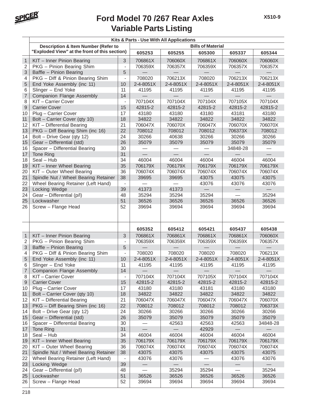

|                | Kits & Parts - Use With All Applications       |                          |           |           |                          |                          |           |  |
|----------------|------------------------------------------------|--------------------------|-----------|-----------|--------------------------|--------------------------|-----------|--|
|                | <b>Description &amp; Item Number (Refer to</b> |                          |           |           | <b>Bills of Material</b> |                          |           |  |
|                | "Exploded View" at the front of this section)  |                          | 605253    | 605255    | 605300                   | 605337                   | 605344    |  |
| $\mathbf{1}$   | KIT - Inner Pinion Bearing                     | 3                        | 706861X   | 706060X   | 706861X                  | 706060X                  | 706060X   |  |
| 2              | PKG - Pinion Bearing Shim                      | $\overline{\phantom{a}}$ | 706359X   | 706357X   | 706359X                  | 706357X                  | 706357X   |  |
| 3              | Baffle - Pinion Bearing                        | 5                        |           |           |                          |                          |           |  |
| 4              | PKG - Diff & Pinion Bearing Shim               | $\overline{\phantom{a}}$ | 708020    | 706213X   | 708020                   | 706213X                  | 706213X   |  |
| 5              | End Yoke Assembly (inc 11)                     | 10                       | 2-4-8051X | 2-4-8051X | 2-4-8051X                | 2-4-8051X                | 2-4-8051X |  |
| 6              | Slinger - End Yoke                             | 11                       | 41195     | 41195     | 41195                    | 41195                    | 41195     |  |
| $\overline{7}$ | <b>Companion Flange Assembly</b>               | 14                       |           |           |                          |                          |           |  |
| 8              | KIT-Carrier Cover                              | $\overline{\phantom{a}}$ | 707104X   | 707104X   | 707104X                  | 707105X                  | 707104X   |  |
| 9              | <b>Carrier Cover</b>                           | 15                       | 42815-2   | 42815-2   | 42815-2                  | 42815-2                  | 42815-2   |  |
| 10             | Plug - Carrier Cover                           | 17                       | 43180     | 43180     | 43180                    | 43181                    | 43180     |  |
| 11             | Bolt - Carrier Cover (qty 10)                  | 18                       | 34822     | 34822     | 34822                    | 34822                    | 34822     |  |
| 12             | KIT - Differential Bearing                     | 21                       | 706047X   | 706070X   | 706047X                  | 706070X                  | 706070X   |  |
| 13             | PKG - Diff Bearing Shim (inc 16)               | 22                       | 708012    | 708012    | 708012                   | 706373X                  | 708012    |  |
| 14             | Bolt - Drive Gear (qty 12)                     | 24                       | 30266     | 40638     | 30266                    | 30266                    | 30266     |  |
| 15             | Gear - Differential (std)                      | 26                       | 35079     | 35079     | 35079                    | 35079                    | 35079     |  |
| 16             | Spacer - Differential Bearing                  | 30                       |           |           |                          | 34848-28                 |           |  |
| 17             | Tone Ring                                      | 31                       |           |           |                          | $\overline{\phantom{0}}$ |           |  |
| 18             | Seal - Hub                                     | 34                       | 46004     | 46004     | 46004                    | 46004                    | 46004     |  |
| 19             | KIT - Inner Wheel Bearing                      | 35                       | 706179X   | 706179X   | 706179X                  | 706179X                  | 706179X   |  |
| 20             | KIT - Outer Wheel Bearing                      | 36                       | 706074X   | 706074X   | 706074X                  | 706074X                  | 706074X   |  |
| 21             | Spindle Nut / Wheel Bearing Retainer           | 38                       | 39695     | 39695     | 43075                    | 43075                    | 43075     |  |
| 22             | Wheel Bearing Retainer (Left Hand)             | $\blacksquare$           |           |           | 43076                    | 43076                    | 43076     |  |
| 23             | Locking Wedge                                  | 39                       | 41373     | 41373     |                          |                          |           |  |
| 24             | Gear - Differential (p/l)                      | 48                       | 35294     | 35294     | 35294                    |                          | 35294     |  |
| 25             | Lockwasher                                     | 51                       | 36526     | 36526     | 36526                    | 36526                    | 36526     |  |
| 26             | Screw - Flange Head                            | 52                       | 39694     | 39694     | 39694                    | 39694                    | 39694     |  |
|                |                                                |                          |           |           |                          |                          |           |  |
|                |                                                |                          |           |           |                          |                          |           |  |
|                |                                                |                          | 605352    | 605412    | 605421                   | 605437                   | 605438    |  |
| $\mathbf{1}$   | KIT - Inner Pinion Bearing                     | 3                        | 706861X   | 706861X   | 706861X                  | 706861X                  | 706060X   |  |
| $\overline{2}$ | PKG - Pinion Bearing Shim                      | $\overline{\phantom{a}}$ | 706359X   | 706359X   | 706359X                  | 706359X                  | 706357X   |  |
| 3              | Baffle - Pinion Bearing                        | 5                        |           |           |                          |                          |           |  |
| 4              | PKG - Diff & Pinion Bearing Shim               | $\overline{a}$           | 708020    | 708020    | 708020                   | 708020                   | 706213X   |  |
| 5              | End Yoke Assembly (inc 11)                     | 10                       | 2-4-8051X | 2-4-8051X | 2-4-8051X                | 2-4-8051X                | 2-4-8051X |  |
| 6              | Slinger - End Yoke                             | 11                       | 41195     | 41195     | 41195                    | 41195                    | 41195     |  |
| $\overline{7}$ | <b>Companion Flange Assembly</b>               | 14                       |           |           |                          |                          |           |  |
| 8              | KIT-Carrier Cover                              | $\overline{\phantom{a}}$ | 707104X   | 707104X   | 707105X                  | 707104X                  | 707104X   |  |
| 9              | <b>Carrier Cover</b>                           | 15                       | 42815-2   | 42815-2   | 42815-2                  | 42815-2                  | 42815-2   |  |
| 10             | Plug - Carrier Cover                           | 17                       | 43180     | 43180     | 43181                    | 43180                    | 43180     |  |
| 11             | Bolt - Carrier Cover (qty 10)                  | 18                       | 34822     | 34822     | 34822                    | 34822                    | 34822     |  |
| 12             | KIT - Differential Bearing                     | 21                       | 706047X   | 706047X   | 706047X                  | 706047X                  | 706070X   |  |
| 13             | PKG - Diff Bearing Shim (inc 16)               | 22                       | 708012    | 708012    | 708012                   | 708012                   | 706373X   |  |
| 14             | Bolt - Drive Gear (qty 12)                     | 24                       | 30266     | 30266     | 30266                    | 30266                    | 30266     |  |
| 15             | Gear - Differential (std)                      | 26                       | 35079     | 35079     | 35079                    | 35079                    | 35079     |  |
| 16             | Spacer - Differential Bearing                  | 30                       |           | 42563     | 42563                    | 42563                    | 34848-28  |  |
| 17             | <b>Tone Ring</b>                               | 31                       |           |           | 42929                    |                          |           |  |
| 18             | Seal - Hub                                     | 34                       | 46004     | 46004     | 46004                    | 46004                    | 46004     |  |
| 19             | KIT - Inner Wheel Bearing                      | 35                       | 706179X   | 706179X   | 706179X                  | 706179X                  | 706179X   |  |
| 20             | KIT - Outer Wheel Bearing                      | 36                       | 706074X   | 706074X   | 706074X                  | 706074X                  | 706074X   |  |
| 21             | Spindle Nut / Wheel Bearing Retainer           | 38                       | 43075     | 43075     | 43075                    | 43075                    | 43075     |  |
| 22             | Wheel Bearing Retainer (Left Hand)             | $\qquad \qquad -$        | 43076     | 43076     |                          | 43076                    | 43076     |  |
| 23             | Locking Wedge                                  | 39                       |           |           |                          |                          |           |  |
| 24             | Gear - Differential (p/l)                      | 48                       |           | 35294     | 35294                    |                          | 35294     |  |
| 25             | Lockwasher                                     | 51                       | 36526     | 36526     | 36526                    | 36526                    | 36526     |  |
| 26             | Screw - Flange Head                            | 52                       | 39694     | 39694     | 39694                    | 39694                    | 39694     |  |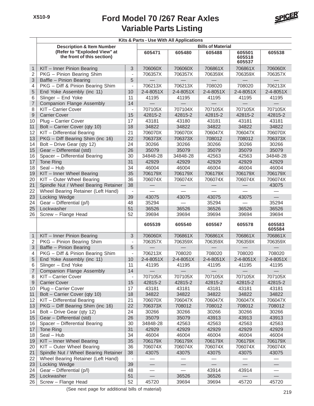

|                  | Kits & Parts - Use With All Applications                   |                              |                          |                          |                          |                            |                  |  |  |
|------------------|------------------------------------------------------------|------------------------------|--------------------------|--------------------------|--------------------------|----------------------------|------------------|--|--|
|                  | <b>Description &amp; Item Number</b>                       |                              |                          |                          | <b>Bills of Material</b> |                            |                  |  |  |
|                  | (Refer to "Exploded View" at<br>the front of this section) |                              | 605471                   | 605480                   | 605488                   | 605501<br>605518<br>605537 | 605538           |  |  |
| 1                | KIT - Inner Pinion Bearing                                 | 3                            | 706060X                  | 706060X                  | 706861X                  | 706861X                    | 706060X          |  |  |
| $\sqrt{2}$       | PKG - Pinion Bearing Shim                                  |                              | 706357X                  | 706357X                  | 706359X                  | 706359X                    | 706357X          |  |  |
| 3                | Baffle - Pinion Bearing                                    | 5                            |                          |                          |                          |                            |                  |  |  |
| 4                | PKG - Diff & Pinion Bearing Shim                           | $\overline{\phantom{a}}$     | 706213X                  | 706213X                  | 708020                   | 708020                     | 706213X          |  |  |
| 5                | End Yoke Assembly (inc 11)                                 | 10                           | 2-4-8051X                | 2-4-8051X                | 2-4-8051X                | 2-4-8051X                  | 2-4-8051X        |  |  |
| 6                | Slinger - End Yoke                                         | 11                           | 41195                    | 41195                    | 41195                    | 41195                      | 41195            |  |  |
| $\overline{7}$   | <b>Companion Flange Assembly</b>                           | 14                           |                          |                          |                          |                            |                  |  |  |
| 8                | KIT-Carrier Cover                                          | $\blacksquare$               | 707105X                  | 707104X                  | 707105X                  | 707105X                    | 707105X          |  |  |
| $\mathsf{9}$     | <b>Carrier Cover</b>                                       | 15                           | 42815-2                  | 42815-2                  | 42815-2                  | 42815-2                    | 42815-2          |  |  |
| 10               | Plug - Carrier Cover                                       | 17                           | 43181                    | 43180                    | 43181                    | 43181                      | 43181            |  |  |
| 11               | Bolt - Carrier Cover (qty 10)                              | 18                           | 34822                    | 34822                    | 34822                    | 34822                      | 34822            |  |  |
| 12               | KIT - Differential Bearing                                 | 21                           | 706070X                  | 706070X                  | 706047X                  | 706047X                    | 706070X          |  |  |
| 13               | PKG - Diff Bearing Shim (inc 16)                           | 22                           | 706373X                  | 706373X                  | 708012                   | 708012                     | 706373X          |  |  |
| 14               | Bolt - Drive Gear (qty 12)                                 | 24                           | 30266                    | 30266                    | 30266                    | 30266                      | 30266            |  |  |
| 15               | Gear - Differential (std)                                  | 26                           | 35079                    | 35079                    | 35079                    | 35079                      | 35079            |  |  |
| 16               | Spacer - Differential Bearing                              | 30                           | 34848-28                 | 34848-28                 | 42563                    | 42563                      | 34848-28         |  |  |
| 17               | <b>Tone Ring</b>                                           | 31                           | 42929                    | 42929                    | 42929                    | 42929                      | 42929            |  |  |
| 18               | Seal - Hub                                                 | 34                           | 46004                    | 46004                    | 46004                    | 46004                      | 46004            |  |  |
| 19               | KIT - Inner Wheel Bearing                                  | 35                           | 706179X                  | 706179X                  | 706179X                  | 706179X                    | 706179X          |  |  |
| 20               | KIT - Outer Wheel Bearing                                  | 36                           | 706074X                  | 706074X                  | 706074X                  | 706074X                    | 706074X          |  |  |
| 21               | Spindle Nut / Wheel Bearing Retainer                       | 38                           |                          |                          |                          |                            | 43075            |  |  |
| 22               | Wheel Bearing Retainer (Left Hand)                         |                              |                          |                          |                          |                            |                  |  |  |
| 23               | Locking Wedge                                              | 39                           | 43075                    | 43075                    | 43075                    | 43075                      |                  |  |  |
| 24               | Gear - Differential (p/l)                                  | 48                           | 35294                    |                          | 35294                    |                            | 35294            |  |  |
| 25               | Lockwasher                                                 | 51                           | 36526                    | 36526                    | 36526                    | 36526                      | 36526            |  |  |
| 26               | Screw - Flange Head                                        | 52                           | 39694                    | 39694                    | 39694                    | 39694                      | 39694            |  |  |
|                  |                                                            |                              | 605539                   | 605540                   | 605567                   | 605578                     | 605583<br>605584 |  |  |
| $\mathbf{1}$     | KIT - Inner Pinion Bearing                                 | 3                            | 706060X                  | 706861X                  | 706861X                  | 706861X                    | 706861X          |  |  |
| $\overline{2}$   | PKG - Pinion Bearing Shim                                  | $\overline{\phantom{a}}$     | 706357X                  | 706359X                  | 706359X                  | 706359X                    | 706359X          |  |  |
| $\mathsf 3$      | Baffle - Pinion Bearing                                    | 5                            |                          |                          |                          |                            |                  |  |  |
| 4                | PKG - Diff & Pinion Bearing Shim                           | $\overline{\phantom{a}}$     | 706213X                  | 708020                   | 708020                   | 708020                     | 708020           |  |  |
| 5                | End Yoke Assembly (inc 11)                                 | 10                           | 2-4-8051X                | 2-4-8051X                | 2-4-8051X                | 2-4-8051X                  | 2-4-8051X        |  |  |
| 6                | Slinger - End Yoke                                         | 11                           | 41195                    | 41195                    | 41195                    | 41195                      | 41195            |  |  |
| 7                | Companion Flange Assembly                                  | 14                           |                          |                          |                          |                            |                  |  |  |
| $\,8\,$          | KIT-Carrier Cover                                          | $\overline{\phantom{a}}$     | 707105X                  | 707105X                  | 707105X                  | 707105X                    | 707105X          |  |  |
| $\boldsymbol{9}$ | <b>Carrier Cover</b>                                       | 15                           | 42815-2                  | 42815-2                  | 42815-2                  | 42815-2                    | 42815-2          |  |  |
| 10               | Plug - Carrier Cover                                       | 17                           | 43181                    | 43181                    | 43181                    | 43181                      | 43181            |  |  |
| 11               | Bolt - Carrier Cover (qty 10)                              | 18                           | 34822                    | 34822                    | 34822                    | 34822                      | 34822            |  |  |
| 12               | KIT - Differential Bearing                                 | 21                           | 706070X                  | 706047X                  | 706047X                  | 706047X                    | 706047X          |  |  |
| 13               | PKG - Diff Bearing Shim (inc 16)                           | 22                           | 706373X                  | 708012                   | 708012                   | 708012                     | 708012           |  |  |
| 14               | Bolt - Drive Gear (qty 12)                                 | 24                           | 30266                    | 30266                    | 30266                    | 30266                      | 30266            |  |  |
| 15               | Gear - Differential (std)                                  | 26                           | 35079                    | 35079                    | 43913                    | 43913                      | 43913            |  |  |
| 16               | Spacer - Differential Bearing                              | 30                           | 34848-28                 | 42563                    | 42563                    | 42563                      | 42563            |  |  |
| 17               | Tone Ring                                                  | 31                           | 42929                    | 42929                    | 42929                    | 42929                      | 42929            |  |  |
| 18               | Seal - Hub                                                 | 34                           | 46004                    | 46004                    | 46004                    | 46004                      | 46004            |  |  |
| 19               | KIT - Inner Wheel Bearing                                  | 35                           | 706179X                  | 706179X                  | 706179X                  | 706179X                    | 706179X          |  |  |
| 20               | KIT - Outer Wheel Bearing                                  | 36                           | 706074X                  | 706074X                  | 706074X                  | 706074X                    | 706074X          |  |  |
| 21               | Spindle Nut / Wheel Bearing Retainer                       | 38                           | 43075                    | 43075                    | 43075                    | 43075                      | 43075            |  |  |
| 22               | Wheel Bearing Retainer (Left Hand)                         | $\qquad \qquad \blacksquare$ |                          |                          |                          |                            |                  |  |  |
| 23               | Locking Wedge                                              | 39                           | $\overline{\phantom{0}}$ | $\overline{\phantom{0}}$ |                          |                            |                  |  |  |
| 24               | Gear - Differential (p/l)                                  | 48                           |                          |                          | 43914                    | 43914                      |                  |  |  |
| 25               | Lockwasher                                                 | 51                           |                          | 36526                    | 36526                    |                            |                  |  |  |
| 26               | Screw - Flange Head                                        | 52                           | 45720                    | 39694                    | 39694                    | 45720                      | 45720            |  |  |

(See next page for additional bills of material)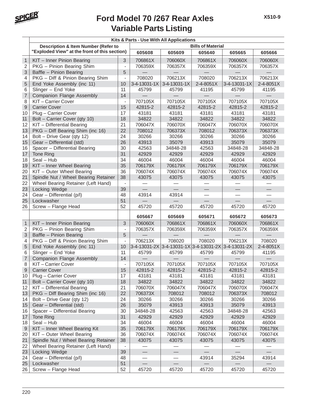

|                |                                                |                          | Kits & Parts - Use With All Applications |              |                          |                 |           |
|----------------|------------------------------------------------|--------------------------|------------------------------------------|--------------|--------------------------|-----------------|-----------|
|                | <b>Description &amp; Item Number (Refer to</b> |                          |                                          |              | <b>Bills of Material</b> |                 |           |
|                | "Exploded View" at the front of this section)  |                          | 605608                                   | 605609       | 605640                   | 605665          | 605666    |
| $\mathbf{1}$   | KIT - Inner Pinion Bearing                     | 3                        | 706861X                                  | 706060X      | 706861X                  | 706060X         | 706060X   |
| $\overline{2}$ | PKG - Pinion Bearing Shim                      | $\frac{1}{2}$            | 706359X                                  | 706357X      | 706359X                  | 706357X         | 706357X   |
| 3              | Baffle - Pinion Bearing                        | 5                        |                                          |              |                          |                 |           |
| 4              | PKG - Diff & Pinion Bearing Shim               | $\overline{\phantom{a}}$ | 708020                                   | 706213X      | 708020                   | 706213X         | 706213X   |
| 5              | End Yoke Assembly (inc 11)                     | 10                       | 3-4-13031-1X                             | 3-4-13031-1X | 2-4-8051X                | 3-4-13031-1X    | 2-4-8051X |
| 6              | Slinger - End Yoke                             | 11                       | 45799                                    | 45799        | 41195                    | 45799           | 41195     |
| $\overline{7}$ | <b>Companion Flange Assembly</b>               | 14                       |                                          |              |                          |                 |           |
| 8              | KIT-Carrier Cover                              | $\overline{a}$           | 707105X                                  | 707105X      | 707105X                  | 707105X         | 707105X   |
| $\mathsf g$    | <b>Carrier Cover</b>                           | 15                       | 42815-2                                  | 42815-2      | 42815-2                  | 42815-2         | 42815-2   |
| 10             | Plug - Carrier Cover                           | 17                       | 43181                                    | 43181        | 43181                    | 43181           | 43181     |
| 11             | Bolt - Carrier Cover (qty 10)                  | 18                       | 34822                                    | 34822        | 34822                    | 34822           | 34822     |
| 12             | KIT - Differential Bearing                     | 21                       | 706047X                                  | 706070X      | 706047X                  | 706070X         | 706070X   |
| 13             | PKG - Diff Bearing Shim (inc 16)               | 22                       | 708012                                   | 706373X      | 708012                   | 706373X         | 706373X   |
| 14             | Bolt - Drive Gear (qty 12)                     | 24                       | 30266                                    | 30266        | 30266                    | 30266           | 30266     |
| 15             | Gear - Differential (std)                      | 26                       | 43913                                    | 35079        | 43913                    | 35079           | 35079     |
| 16             | Spacer - Differential Bearing                  | 30                       | 42563                                    | 34848-28     | 42563                    | 34848-28        | 34848-28  |
| 17             | Tone Ring                                      | 31                       | 42929                                    | 42929        | 42929                    | 42929           | 42929     |
| 18             | Seal - Hub                                     | 34                       | 46004                                    | 46004        | 46004                    | 46004           | 46004     |
| 19             | KIT - Inner Wheel Bearing                      | 35                       | 706179X                                  | 706179X      | 706179X                  | 706179X         | 706179X   |
| 20             | KIT - Outer Wheel Bearing                      | 36                       | 706074X                                  | 706074X      | 706074X                  | 706074X         | 706074X   |
| 21             | Spindle Nut / Wheel Bearing Retainer           | 38                       | 43075                                    | 43075        | 43075                    | 43075           | 43075     |
| 22             | Wheel Bearing Retainer (Left Hand)             | $\blacksquare$           |                                          |              |                          |                 |           |
| 23             | Locking Wedge                                  | 39                       |                                          |              | $\equiv$                 | $\qquad \qquad$ |           |
| 24             | Gear - Differential (p/l)                      | 48                       | 43914                                    | 43914        |                          |                 |           |
| 25             | Lockwasher                                     | 51                       |                                          |              |                          |                 |           |
| 26             | Screw - Flange Head                            | 52                       | 45720                                    | 45720        | 45720                    | 45720           | 45720     |
|                |                                                |                          |                                          |              |                          |                 |           |
|                |                                                |                          | 605667                                   | 605669       | 605671                   | 605672          | 605673    |
| $\mathbf{1}$   | KIT - Inner Pinion Bearing                     | 3                        | 706060X                                  | 706861X      | 706861X                  | 706060X         | 706861X   |
| $\overline{2}$ | PKG - Pinion Bearing Shim                      | $\overline{\phantom{a}}$ | 706357X                                  | 706359X      | 706359X                  | 706357X         | 706359X   |
| 3              | Baffle - Pinion Bearing                        | 5                        |                                          |              |                          |                 |           |
| 4              | PKG - Diff & Pinion Bearing Shim               | $\overline{\phantom{a}}$ | 706213X                                  | 708020       | 708020                   | 706213X         | 708020    |
| 5              | End Yoke Assembly (inc 11)                     | 10                       | $3-4-13031-2X$ 3-4-13031-1X 3-4-13031-2X |              |                          | 3-4-13031-2X    | 2-4-8051X |
| 6              | Slinger - End Yoke                             | 11                       | 45799                                    | 45799        | 45799                    | 45799           | 41195     |
| $\overline{7}$ | <b>Companion Flange Assembly</b>               | 14                       |                                          |              |                          |                 |           |
| 8              | KIT-Carrier Cover                              | $\blacksquare$           | 707105X                                  | 707105X      | 707105X                  | 707105X         | 707105X   |
| 9              | <b>Carrier Cover</b>                           | 15                       | 42815-2                                  | 42815-2      | 42815-2                  | 42815-2         | 42815-2   |
| 10             | Plug - Carrier Cover                           | 17                       | 43181                                    | 43181        | 43181                    | 43181           | 43181     |
| 11             | Bolt - Carrier Cover (qty 10)                  | 18                       | 34822                                    | 34822        | 34822                    | 34822           | 34822     |
| 12             | KIT - Differential Bearing                     | 21                       | 706070X                                  | 706047X      | 706047X                  | 706070X         | 706047X   |
| 13             | PKG - Diff Bearing Shim (inc 16)               | 22                       | 706373X                                  | 708012       | 708012                   | 706373X         | 708012    |
| 14             | Bolt - Drive Gear (qty 12)                     | 24                       | 30266                                    | 30266        | 30266                    | 30266           | 30266     |
| 15             | Gear - Differential (std)                      | 26                       | 35079                                    | 43913        | 43913                    | 35079           | 43913     |
| 16             | Spacer - Differential Bearing                  | 30                       | 34848-28                                 | 42563        | 42563                    | 34848-28        | 42563     |
| 17             | Tone Ring                                      | 31                       | 42929                                    | 42929        | 42929                    | 42929           | 42929     |
| 18             | Seal - Hub                                     | 34                       | 46004                                    | 46004        | 46004                    | 46004           | 46004     |
| 9              | KIT - Inner Wheel Bearing Kit                  | 35                       | 706179X                                  | 706179X      | 706179X                  | 706179X         | 706179X   |
| 20             | KIT - Outer Wheel Bearing                      | 36                       | 706074X                                  | 706074X      | 706074X                  | 706074X         | 706074X   |
| 21             | Spindle Nut / Wheel Bearing Retainer           | 38                       | 43075                                    | 43075        | 43075                    | 43075           | 43075     |
| 22             | Wheel Bearing Retainer (Left Hand)             | $\overline{\phantom{a}}$ |                                          |              |                          |                 |           |
| 23             | Locking Wedge                                  | 39                       |                                          |              |                          |                 |           |
| 24             | Gear - Differential (p/l)                      | 48                       |                                          |              | 43914                    | 35294           | 43914     |
| 25             | Lockwasher                                     | 51                       |                                          |              |                          |                 |           |
| 26             | Screw - Flange Head                            | 52                       | 45720                                    | 45720        | 45720                    | 45720           | 45720     |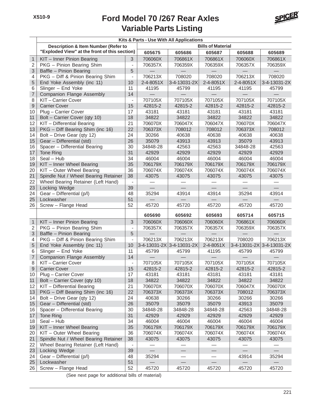

|                | Kits & Parts - Use With All Applications       |                          |           |                           |                          |              |              |  |
|----------------|------------------------------------------------|--------------------------|-----------|---------------------------|--------------------------|--------------|--------------|--|
|                | <b>Description &amp; Item Number (Refer to</b> |                          |           |                           | <b>Bills of Material</b> |              |              |  |
|                | "Exploded View" at the front of this section)  |                          | 605675    | 605686                    | 605687                   | 605688       | 605689       |  |
| $\mathbf{1}$   | KIT - Inner Pinion Bearing                     | 3                        | 706060X   | 706861X                   | 706861X                  | 706060X      | 706861X      |  |
| $\overline{2}$ | PKG - Pinion Bearing Shim                      | $\overline{\phantom{a}}$ | 706357X   | 706359X                   | 706359X                  | 706357X      | 706359X      |  |
| 3              | Baffle - Pinion Bearing                        | 5                        |           |                           |                          |              |              |  |
| 4              | PKG - Diff & Pinion Bearing Shim               | $\overline{\phantom{a}}$ | 706213X   | 708020                    | 708020                   | 706213X      | 708020       |  |
| 5              | End Yoke Assembly (inc 11)                     | 10                       | 2-4-8051X | 3-4-13031-2X              | 2-4-8051X                | 2-4-8051X    | 3-4-13031-2X |  |
| 6              | Slinger - End Yoke                             | 11                       | 41195     | 45799                     | 41195                    | 41195        | 45799        |  |
| $\overline{7}$ | <b>Companion Flange Assembly</b>               | 14                       |           |                           |                          |              |              |  |
| 8              | KIT-Carrier Cover                              | $\blacksquare$           | 707105X   | 707105X                   | 707105X                  | 707105X      | 707105X      |  |
| 9              | <b>Carrier Cover</b>                           | 15                       | 42815-2   | 42815-2                   | 42815-2                  | 42815-2      | 42815-2      |  |
| 10             | Plug - Carrier Cover                           | 17                       | 43181     | 43181                     | 43181                    | 43181        | 43181        |  |
| 11             | Bolt - Carrier Cover (qty 10)                  | 18                       | 34822     | 34822                     | 34822                    | 34822        | 34822        |  |
| 12             | KIT - Differential Bearing                     | 21                       | 706070X   | 706047X                   | 706047X                  | 706070X      | 706047X      |  |
| 13             | PKG - Diff Bearing Shim (inc 16)               | 22                       | 706373X   | 708012                    | 708012                   | 706373X      | 708012       |  |
| 14             | Bolt - Drive Gear (qty 12)                     | 24                       | 30266     | 40638                     | 40638                    | 40638        | 40638        |  |
| 15             | Gear - Differential (std)                      | 26                       | 35079     | 43913                     | 43913                    | 35079        | 43913        |  |
| 16             | Spacer - Differential Bearing                  | 30                       | 34848-28  | 42563                     | 42563                    | 34848-28     | 42563        |  |
| 17             | Tone Ring                                      | 31                       | 42929     | 42929                     | 42929                    | 42929        | 42929        |  |
| 18             | Seal - Hub                                     | 34                       | 46004     | 46004                     | 46004                    | 46004        | 46004        |  |
| 19             | KIT - Inner Wheel Bearing                      | 35                       | 706179X   | 706179X                   | 706179X                  | 706179X      | 706179X      |  |
| 20             | KIT - Outer Wheel Bearing                      | 36                       | 706074X   | 706074X                   | 706074X                  | 706074X      | 706074X      |  |
| 21             | Spindle Nut / Wheel Bearing Retainer           | 38                       | 43075     | 43075                     | 43075                    | 43075        | 43075        |  |
| 22             | Wheel Bearing Retainer (Left Hand)             | $\overline{\phantom{a}}$ |           |                           |                          |              |              |  |
| 23             | Locking Wedge                                  | 39                       |           |                           |                          |              |              |  |
| 24             | Gear - Differential (p/l)                      | 48                       | 35294     | 43914                     | 43914                    | 35294        | 43914        |  |
| 25             | Lockwasher                                     | 51                       |           |                           |                          |              |              |  |
| 26             | Screw - Flange Head                            | 52                       | 45720     | 45720                     | 45720                    | 45720        | 45720        |  |
|                |                                                |                          |           |                           |                          |              |              |  |
|                |                                                |                          | 605690    | 605692                    | 605693                   | 605714       | 605715       |  |
| $\mathbf{1}$   | KIT - Inner Pinion Bearing                     | $\mathfrak{S}$           | 706060X   | 706060X                   | 706060X                  | 706861X      | 706060X      |  |
| $\overline{c}$ | PKG - Pinion Bearing Shim                      | $\overline{\phantom{a}}$ | 706357X   | 706357X                   | 706357X                  | 706359X      | 706357X      |  |
| 3              | Baffle - Pinion Bearing                        | 5                        |           |                           |                          |              |              |  |
| 4              | PKG - Diff & Pinion Bearing Shim               | $\overline{\phantom{a}}$ | 706213X   | 706213X                   | 706213X                  | 708020       | 706213X      |  |
| 5              | End Yoke Assembly (inc 11)                     | 10                       |           | 3-4-13031-2X 3-4-13031-2X | 2-4-8051X                | 3-4-13031-2X | 3-4-13031-2X |  |
| 6              | Slinger - End Yoke                             | 11                       | 45799     | 45799                     | 41195                    | 45799        | 45799        |  |
| $\overline{7}$ | <b>Companion Flange Assembly</b>               | 14                       |           |                           |                          |              |              |  |
| 8              | KIT-Carrier Cover                              | $\overline{\phantom{a}}$ | 707105X   | 707105X                   | 707105X                  | 707105X      | 707105X      |  |
| 9              | <b>Carrier Cover</b>                           | 15                       | 42815-2   | 42815-2                   | 42815-2                  | 42815-2      | 42815-2      |  |
| 10             | Plug - Carrier Cover                           | 17                       | 43181     | 43181                     | 43181                    | 43181        | 43181        |  |
| 11             | Bolt - Carrier Cover (qty 10)                  | 18                       | 34822     | 34822                     | 34822                    | 34822        | 34822        |  |
| 12             | KIT - Differential Bearing                     | 21                       | 706070X   | 706070X                   | 706070X                  | 706047X      | 706070X      |  |
| 13             | PKG - Diff Bearing Shim (inc 16)               | 22                       | 706373X   | 706373X                   | 706373X                  | 708012       | 706373X      |  |
| 14             | Bolt - Drive Gear (qty 12)                     | 24                       | 40638     | 30266                     | 30266                    | 30266        | 30266        |  |
| 15             | Gear - Differential (std)                      | 26                       | 35079     | 35079                     | 35079                    | 43913        | 35079        |  |
| 16             | Spacer - Differential Bearing                  | 30                       | 34848-28  | 34848-28                  | 34848-28                 | 42563        | 34848-28     |  |
| 17             | Tone Ring                                      | 31                       | 42929     | 42929                     | 42929                    | 42929        | 42929        |  |
| 18             | $Seal - Hub$                                   | 34                       | 46004     | 46004                     | 46004                    | 46004        | 46004        |  |
| 19             | KIT - Inner Wheel Bearing                      | 35                       | 706179X   | 706179X                   | 706179X                  | 706179X      | 706179X      |  |
| 20             | KIT - Outer Wheel Bearing                      | 36                       | 706074X   | 706074X                   | 706074X                  | 706074X      | 706074X      |  |
| 21             | Spindle Nut / Wheel Bearing Retainer           | 38                       | 43075     | 43075                     | 43075                    | 43075        | 43075        |  |
| 22             | Wheel Bearing Retainer (Left Hand)             | $\overline{\phantom{a}}$ |           |                           |                          |              |              |  |
| 23             | Locking Wedge                                  | 39                       |           |                           |                          |              |              |  |
| 24             | Gear - Differential (p/l)                      | 48                       | 35294     |                           |                          | 43914        | 35294        |  |
| 25             | Lockwasher                                     | 51                       |           |                           |                          |              |              |  |
| 26             | Screw - Flange Head                            | 52                       | 45720     | 45720                     | 45720                    | 45720        | 45720        |  |

(See next page for additional bills of material)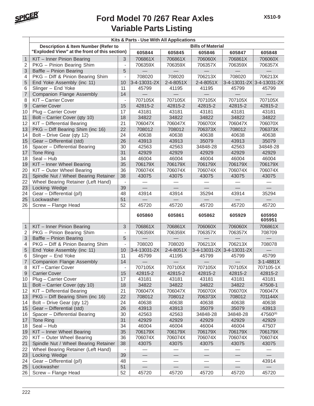

|                |                                                |                          | Kits & Parts - Use With All Applications |                   |                          |              |                  |
|----------------|------------------------------------------------|--------------------------|------------------------------------------|-------------------|--------------------------|--------------|------------------|
|                | <b>Description &amp; Item Number (Refer to</b> |                          |                                          |                   | <b>Bills of Material</b> |              |                  |
|                | "Exploded View" at the front of this section)  |                          | 605844                                   | 605845            | 605846                   | 605847       | 605848           |
| $\mathbf{1}$   | KIT - Inner Pinion Bearing                     | 3                        | 706861X                                  | 706861X           | 706060X                  | 706861X      | 706060X          |
| $\overline{2}$ | PKG - Pinion Bearing Shim                      | $\overline{\phantom{a}}$ | 706359X                                  | 706359X           | 706357X                  | 706359X      | 706357X          |
| 3              | Baffle - Pinion Bearing                        | 5                        |                                          |                   |                          |              |                  |
| 4              | PKG - Diff & Pinion Bearing Shim               | $\overline{\phantom{a}}$ | 708020                                   | 708020            | 706213X                  | 708020       | 706213X          |
| 5              | End Yoke Assembly (inc 11)                     | 10                       | 3-4-13031-2X                             | 2-4-8051X         | 2-4-8051X                | 3-4-13031-2X | 3-4-13031-2X     |
| 6              | Slinger - End Yoke                             | 11                       | 45799                                    | 41195             | 41195                    | 45799        | 45799            |
| $\overline{7}$ | <b>Companion Flange Assembly</b>               | 14                       |                                          |                   |                          |              |                  |
| 8              | KIT-Carrier Cover                              | $\overline{\phantom{a}}$ | 707105X                                  | 707105X           | 707105X                  | 707105X      | 707105X          |
| 9              | <b>Carrier Cover</b>                           | 15                       | 42815-2                                  | 42815-2           | 42815-2                  | 42815-2      | 42815-2          |
| 10             | Plug - Carrier Cover                           | 17                       | 43181                                    | 43181             | 43181                    | 43181        | 43181            |
| 11             | Bolt - Carrier Cover (qty 10)                  | 18                       | 34822                                    | 34822             | 34822                    | 34822        | 34822            |
| 12             | KIT - Differential Bearing                     | 21                       | 706047X                                  | 706047X           | 706070X                  | 706047X      | 706070X          |
| 13             | PKG - Diff Bearing Shim (inc 16)               | 22                       | 708012                                   | 708012            | 706373X                  | 708012       | 706373X          |
| 14             | Bolt - Drive Gear (qty 12)                     | 24                       | 40638                                    | 40638             | 40638                    | 40638        | 40638            |
| 15             | Gear - Differential (std)                      | 26                       | 43913                                    | 43913             | 35079                    | 43913        | 35079            |
| 16             | Spacer - Differential Bearing                  | 30                       | 42563                                    | 42563             | 34848-28                 | 42563        | 34848-28         |
| 17             | Tone Ring                                      | 31                       | 42929                                    | 42929             | 42929                    | 42929        | 42929            |
| 18             | Seal - Hub                                     | 34                       | 46004                                    | 46004             | 46004                    | 46004        | 46004            |
| 19             | KIT - Inner Wheel Bearing                      | 35                       | 706179X                                  | 706179X           | 706179X                  | 706179X      | 706179X          |
| 20             | KIT - Outer Wheel Bearing                      | 36                       | 706074X                                  | 706074X           | 706074X                  | 706074X      | 706074X          |
| 21             | Spindle Nut / Wheel Bearing Retainer           | 38                       | 43075                                    | 43075             | 43075                    | 43075        | 43075            |
| 22             | Wheel Bearing Retainer (Left Hand)             | $\overline{\phantom{a}}$ |                                          |                   |                          |              |                  |
| 23             | Locking Wedge                                  | 39                       | $\overline{\phantom{0}}$                 |                   |                          |              |                  |
| 24             | Gear - Differential (p/l)                      | 48                       | 43914                                    | 43914             | 35294                    | 43914        | 35294            |
| 25             | Lockwasher                                     | 51                       |                                          |                   |                          |              |                  |
| 26             | Screw - Flange Head                            | 52                       | 45720                                    | 45720             | 45720                    | 45720        | 45720            |
|                |                                                |                          |                                          |                   |                          |              |                  |
|                |                                                |                          | 605860                                   | 605861            | 605862                   | 605929       | 605950<br>605951 |
| $\mathbf{1}$   | KIT - Inner Pinion Bearing                     | 3                        | 706861X                                  | 706861X           | 706060X                  | 706060X      | 706861X          |
| 2              | PKG - Pinion Bearing Shim                      | $\overline{\phantom{a}}$ | 706359X                                  | 706359X           | 706357X                  | 706357X      | 708709           |
| 3              | Baffle - Pinion Bearing                        | 5                        |                                          |                   |                          |              |                  |
| 4              | PKG - Diff & Pinion Bearing Shim               |                          | 708020                                   | 708020            | 706213X                  | 706213X      | 708078           |
| 5              | End Yoke Assembly (inc 11)                     | 10                       | 3-4-13031-2X                             | 2-4-8051X         | 3-4-13031-2X             | 3-4-13031-2X |                  |
| 6              | Slinger - End Yoke                             | 11                       | 45799                                    | 41195             | 45799                    | 45799        | 45799            |
| $\overline{7}$ | <b>Companion Flange Assembly</b>               | 14                       |                                          | $\hspace{0.05cm}$ |                          |              | $3 - 1 - 4881X$  |
| 8              | KIT-Carrier Cover                              | $\overline{\phantom{a}}$ | 707105X                                  | 707105X           | 707105X                  | 707105X      | 707105-1X        |
| 9              | <b>Carrier Cover</b>                           | 15                       | 42815-2                                  | 42815-2           | 42815-2                  | 42815-2      | 42815-2          |
| 10             | Plug - Carrier Cover                           | 17                       | 43181                                    | 43181             | 43181                    | 43181        | 43181            |
| 11             | Bolt - Carrier Cover (qty 10)                  | 18                       | 34822                                    | 34822             | 34822                    | 34822        | 47508-1          |
| 12             | KIT - Differential Bearing                     | 21                       | 706047X                                  | 706047X           | 706070X                  | 706070X      | 706047X          |
| 13             | PKG - Diff Bearing Shim (inc 16)               | 22                       | 708012                                   | 708012            | 706373X                  | 708012       | 701144X          |
| 14             | Bolt - Drive Gear (qty 12)                     | 24                       | 40638                                    | 40638             | 40638                    | 40638        | 40638            |
| 15             | Gear - Differential (std)                      | 26                       | 43913                                    | 43913             | 35079                    | 35079        | 43913            |
| 16             | Spacer - Differential Bearing                  | 30                       | 42563                                    | 42563             | 34848-28                 | 34848-28     | 47560(9)         |
| 17             | Tone Ring                                      | 31                       | 42929                                    | 42929             | 42929                    | 42929        | 42929            |
| 18             | Seal - Hub                                     | 34                       | 46004                                    | 46004             | 46004                    | 46004        | 47507            |
| 19             | KIT - Inner Wheel Bearing                      | 35                       | 706179X                                  | 706179X           | 706179X                  | 706179X      | 706179X          |
| 20             | KIT - Outer Wheel Bearing                      | 36                       | 706074X                                  | 706074X           | 706074X                  | 706074X      | 706074X          |
| 21             | Spindle Nut / Wheel Bearing Retainer           | 38                       | 43075                                    | 43075             | 43075                    | 43075        | 43075            |
| 22             | Wheel Bearing Retainer (Left Hand)             | $\overline{\phantom{a}}$ |                                          |                   |                          |              |                  |
| 23             | Locking Wedge                                  | 39                       |                                          |                   |                          |              |                  |
| 24             | Gear - Differential (p/l)                      | 48                       |                                          |                   |                          |              | 43914            |
| 25             | Lockwasher                                     | 51                       |                                          |                   |                          |              |                  |
| 26             | Screw - Flange Head                            | 52                       | 45720                                    | 45720             | 45720                    | 45720        | 45720            |